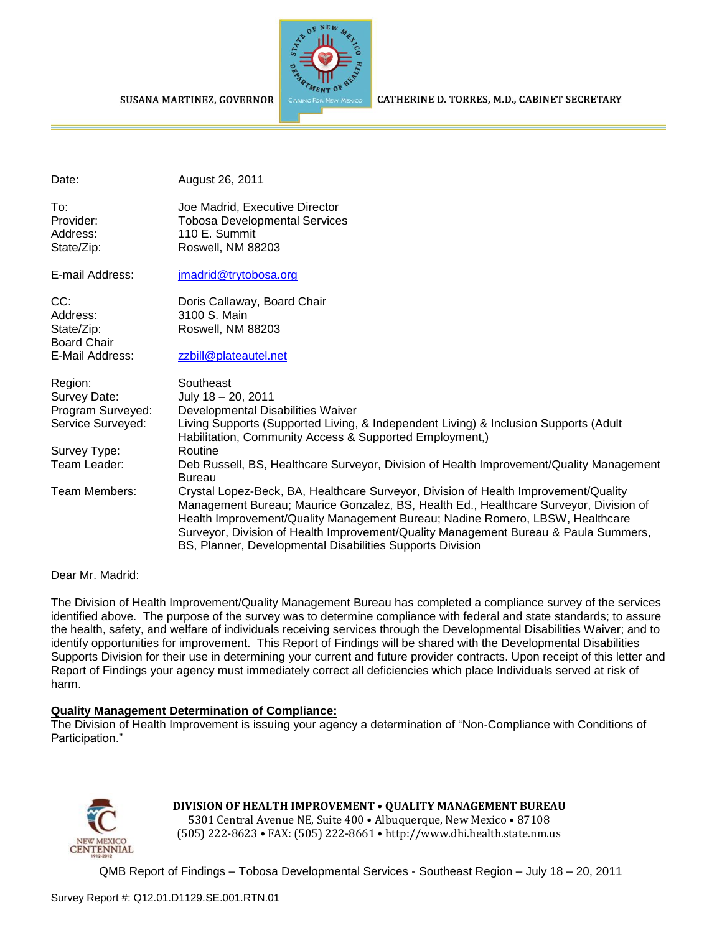

CATHERINE D. TORRES, M.D., CABINET SECRETARY

| Date:              | August 26, 2011                                                                                                                                                                                                                                                                                                                                                                                                   |
|--------------------|-------------------------------------------------------------------------------------------------------------------------------------------------------------------------------------------------------------------------------------------------------------------------------------------------------------------------------------------------------------------------------------------------------------------|
| To:                | Joe Madrid, Executive Director                                                                                                                                                                                                                                                                                                                                                                                    |
| Provider:          | <b>Tobosa Developmental Services</b>                                                                                                                                                                                                                                                                                                                                                                              |
| Address:           | 110 E. Summit                                                                                                                                                                                                                                                                                                                                                                                                     |
| State/Zip:         | Roswell, NM 88203                                                                                                                                                                                                                                                                                                                                                                                                 |
| E-mail Address:    | jmadrid@trytobosa.org                                                                                                                                                                                                                                                                                                                                                                                             |
| CC:                | Doris Callaway, Board Chair                                                                                                                                                                                                                                                                                                                                                                                       |
| Address:           | 3100 S. Main                                                                                                                                                                                                                                                                                                                                                                                                      |
| State/Zip:         | Roswell, NM 88203                                                                                                                                                                                                                                                                                                                                                                                                 |
| <b>Board Chair</b> |                                                                                                                                                                                                                                                                                                                                                                                                                   |
| E-Mail Address:    | zzbill@plateautel.net                                                                                                                                                                                                                                                                                                                                                                                             |
| Region:            | Southeast                                                                                                                                                                                                                                                                                                                                                                                                         |
| Survey Date:       | July 18 - 20, 2011                                                                                                                                                                                                                                                                                                                                                                                                |
| Program Surveyed:  | Developmental Disabilities Waiver                                                                                                                                                                                                                                                                                                                                                                                 |
| Service Surveyed:  | Living Supports (Supported Living, & Independent Living) & Inclusion Supports (Adult<br>Habilitation, Community Access & Supported Employment,)                                                                                                                                                                                                                                                                   |
| Survey Type:       | Routine                                                                                                                                                                                                                                                                                                                                                                                                           |
| Team Leader:       | Deb Russell, BS, Healthcare Surveyor, Division of Health Improvement/Quality Management<br><b>Bureau</b>                                                                                                                                                                                                                                                                                                          |
| Team Members:      | Crystal Lopez-Beck, BA, Healthcare Surveyor, Division of Health Improvement/Quality<br>Management Bureau; Maurice Gonzalez, BS, Health Ed., Healthcare Surveyor, Division of<br>Health Improvement/Quality Management Bureau; Nadine Romero, LBSW, Healthcare<br>Surveyor, Division of Health Improvement/Quality Management Bureau & Paula Summers,<br>BS, Planner, Developmental Disabilities Supports Division |

Dear Mr. Madrid:

The Division of Health Improvement/Quality Management Bureau has completed a compliance survey of the services identified above. The purpose of the survey was to determine compliance with federal and state standards; to assure the health, safety, and welfare of individuals receiving services through the Developmental Disabilities Waiver; and to identify opportunities for improvement. This Report of Findings will be shared with the Developmental Disabilities Supports Division for their use in determining your current and future provider contracts. Upon receipt of this letter and Report of Findings your agency must immediately correct all deficiencies which place Individuals served at risk of harm.

#### **Quality Management Determination of Compliance:**

The Division of Health Improvement is issuing your agency a determination of "Non-Compliance with Conditions of Participation."



**DIVISION OF HEALTH IMPROVEMENT** • **QUALITY MANAGEMENT BUREAU**

5301 Central Avenue NE, Suite 400 • Albuquerque, New Mexico • 87108 (505) 222-8623 • FAX: (505) 222-8661 • http://www.dhi.health.state.nm.us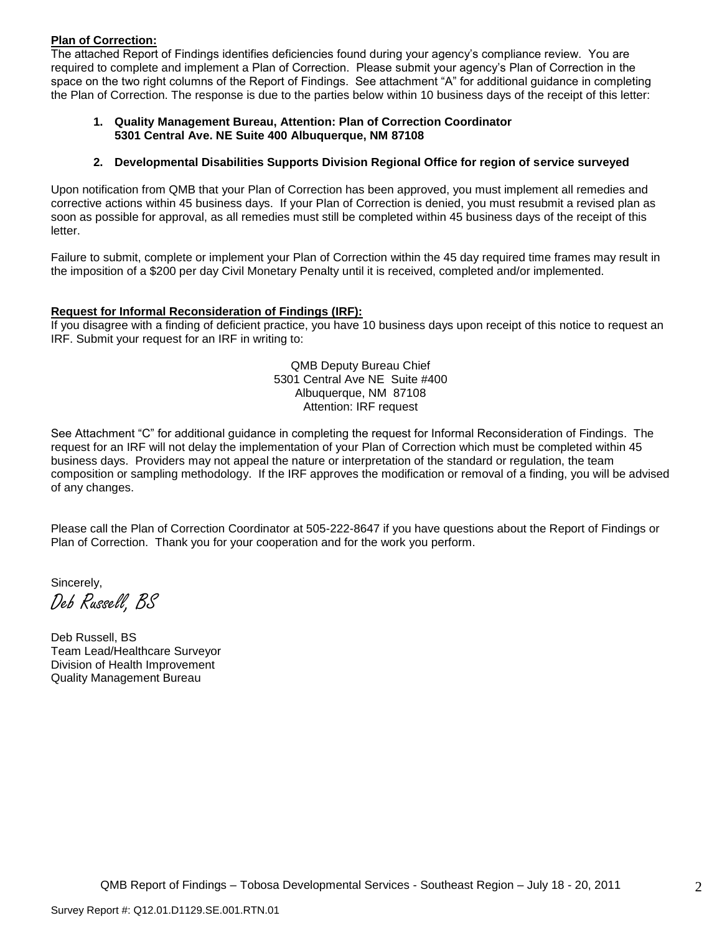#### **Plan of Correction:**

The attached Report of Findings identifies deficiencies found during your agency's compliance review. You are required to complete and implement a Plan of Correction. Please submit your agency's Plan of Correction in the space on the two right columns of the Report of Findings. See attachment "A" for additional guidance in completing the Plan of Correction. The response is due to the parties below within 10 business days of the receipt of this letter:

#### **1. Quality Management Bureau, Attention: Plan of Correction Coordinator 5301 Central Ave. NE Suite 400 Albuquerque, NM 87108**

#### **2. Developmental Disabilities Supports Division Regional Office for region of service surveyed**

Upon notification from QMB that your Plan of Correction has been approved, you must implement all remedies and corrective actions within 45 business days. If your Plan of Correction is denied, you must resubmit a revised plan as soon as possible for approval, as all remedies must still be completed within 45 business days of the receipt of this letter.

Failure to submit, complete or implement your Plan of Correction within the 45 day required time frames may result in the imposition of a \$200 per day Civil Monetary Penalty until it is received, completed and/or implemented.

#### **Request for Informal Reconsideration of Findings (IRF):**

If you disagree with a finding of deficient practice, you have 10 business days upon receipt of this notice to request an IRF. Submit your request for an IRF in writing to:

> QMB Deputy Bureau Chief 5301 Central Ave NE Suite #400 Albuquerque, NM 87108 Attention: IRF request

See Attachment "C" for additional guidance in completing the request for Informal Reconsideration of Findings. The request for an IRF will not delay the implementation of your Plan of Correction which must be completed within 45 business days. Providers may not appeal the nature or interpretation of the standard or regulation, the team composition or sampling methodology. If the IRF approves the modification or removal of a finding, you will be advised of any changes.

Please call the Plan of Correction Coordinator at 505-222-8647 if you have questions about the Report of Findings or Plan of Correction. Thank you for your cooperation and for the work you perform.

Sincerely,

Deb Russell, BS

Deb Russell, BS Team Lead/Healthcare Surveyor Division of Health Improvement Quality Management Bureau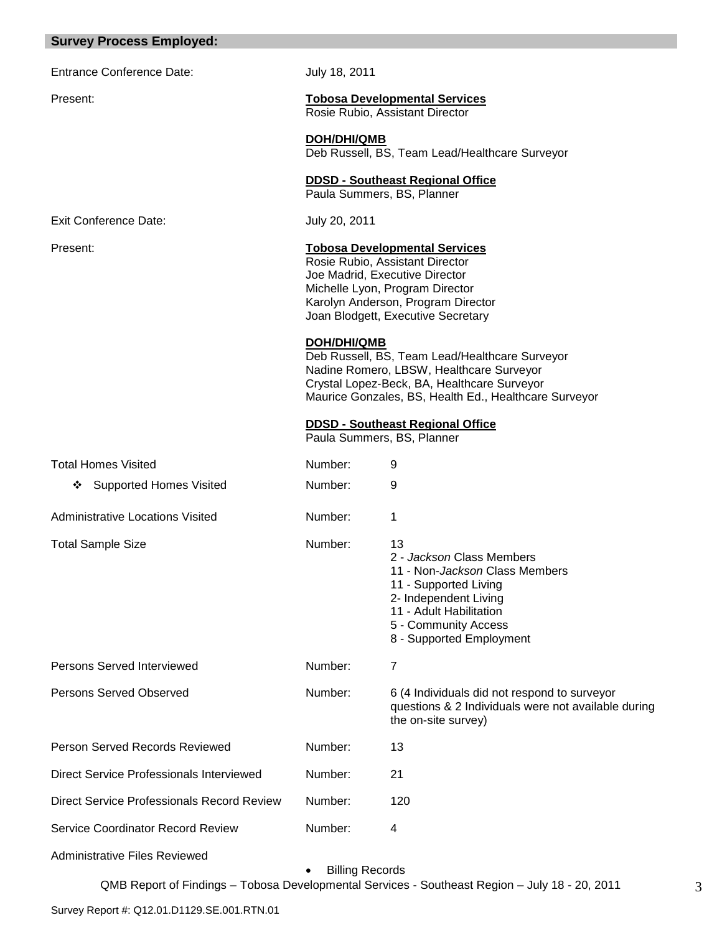|  | <b>Survey Process Employed:</b> |  |  |
|--|---------------------------------|--|--|
|--|---------------------------------|--|--|

Entrance Conference Date: July 18, 2011

# Present: **Tobosa Developmental Services**

Rosie Rubio, Assistant Director

**DOH/DHI/QMB** Deb Russell, BS, Team Lead/Healthcare Surveyor

#### **DDSD - Southeast Regional Office**

Paula Summers, BS, Planner

Exit Conference Date: July 20, 2011

#### Present: **Tobosa Developmental Services**

Rosie Rubio, Assistant Director Joe Madrid, Executive Director Michelle Lyon, Program Director Karolyn Anderson, Program Director Joan Blodgett, Executive Secretary

#### **DOH/DHI/QMB**

Deb Russell, BS, Team Lead/Healthcare Surveyor Nadine Romero, LBSW, Healthcare Surveyor Crystal Lopez-Beck, BA, Healthcare Surveyor Maurice Gonzales, BS, Health Ed., Healthcare Surveyor

#### **DDSD - Southeast Regional Office**

Paula Summers, BS, Planner

| <b>Total Homes Visited</b>                 | Number: | 9                                                                                                                                                                                                  |
|--------------------------------------------|---------|----------------------------------------------------------------------------------------------------------------------------------------------------------------------------------------------------|
| <b>Supported Homes Visited</b><br>❖        | Number: | 9                                                                                                                                                                                                  |
| Administrative Locations Visited           | Number: | 1                                                                                                                                                                                                  |
| <b>Total Sample Size</b>                   | Number: | 13<br>2 - Jackson Class Members<br>11 - Non-Jackson Class Members<br>11 - Supported Living<br>2- Independent Living<br>11 - Adult Habilitation<br>5 - Community Access<br>8 - Supported Employment |
| Persons Served Interviewed                 | Number: | 7                                                                                                                                                                                                  |
| Persons Served Observed                    | Number: | 6 (4 Individuals did not respond to surveyor<br>questions & 2 Individuals were not available during<br>the on-site survey)                                                                         |
| Person Served Records Reviewed             | Number: | 13                                                                                                                                                                                                 |
| Direct Service Professionals Interviewed   | Number: | 21                                                                                                                                                                                                 |
|                                            |         |                                                                                                                                                                                                    |
| Direct Service Professionals Record Review | Number: | 120                                                                                                                                                                                                |
| Service Coordinator Record Review          | Number: | 4                                                                                                                                                                                                  |

Administrative Files Reviewed

Billing Records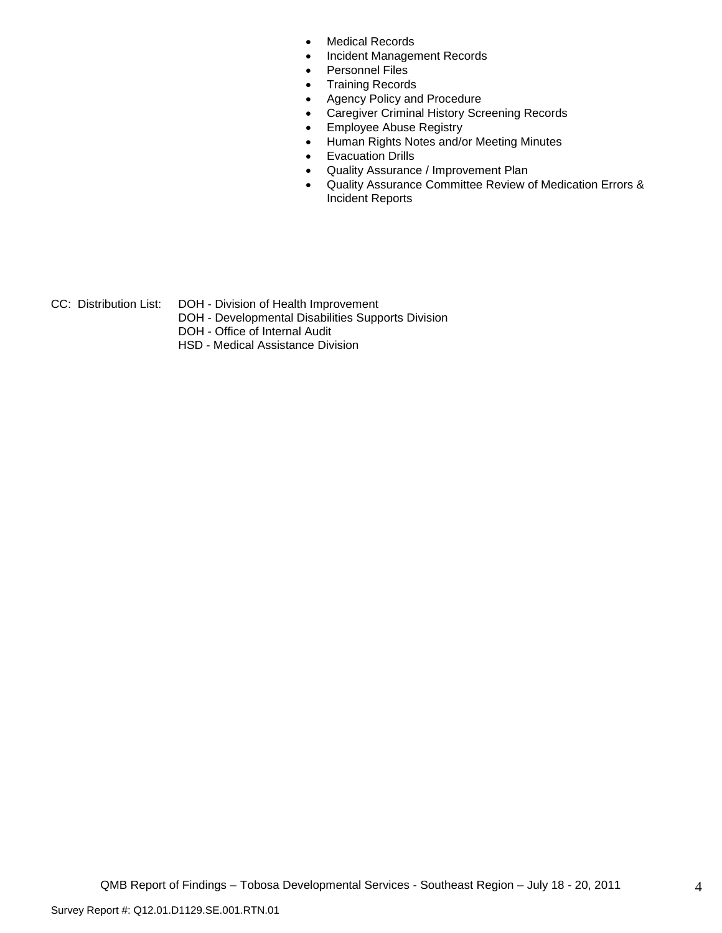- Medical Records
- Incident Management Records
- Personnel Files
- Training Records
- Agency Policy and Procedure
- Caregiver Criminal History Screening Records
- **Employee Abuse Registry**
- Human Rights Notes and/or Meeting Minutes
- **•** Evacuation Drills
- Quality Assurance / Improvement Plan
- Quality Assurance Committee Review of Medication Errors & Incident Reports
- CC: Distribution List: DOH Division of Health Improvement
	- DOH Developmental Disabilities Supports Division
	- DOH Office of Internal Audit
	- HSD Medical Assistance Division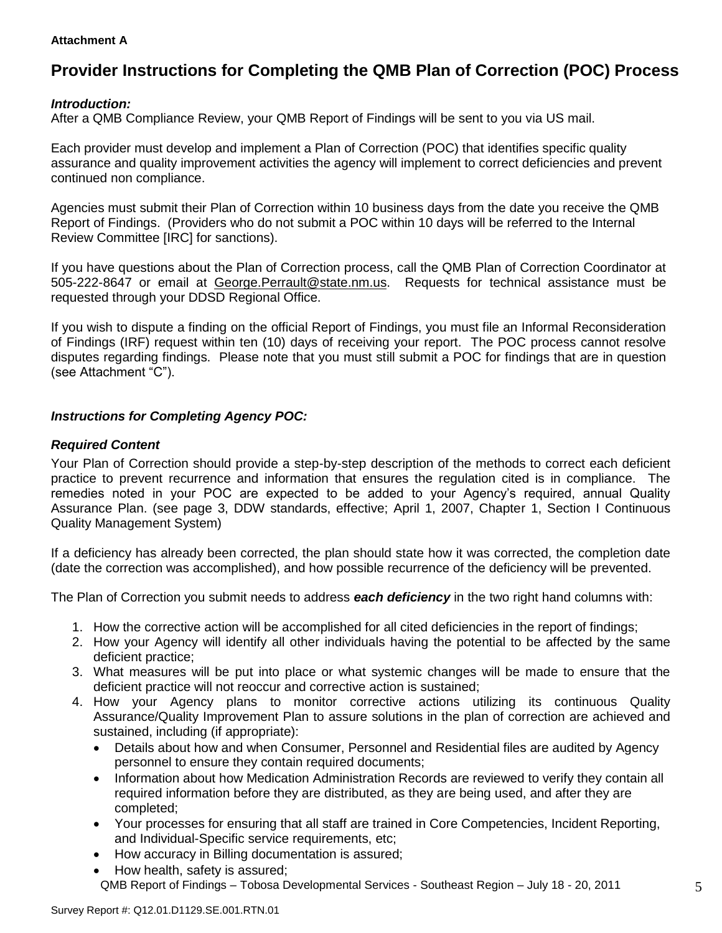#### **Attachment A**

# **Provider Instructions for Completing the QMB Plan of Correction (POC) Process**

## *Introduction:*

After a QMB Compliance Review, your QMB Report of Findings will be sent to you via US mail.

Each provider must develop and implement a Plan of Correction (POC) that identifies specific quality assurance and quality improvement activities the agency will implement to correct deficiencies and prevent continued non compliance.

Agencies must submit their Plan of Correction within 10 business days from the date you receive the QMB Report of Findings. (Providers who do not submit a POC within 10 days will be referred to the Internal Review Committee [IRC] for sanctions).

If you have questions about the Plan of Correction process, call the QMB Plan of Correction Coordinator at 505-222-8647 or email at George.Perrault@state.nm.us. Requests for technical assistance must be requested through your DDSD Regional Office.

If you wish to dispute a finding on the official Report of Findings, you must file an Informal Reconsideration of Findings (IRF) request within ten (10) days of receiving your report. The POC process cannot resolve disputes regarding findings. Please note that you must still submit a POC for findings that are in question (see Attachment "C").

### *Instructions for Completing Agency POC:*

### *Required Content*

Your Plan of Correction should provide a step-by-step description of the methods to correct each deficient practice to prevent recurrence and information that ensures the regulation cited is in compliance. The remedies noted in your POC are expected to be added to your Agency's required, annual Quality Assurance Plan. (see page 3, DDW standards, effective; April 1, 2007, Chapter 1, Section I Continuous Quality Management System)

If a deficiency has already been corrected, the plan should state how it was corrected, the completion date (date the correction was accomplished), and how possible recurrence of the deficiency will be prevented.

The Plan of Correction you submit needs to address *each deficiency* in the two right hand columns with:

- 1. How the corrective action will be accomplished for all cited deficiencies in the report of findings;
- 2. How your Agency will identify all other individuals having the potential to be affected by the same deficient practice;
- 3. What measures will be put into place or what systemic changes will be made to ensure that the deficient practice will not reoccur and corrective action is sustained;
- 4. How your Agency plans to monitor corrective actions utilizing its continuous Quality Assurance/Quality Improvement Plan to assure solutions in the plan of correction are achieved and sustained, including (if appropriate):
	- Details about how and when Consumer, Personnel and Residential files are audited by Agency personnel to ensure they contain required documents;
	- Information about how Medication Administration Records are reviewed to verify they contain all required information before they are distributed, as they are being used, and after they are completed;
	- Your processes for ensuring that all staff are trained in Core Competencies, Incident Reporting, and Individual-Specific service requirements, etc;
	- How accuracy in Billing documentation is assured;
	- QMB Report of Findings Tobosa Developmental Services Southeast Region July 18 20, 2011 How health, safety is assured;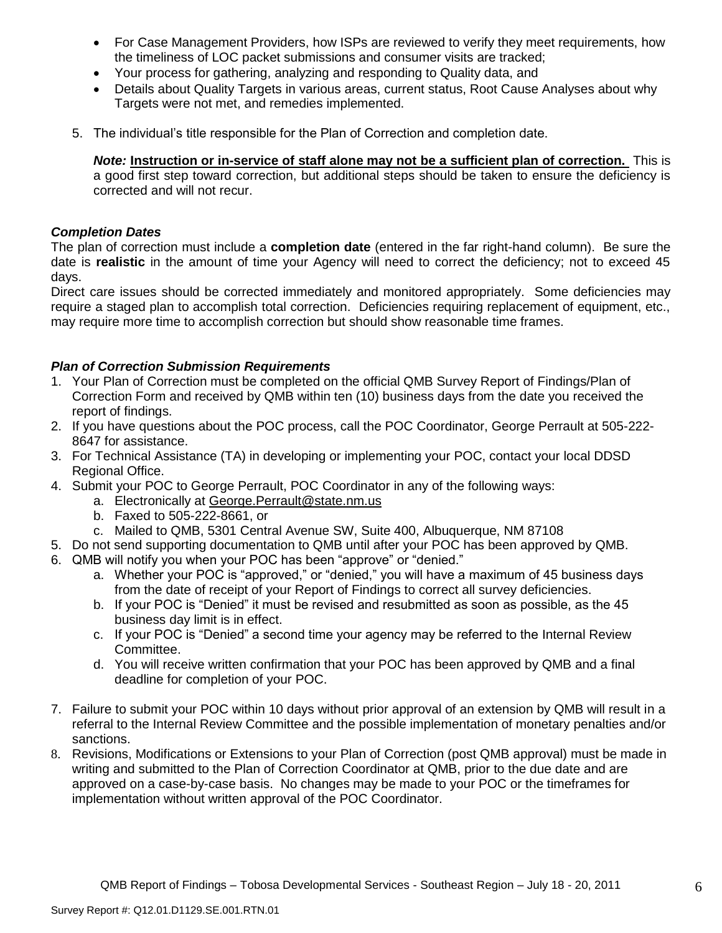- For Case Management Providers, how ISPs are reviewed to verify they meet requirements, how the timeliness of LOC packet submissions and consumer visits are tracked;
- Your process for gathering, analyzing and responding to Quality data, and
- Details about Quality Targets in various areas, current status, Root Cause Analyses about why Targets were not met, and remedies implemented.
- 5. The individual's title responsible for the Plan of Correction and completion date.

*Note:* **Instruction or in-service of staff alone may not be a sufficient plan of correction.** This is a good first step toward correction, but additional steps should be taken to ensure the deficiency is corrected and will not recur.

## *Completion Dates*

The plan of correction must include a **completion date** (entered in the far right-hand column). Be sure the date is **realistic** in the amount of time your Agency will need to correct the deficiency; not to exceed 45 days.

Direct care issues should be corrected immediately and monitored appropriately. Some deficiencies may require a staged plan to accomplish total correction. Deficiencies requiring replacement of equipment, etc., may require more time to accomplish correction but should show reasonable time frames.

# *Plan of Correction Submission Requirements*

- 1. Your Plan of Correction must be completed on the official QMB Survey Report of Findings/Plan of Correction Form and received by QMB within ten (10) business days from the date you received the report of findings.
- 2. If you have questions about the POC process, call the POC Coordinator, George Perrault at 505-222- 8647 for assistance.
- 3. For Technical Assistance (TA) in developing or implementing your POC, contact your local DDSD Regional Office.
- 4. Submit your POC to George Perrault, POC Coordinator in any of the following ways:
	- a. Electronically at [George.Perrault@state.nm.us](mailto:George.Perrault@state.nm.us)
	- b. Faxed to 505-222-8661, or
	- c. Mailed to QMB, 5301 Central Avenue SW, Suite 400, Albuquerque, NM 87108
- 5. Do not send supporting documentation to QMB until after your POC has been approved by QMB.
- 6. QMB will notify you when your POC has been "approve" or "denied."
	- a. Whether your POC is "approved," or "denied," you will have a maximum of 45 business days from the date of receipt of your Report of Findings to correct all survey deficiencies.
	- b. If your POC is "Denied" it must be revised and resubmitted as soon as possible, as the 45 business day limit is in effect.
	- c. If your POC is "Denied" a second time your agency may be referred to the Internal Review Committee.
	- d. You will receive written confirmation that your POC has been approved by QMB and a final deadline for completion of your POC.
- 7. Failure to submit your POC within 10 days without prior approval of an extension by QMB will result in a referral to the Internal Review Committee and the possible implementation of monetary penalties and/or sanctions.
- 8. Revisions, Modifications or Extensions to your Plan of Correction (post QMB approval) must be made in writing and submitted to the Plan of Correction Coordinator at QMB, prior to the due date and are approved on a case-by-case basis. No changes may be made to your POC or the timeframes for implementation without written approval of the POC Coordinator.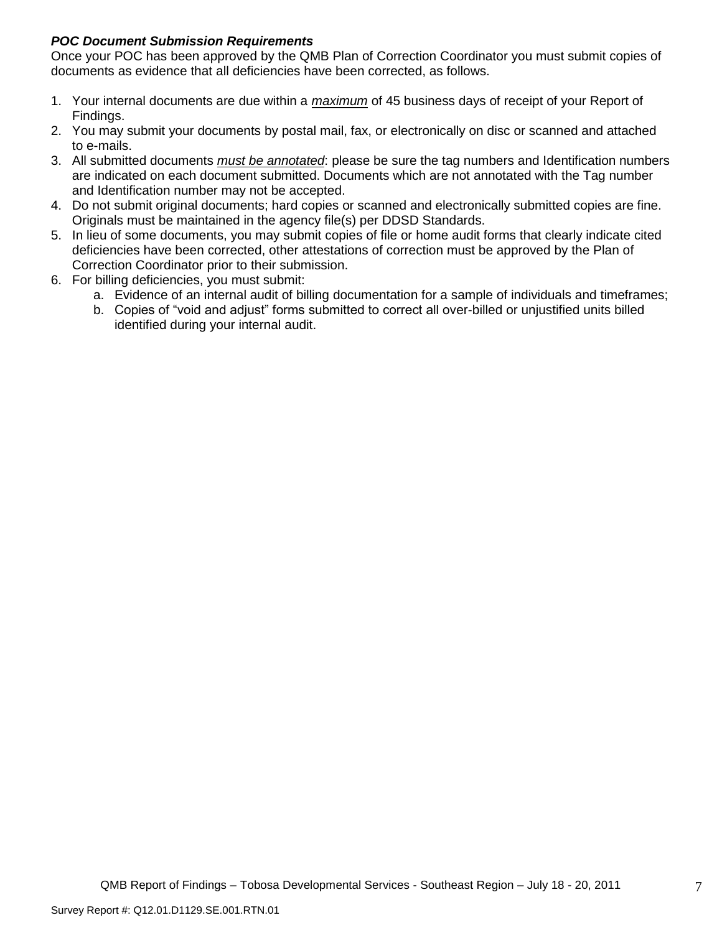# *POC Document Submission Requirements*

Once your POC has been approved by the QMB Plan of Correction Coordinator you must submit copies of documents as evidence that all deficiencies have been corrected, as follows.

- 1. Your internal documents are due within a *maximum* of 45 business days of receipt of your Report of Findings.
- 2. You may submit your documents by postal mail, fax, or electronically on disc or scanned and attached to e-mails.
- 3. All submitted documents *must be annotated*: please be sure the tag numbers and Identification numbers are indicated on each document submitted. Documents which are not annotated with the Tag number and Identification number may not be accepted.
- 4. Do not submit original documents; hard copies or scanned and electronically submitted copies are fine. Originals must be maintained in the agency file(s) per DDSD Standards.
- 5. In lieu of some documents, you may submit copies of file or home audit forms that clearly indicate cited deficiencies have been corrected, other attestations of correction must be approved by the Plan of Correction Coordinator prior to their submission.
- 6. For billing deficiencies, you must submit:
	- a. Evidence of an internal audit of billing documentation for a sample of individuals and timeframes;
	- b. Copies of "void and adjust" forms submitted to correct all over-billed or unjustified units billed identified during your internal audit.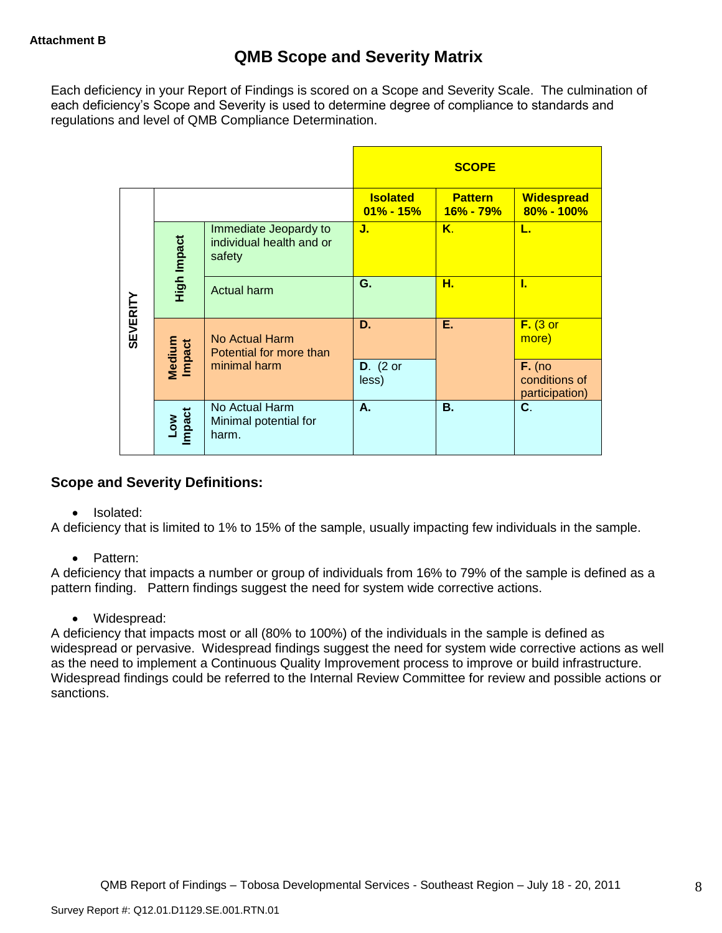Each deficiency in your Report of Findings is scored on a Scope and Severity Scale. The culmination of each deficiency's Scope and Severity is used to determine degree of compliance to standards and regulations and level of QMB Compliance Determination.

|                 |                      |                                                             |                                  | <b>SCOPE</b>                |                                             |
|-----------------|----------------------|-------------------------------------------------------------|----------------------------------|-----------------------------|---------------------------------------------|
|                 |                      |                                                             | <b>Isolated</b><br>$01\% - 15\%$ | <b>Pattern</b><br>16% - 79% | <b>Widespread</b><br>80% - 100%             |
|                 | High Impact          | Immediate Jeopardy to<br>individual health and or<br>safety | J.                               | Κ.                          | L.                                          |
|                 |                      | <b>Actual harm</b>                                          | G.                               | н.                          | L                                           |
| <b>SEVERITY</b> | Medium<br>Impact     | No Actual Harm<br>Potential for more than                   | D.                               | Ε.                          | $F.$ (3 or<br>more)                         |
|                 |                      | minimal harm                                                | $D.$ (2 or<br>less)              |                             | $F.$ (no<br>conditions of<br>participation) |
|                 | <b>Impact</b><br>Low | No Actual Harm<br>Minimal potential for<br>harm.            | А.                               | <b>B.</b>                   | C.                                          |

# **Scope and Severity Definitions:**

• Isolated:

A deficiency that is limited to 1% to 15% of the sample, usually impacting few individuals in the sample.

• Pattern:

A deficiency that impacts a number or group of individuals from 16% to 79% of the sample is defined as a pattern finding. Pattern findings suggest the need for system wide corrective actions.

• Widespread:

A deficiency that impacts most or all (80% to 100%) of the individuals in the sample is defined as widespread or pervasive. Widespread findings suggest the need for system wide corrective actions as well as the need to implement a Continuous Quality Improvement process to improve or build infrastructure. Widespread findings could be referred to the Internal Review Committee for review and possible actions or sanctions.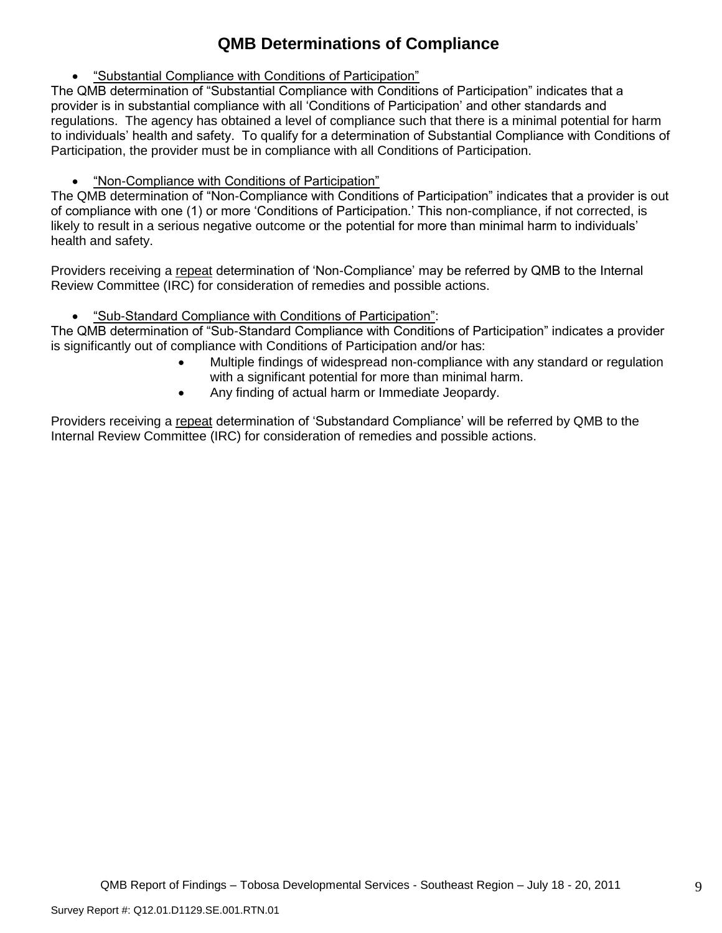# **QMB Determinations of Compliance**

"Substantial Compliance with Conditions of Participation"

The QMB determination of "Substantial Compliance with Conditions of Participation" indicates that a provider is in substantial compliance with all 'Conditions of Participation' and other standards and regulations. The agency has obtained a level of compliance such that there is a minimal potential for harm to individuals' health and safety. To qualify for a determination of Substantial Compliance with Conditions of Participation, the provider must be in compliance with all Conditions of Participation.

"Non-Compliance with Conditions of Participation"

The QMB determination of "Non-Compliance with Conditions of Participation" indicates that a provider is out of compliance with one (1) or more 'Conditions of Participation.' This non-compliance, if not corrected, is likely to result in a serious negative outcome or the potential for more than minimal harm to individuals' health and safety.

Providers receiving a repeat determination of 'Non-Compliance' may be referred by QMB to the Internal Review Committee (IRC) for consideration of remedies and possible actions.

"Sub-Standard Compliance with Conditions of Participation":

The QMB determination of "Sub-Standard Compliance with Conditions of Participation" indicates a provider is significantly out of compliance with Conditions of Participation and/or has:

- Multiple findings of widespread non-compliance with any standard or regulation with a significant potential for more than minimal harm.
- Any finding of actual harm or Immediate Jeopardy.

Providers receiving a repeat determination of 'Substandard Compliance' will be referred by QMB to the Internal Review Committee (IRC) for consideration of remedies and possible actions.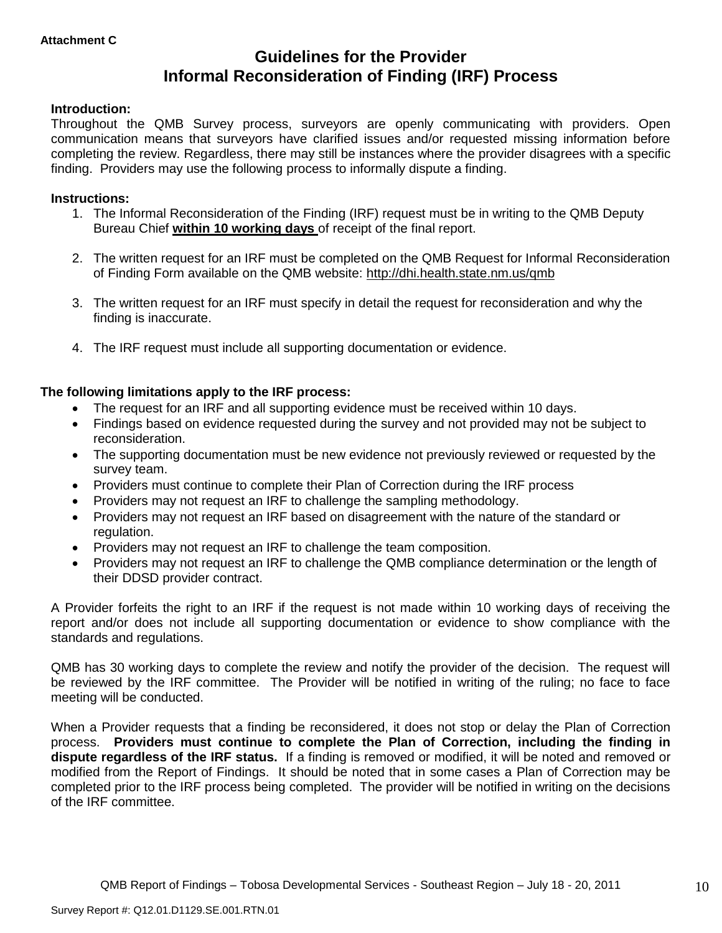# **Guidelines for the Provider Informal Reconsideration of Finding (IRF) Process**

### **Introduction:**

Throughout the QMB Survey process, surveyors are openly communicating with providers. Open communication means that surveyors have clarified issues and/or requested missing information before completing the review. Regardless, there may still be instances where the provider disagrees with a specific finding. Providers may use the following process to informally dispute a finding.

#### **Instructions:**

- 1. The Informal Reconsideration of the Finding (IRF) request must be in writing to the QMB Deputy Bureau Chief **within 10 working days** of receipt of the final report.
- 2. The written request for an IRF must be completed on the QMB Request for Informal Reconsideration of Finding Form available on the QMB website:<http://dhi.health.state.nm.us/qmb>
- 3. The written request for an IRF must specify in detail the request for reconsideration and why the finding is inaccurate.
- 4. The IRF request must include all supporting documentation or evidence.

### **The following limitations apply to the IRF process:**

- The request for an IRF and all supporting evidence must be received within 10 days.
- Findings based on evidence requested during the survey and not provided may not be subject to reconsideration.
- The supporting documentation must be new evidence not previously reviewed or requested by the survey team.
- Providers must continue to complete their Plan of Correction during the IRF process
- Providers may not request an IRF to challenge the sampling methodology.
- Providers may not request an IRF based on disagreement with the nature of the standard or regulation.
- Providers may not request an IRF to challenge the team composition.
- Providers may not request an IRF to challenge the QMB compliance determination or the length of their DDSD provider contract.

A Provider forfeits the right to an IRF if the request is not made within 10 working days of receiving the report and/or does not include all supporting documentation or evidence to show compliance with the standards and regulations.

QMB has 30 working days to complete the review and notify the provider of the decision. The request will be reviewed by the IRF committee. The Provider will be notified in writing of the ruling; no face to face meeting will be conducted.

When a Provider requests that a finding be reconsidered, it does not stop or delay the Plan of Correction process. **Providers must continue to complete the Plan of Correction, including the finding in dispute regardless of the IRF status.** If a finding is removed or modified, it will be noted and removed or modified from the Report of Findings. It should be noted that in some cases a Plan of Correction may be completed prior to the IRF process being completed. The provider will be notified in writing on the decisions of the IRF committee.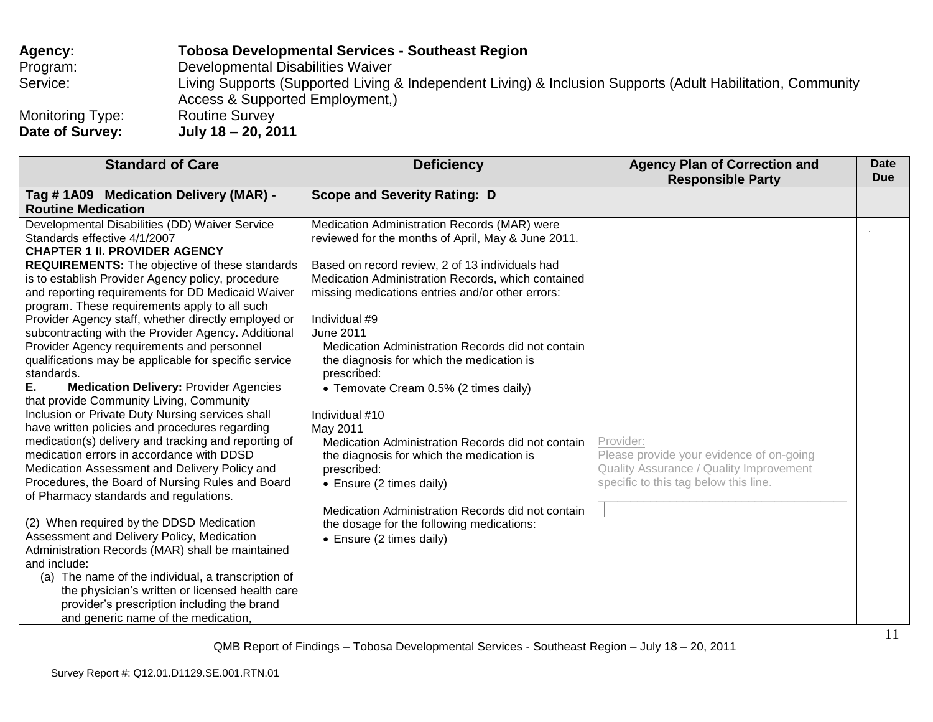# **Agency: Tobosa Developmental Services - Southeast Region** Program: Developmental Disabilities Waiver Service: Living Supports (Supported Living & Independent Living) & Inclusion Supports (Adult Habilitation, Community Access & Supported Employment,) Monitoring Type: Routine Survey<br>Date of Survey: July 18 - 20, 20 **Date of Survey: July 18 – 20, 2011**

| <b>Standard of Care</b>                                                                                                                                                                                                                                                                                                                                                                                                                                                                                                                                                                                                                                                                                                                                                                                                                                                                                                                                                                                                                                                                                                                                                                                                                                                                                                                                                                          | <b>Deficiency</b>                                                                                                                                                                                                                                                                                                                                                                                                                                                                                                                                                                                                                                                                                                                                                | <b>Agency Plan of Correction and</b><br><b>Responsible Party</b>                                                                          | <b>Date</b><br><b>Due</b> |
|--------------------------------------------------------------------------------------------------------------------------------------------------------------------------------------------------------------------------------------------------------------------------------------------------------------------------------------------------------------------------------------------------------------------------------------------------------------------------------------------------------------------------------------------------------------------------------------------------------------------------------------------------------------------------------------------------------------------------------------------------------------------------------------------------------------------------------------------------------------------------------------------------------------------------------------------------------------------------------------------------------------------------------------------------------------------------------------------------------------------------------------------------------------------------------------------------------------------------------------------------------------------------------------------------------------------------------------------------------------------------------------------------|------------------------------------------------------------------------------------------------------------------------------------------------------------------------------------------------------------------------------------------------------------------------------------------------------------------------------------------------------------------------------------------------------------------------------------------------------------------------------------------------------------------------------------------------------------------------------------------------------------------------------------------------------------------------------------------------------------------------------------------------------------------|-------------------------------------------------------------------------------------------------------------------------------------------|---------------------------|
| Tag #1A09 Medication Delivery (MAR) -<br><b>Routine Medication</b>                                                                                                                                                                                                                                                                                                                                                                                                                                                                                                                                                                                                                                                                                                                                                                                                                                                                                                                                                                                                                                                                                                                                                                                                                                                                                                                               | <b>Scope and Severity Rating: D</b>                                                                                                                                                                                                                                                                                                                                                                                                                                                                                                                                                                                                                                                                                                                              |                                                                                                                                           |                           |
| Developmental Disabilities (DD) Waiver Service<br>Standards effective 4/1/2007<br><b>CHAPTER 1 II. PROVIDER AGENCY</b><br>REQUIREMENTS: The objective of these standards<br>is to establish Provider Agency policy, procedure<br>and reporting requirements for DD Medicaid Waiver<br>program. These requirements apply to all such<br>Provider Agency staff, whether directly employed or<br>subcontracting with the Provider Agency. Additional<br>Provider Agency requirements and personnel<br>qualifications may be applicable for specific service<br>standards.<br>Е.<br><b>Medication Delivery: Provider Agencies</b><br>that provide Community Living, Community<br>Inclusion or Private Duty Nursing services shall<br>have written policies and procedures regarding<br>medication(s) delivery and tracking and reporting of<br>medication errors in accordance with DDSD<br>Medication Assessment and Delivery Policy and<br>Procedures, the Board of Nursing Rules and Board<br>of Pharmacy standards and regulations.<br>(2) When required by the DDSD Medication<br>Assessment and Delivery Policy, Medication<br>Administration Records (MAR) shall be maintained<br>and include:<br>(a) The name of the individual, a transcription of<br>the physician's written or licensed health care<br>provider's prescription including the brand<br>and generic name of the medication, | Medication Administration Records (MAR) were<br>reviewed for the months of April, May & June 2011.<br>Based on record review, 2 of 13 individuals had<br>Medication Administration Records, which contained<br>missing medications entries and/or other errors:<br>Individual #9<br>June 2011<br>Medication Administration Records did not contain<br>the diagnosis for which the medication is<br>prescribed:<br>• Temovate Cream 0.5% (2 times daily)<br>Individual #10<br>May 2011<br>Medication Administration Records did not contain<br>the diagnosis for which the medication is<br>prescribed:<br>• Ensure (2 times daily)<br>Medication Administration Records did not contain<br>the dosage for the following medications:<br>• Ensure (2 times daily) | Provider:<br>Please provide your evidence of on-going<br>Quality Assurance / Quality Improvement<br>specific to this tag below this line. |                           |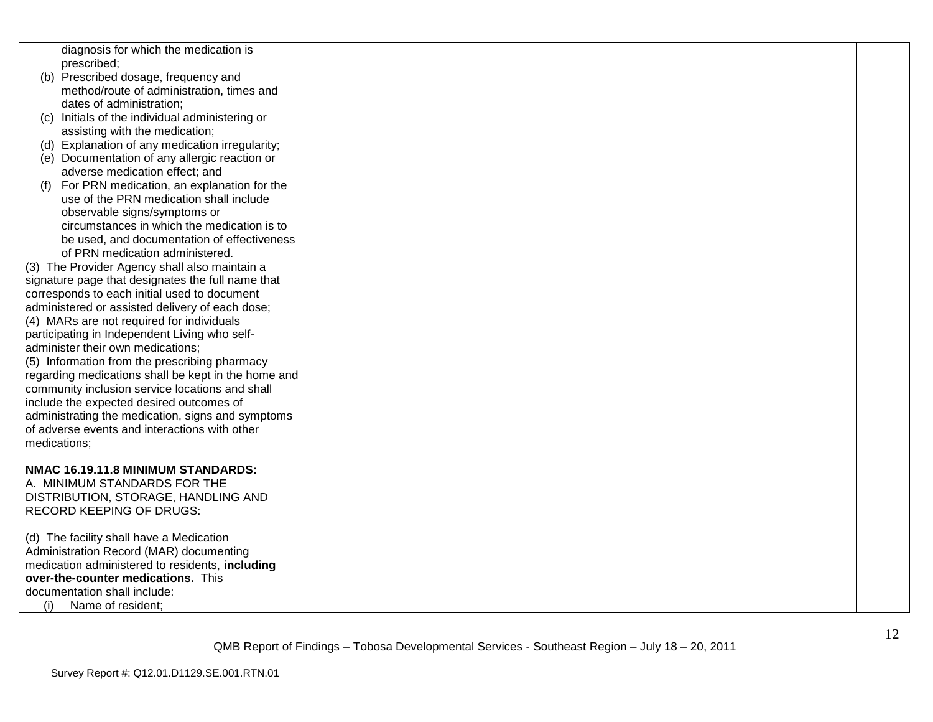| diagnosis for which the medication is<br>prescribed;                                               |  |  |
|----------------------------------------------------------------------------------------------------|--|--|
| (b) Prescribed dosage, frequency and                                                               |  |  |
| method/route of administration, times and<br>dates of administration;                              |  |  |
| (c) Initials of the individual administering or                                                    |  |  |
| assisting with the medication;<br>(d) Explanation of any medication irregularity;                  |  |  |
| (e) Documentation of any allergic reaction or                                                      |  |  |
| adverse medication effect; and                                                                     |  |  |
| For PRN medication, an explanation for the<br>(f)                                                  |  |  |
| use of the PRN medication shall include                                                            |  |  |
| observable signs/symptoms or                                                                       |  |  |
| circumstances in which the medication is to                                                        |  |  |
| be used, and documentation of effectiveness                                                        |  |  |
| of PRN medication administered.                                                                    |  |  |
| (3) The Provider Agency shall also maintain a                                                      |  |  |
| signature page that designates the full name that<br>corresponds to each initial used to document  |  |  |
| administered or assisted delivery of each dose;                                                    |  |  |
| (4) MARs are not required for individuals                                                          |  |  |
| participating in Independent Living who self-                                                      |  |  |
| administer their own medications;                                                                  |  |  |
| (5) Information from the prescribing pharmacy                                                      |  |  |
| regarding medications shall be kept in the home and                                                |  |  |
| community inclusion service locations and shall                                                    |  |  |
| include the expected desired outcomes of                                                           |  |  |
| administrating the medication, signs and symptoms<br>of adverse events and interactions with other |  |  |
| medications;                                                                                       |  |  |
|                                                                                                    |  |  |
| NMAC 16.19.11.8 MINIMUM STANDARDS:                                                                 |  |  |
| A. MINIMUM STANDARDS FOR THE                                                                       |  |  |
| DISTRIBUTION, STORAGE, HANDLING AND                                                                |  |  |
| <b>RECORD KEEPING OF DRUGS:</b>                                                                    |  |  |
| (d) The facility shall have a Medication                                                           |  |  |
| Administration Record (MAR) documenting                                                            |  |  |
| medication administered to residents, including                                                    |  |  |
| over-the-counter medications. This                                                                 |  |  |
| documentation shall include:                                                                       |  |  |
| Name of resident;<br>(i)                                                                           |  |  |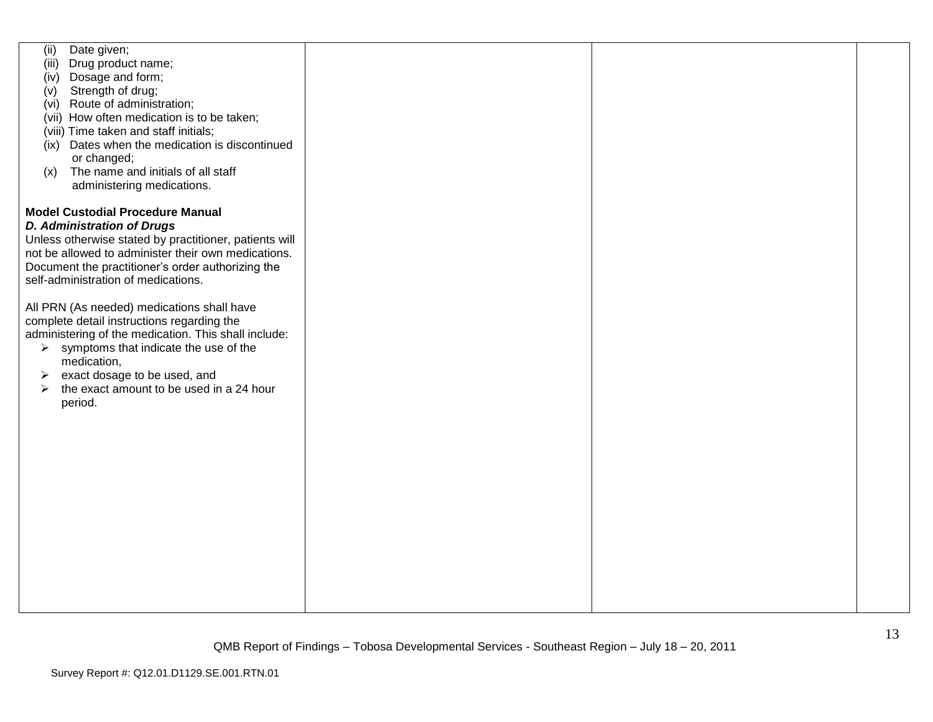| (ii)<br>Date given;                                    |  |  |
|--------------------------------------------------------|--|--|
| (iii) Drug product name;                               |  |  |
| Dosage and form;<br>(iv)                               |  |  |
| Strength of drug;<br>(v)                               |  |  |
| Route of administration;<br>(vi)                       |  |  |
| (vii) How often medication is to be taken;             |  |  |
| (viii) Time taken and staff initials;                  |  |  |
| (ix) Dates when the medication is discontinued         |  |  |
| or changed;                                            |  |  |
| The name and initials of all staff<br>(x)              |  |  |
| administering medications.                             |  |  |
|                                                        |  |  |
| <b>Model Custodial Procedure Manual</b>                |  |  |
| <b>D. Administration of Drugs</b>                      |  |  |
| Unless otherwise stated by practitioner, patients will |  |  |
| not be allowed to administer their own medications.    |  |  |
| Document the practitioner's order authorizing the      |  |  |
| self-administration of medications.                    |  |  |
|                                                        |  |  |
| All PRN (As needed) medications shall have             |  |  |
| complete detail instructions regarding the             |  |  |
| administering of the medication. This shall include:   |  |  |
| $\triangleright$ symptoms that indicate the use of the |  |  |
| medication,                                            |  |  |
| exact dosage to be used, and<br>➤                      |  |  |
| the exact amount to be used in a 24 hour<br>≻          |  |  |
| period.                                                |  |  |
|                                                        |  |  |
|                                                        |  |  |
|                                                        |  |  |
|                                                        |  |  |
|                                                        |  |  |
|                                                        |  |  |
|                                                        |  |  |
|                                                        |  |  |
|                                                        |  |  |
|                                                        |  |  |
|                                                        |  |  |
|                                                        |  |  |
|                                                        |  |  |
|                                                        |  |  |
|                                                        |  |  |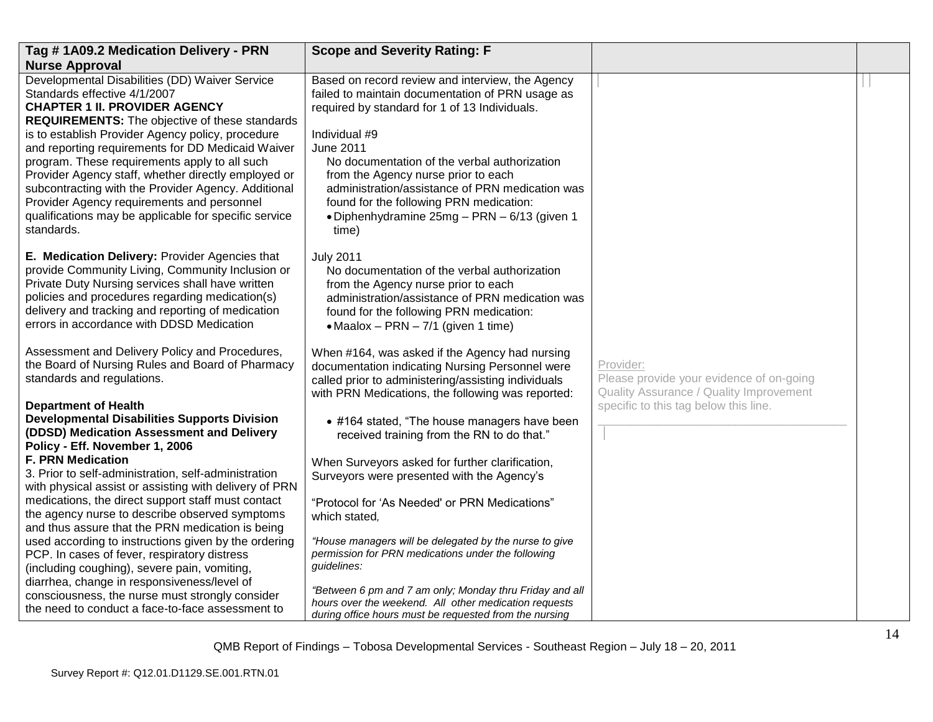| Tag #1A09.2 Medication Delivery - PRN                                                                                                                                                                                                                                                                                                                                                                                                                                                                                                                                         | <b>Scope and Severity Rating: F</b>                                                                                                                                                                                                                                                                                                                                                                                                      |                                                                                                                                           |  |
|-------------------------------------------------------------------------------------------------------------------------------------------------------------------------------------------------------------------------------------------------------------------------------------------------------------------------------------------------------------------------------------------------------------------------------------------------------------------------------------------------------------------------------------------------------------------------------|------------------------------------------------------------------------------------------------------------------------------------------------------------------------------------------------------------------------------------------------------------------------------------------------------------------------------------------------------------------------------------------------------------------------------------------|-------------------------------------------------------------------------------------------------------------------------------------------|--|
| <b>Nurse Approval</b>                                                                                                                                                                                                                                                                                                                                                                                                                                                                                                                                                         |                                                                                                                                                                                                                                                                                                                                                                                                                                          |                                                                                                                                           |  |
| Developmental Disabilities (DD) Waiver Service<br>Standards effective 4/1/2007<br><b>CHAPTER 1 II. PROVIDER AGENCY</b><br><b>REQUIREMENTS:</b> The objective of these standards<br>is to establish Provider Agency policy, procedure<br>and reporting requirements for DD Medicaid Waiver<br>program. These requirements apply to all such<br>Provider Agency staff, whether directly employed or<br>subcontracting with the Provider Agency. Additional<br>Provider Agency requirements and personnel<br>qualifications may be applicable for specific service<br>standards. | Based on record review and interview, the Agency<br>failed to maintain documentation of PRN usage as<br>required by standard for 1 of 13 Individuals.<br>Individual #9<br><b>June 2011</b><br>No documentation of the verbal authorization<br>from the Agency nurse prior to each<br>administration/assistance of PRN medication was<br>found for the following PRN medication:<br>• Diphenhydramine 25mg - PRN - 6/13 (given 1<br>time) |                                                                                                                                           |  |
| E. Medication Delivery: Provider Agencies that<br>provide Community Living, Community Inclusion or<br>Private Duty Nursing services shall have written<br>policies and procedures regarding medication(s)<br>delivery and tracking and reporting of medication<br>errors in accordance with DDSD Medication                                                                                                                                                                                                                                                                   | <b>July 2011</b><br>No documentation of the verbal authorization<br>from the Agency nurse prior to each<br>administration/assistance of PRN medication was<br>found for the following PRN medication:<br>• Maalox - PRN - $7/1$ (given 1 time)                                                                                                                                                                                           |                                                                                                                                           |  |
| Assessment and Delivery Policy and Procedures,<br>the Board of Nursing Rules and Board of Pharmacy<br>standards and regulations.<br><b>Department of Health</b>                                                                                                                                                                                                                                                                                                                                                                                                               | When #164, was asked if the Agency had nursing<br>documentation indicating Nursing Personnel were<br>called prior to administering/assisting individuals<br>with PRN Medications, the following was reported:                                                                                                                                                                                                                            | Provider:<br>Please provide your evidence of on-going<br>Quality Assurance / Quality Improvement<br>specific to this tag below this line. |  |
| <b>Developmental Disabilities Supports Division</b><br>(DDSD) Medication Assessment and Delivery<br>Policy - Eff. November 1, 2006                                                                                                                                                                                                                                                                                                                                                                                                                                            | • #164 stated, "The house managers have been<br>received training from the RN to do that."                                                                                                                                                                                                                                                                                                                                               |                                                                                                                                           |  |
| <b>F. PRN Medication</b><br>3. Prior to self-administration, self-administration<br>with physical assist or assisting with delivery of PRN                                                                                                                                                                                                                                                                                                                                                                                                                                    | When Surveyors asked for further clarification,<br>Surveyors were presented with the Agency's                                                                                                                                                                                                                                                                                                                                            |                                                                                                                                           |  |
| medications, the direct support staff must contact<br>the agency nurse to describe observed symptoms<br>and thus assure that the PRN medication is being                                                                                                                                                                                                                                                                                                                                                                                                                      | "Protocol for 'As Needed' or PRN Medications"<br>which stated,                                                                                                                                                                                                                                                                                                                                                                           |                                                                                                                                           |  |
| used according to instructions given by the ordering<br>PCP. In cases of fever, respiratory distress<br>(including coughing), severe pain, vomiting,<br>diarrhea, change in responsiveness/level of                                                                                                                                                                                                                                                                                                                                                                           | "House managers will be delegated by the nurse to give<br>permission for PRN medications under the following<br>guidelines:                                                                                                                                                                                                                                                                                                              |                                                                                                                                           |  |
| consciousness, the nurse must strongly consider<br>the need to conduct a face-to-face assessment to                                                                                                                                                                                                                                                                                                                                                                                                                                                                           | "Between 6 pm and 7 am only; Monday thru Friday and all<br>hours over the weekend. All other medication requests<br>during office hours must be requested from the nursing                                                                                                                                                                                                                                                               |                                                                                                                                           |  |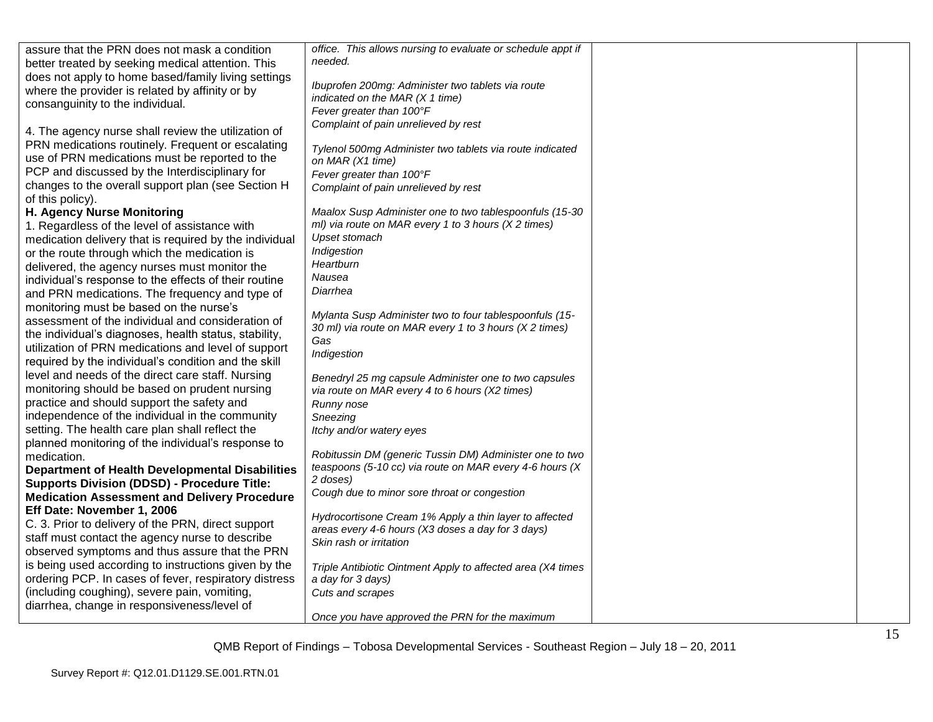| assure that the PRN does not mask a condition          | office. This allows nursing to evaluate or schedule appt if |  |
|--------------------------------------------------------|-------------------------------------------------------------|--|
| better treated by seeking medical attention. This      | needed.                                                     |  |
| does not apply to home based/family living settings    | Ibuprofen 200mg: Administer two tablets via route           |  |
| where the provider is related by affinity or by        | indicated on the MAR $(X 1$ time)                           |  |
| consanguinity to the individual.                       | Fever greater than 100°F                                    |  |
|                                                        | Complaint of pain unrelieved by rest                        |  |
| 4. The agency nurse shall review the utilization of    |                                                             |  |
| PRN medications routinely. Frequent or escalating      | Tylenol 500mg Administer two tablets via route indicated    |  |
| use of PRN medications must be reported to the         | on MAR (X1 time)                                            |  |
| PCP and discussed by the Interdisciplinary for         | Fever greater than 100°F                                    |  |
| changes to the overall support plan (see Section H     | Complaint of pain unrelieved by rest                        |  |
| of this policy).                                       |                                                             |  |
| <b>H. Agency Nurse Monitoring</b>                      | Maalox Susp Administer one to two tablespoonfuls (15-30     |  |
| 1. Regardless of the level of assistance with          | ml) via route on MAR every 1 to 3 hours (X 2 times)         |  |
| medication delivery that is required by the individual | Upset stomach                                               |  |
| or the route through which the medication is           | Indigestion                                                 |  |
| delivered, the agency nurses must monitor the          | Heartburn                                                   |  |
| individual's response to the effects of their routine  | Nausea                                                      |  |
| and PRN medications. The frequency and type of         | Diarrhea                                                    |  |
| monitoring must be based on the nurse's                |                                                             |  |
| assessment of the individual and consideration of      | Mylanta Susp Administer two to four tablespoonfuls (15-     |  |
| the individual's diagnoses, health status, stability,  | 30 ml) via route on MAR every 1 to 3 hours (X 2 times)      |  |
| utilization of PRN medications and level of support    | Gas                                                         |  |
| required by the individual's condition and the skill   | Indigestion                                                 |  |
| level and needs of the direct care staff. Nursing      | Benedryl 25 mg capsule Administer one to two capsules       |  |
| monitoring should be based on prudent nursing          | via route on MAR every 4 to 6 hours (X2 times)              |  |
| practice and should support the safety and             | Runny nose                                                  |  |
| independence of the individual in the community        | Sneezing                                                    |  |
| setting. The health care plan shall reflect the        | Itchy and/or watery eyes                                    |  |
| planned monitoring of the individual's response to     |                                                             |  |
| medication.                                            | Robitussin DM (generic Tussin DM) Administer one to two     |  |
| <b>Department of Health Developmental Disabilities</b> | teaspoons (5-10 cc) via route on MAR every 4-6 hours (X     |  |
| <b>Supports Division (DDSD) - Procedure Title:</b>     | 2 doses)                                                    |  |
| <b>Medication Assessment and Delivery Procedure</b>    | Cough due to minor sore throat or congestion                |  |
| Eff Date: November 1, 2006                             |                                                             |  |
| C. 3. Prior to delivery of the PRN, direct support     | Hydrocortisone Cream 1% Apply a thin layer to affected      |  |
| staff must contact the agency nurse to describe        | areas every 4-6 hours (X3 doses a day for 3 days)           |  |
| observed symptoms and thus assure that the PRN         | Skin rash or irritation                                     |  |
| is being used according to instructions given by the   |                                                             |  |
| ordering PCP. In cases of fever, respiratory distress  | Triple Antibiotic Ointment Apply to affected area (X4 times |  |
| (including coughing), severe pain, vomiting,           | a day for 3 days)                                           |  |
|                                                        | Cuts and scrapes                                            |  |
| diarrhea, change in responsiveness/level of            | Once you have approved the PRN for the maximum              |  |
|                                                        |                                                             |  |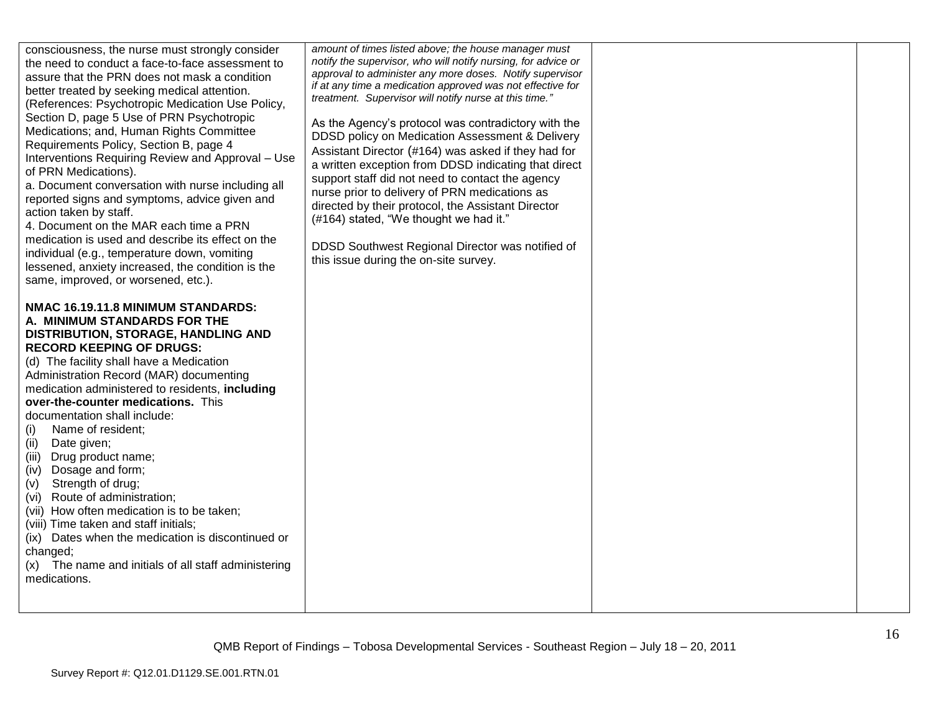| consciousness, the nurse must strongly consider<br>the need to conduct a face-to-face assessment to<br>assure that the PRN does not mask a condition<br>better treated by seeking medical attention.<br>(References: Psychotropic Medication Use Policy,<br>Section D, page 5 Use of PRN Psychotropic<br>Medications; and, Human Rights Committee<br>Requirements Policy, Section B, page 4<br>Interventions Requiring Review and Approval - Use<br>of PRN Medications).<br>a. Document conversation with nurse including all<br>reported signs and symptoms, advice given and<br>action taken by staff.<br>4. Document on the MAR each time a PRN<br>medication is used and describe its effect on the<br>individual (e.g., temperature down, vomiting<br>lessened, anxiety increased, the condition is the<br>same, improved, or worsened, etc.). | amount of times listed above; the house manager must<br>notify the supervisor, who will notify nursing, for advice or<br>approval to administer any more doses. Notify supervisor<br>if at any time a medication approved was not effective for<br>treatment. Supervisor will notify nurse at this time."<br>As the Agency's protocol was contradictory with the<br>DDSD policy on Medication Assessment & Delivery<br>Assistant Director (#164) was asked if they had for<br>a written exception from DDSD indicating that direct<br>support staff did not need to contact the agency<br>nurse prior to delivery of PRN medications as<br>directed by their protocol, the Assistant Director<br>(#164) stated, "We thought we had it."<br>DDSD Southwest Regional Director was notified of<br>this issue during the on-site survey. |  |
|-----------------------------------------------------------------------------------------------------------------------------------------------------------------------------------------------------------------------------------------------------------------------------------------------------------------------------------------------------------------------------------------------------------------------------------------------------------------------------------------------------------------------------------------------------------------------------------------------------------------------------------------------------------------------------------------------------------------------------------------------------------------------------------------------------------------------------------------------------|--------------------------------------------------------------------------------------------------------------------------------------------------------------------------------------------------------------------------------------------------------------------------------------------------------------------------------------------------------------------------------------------------------------------------------------------------------------------------------------------------------------------------------------------------------------------------------------------------------------------------------------------------------------------------------------------------------------------------------------------------------------------------------------------------------------------------------------|--|
| NMAC 16.19.11.8 MINIMUM STANDARDS:<br>A. MINIMUM STANDARDS FOR THE<br>DISTRIBUTION, STORAGE, HANDLING AND<br><b>RECORD KEEPING OF DRUGS:</b><br>(d) The facility shall have a Medication<br>Administration Record (MAR) documenting<br>medication administered to residents, including<br>over-the-counter medications. This<br>documentation shall include:<br>Name of resident;<br>(i)<br>Date given;<br>(ii)<br>Drug product name;<br>(iii)<br>Dosage and form;<br>(iv)<br>Strength of drug;<br>(v)<br>(vi) Route of administration;<br>(vii) How often medication is to be taken;<br>(viii) Time taken and staff initials;<br>(ix) Dates when the medication is discontinued or<br>changed;<br>(x) The name and initials of all staff administering<br>medications.                                                                             |                                                                                                                                                                                                                                                                                                                                                                                                                                                                                                                                                                                                                                                                                                                                                                                                                                      |  |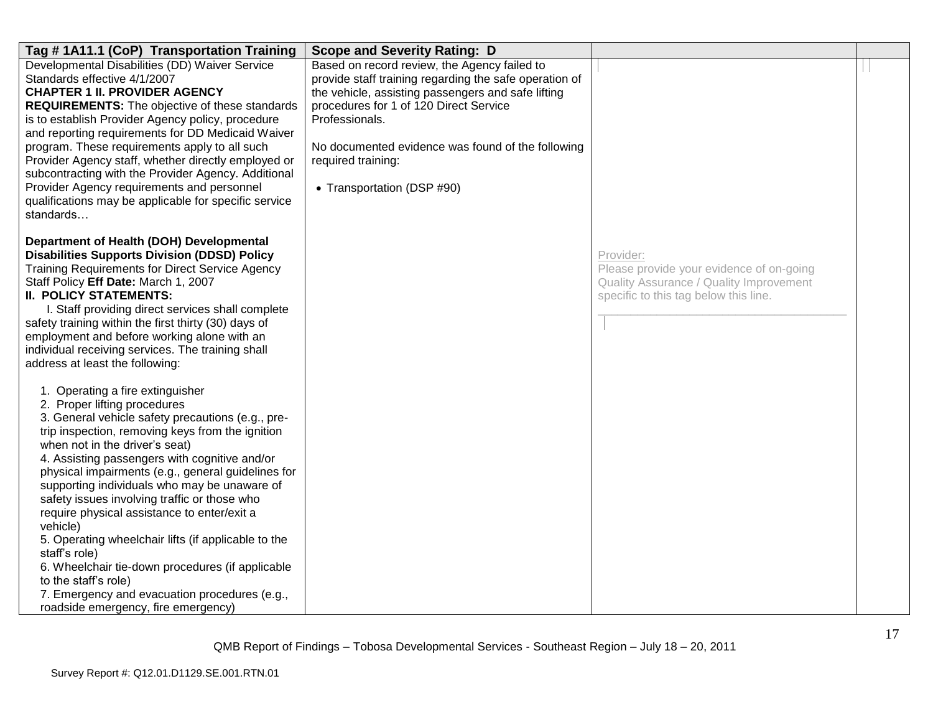| Tag #1A11.1 (CoP) Transportation Training                                                                                                                                                                                                                                                                                                                                                                                                                                                                                                                                                                                                                                                                                 | <b>Scope and Severity Rating: D</b>                                                                                                                                                                                                                                                                                               |                                                                                                                                           |  |
|---------------------------------------------------------------------------------------------------------------------------------------------------------------------------------------------------------------------------------------------------------------------------------------------------------------------------------------------------------------------------------------------------------------------------------------------------------------------------------------------------------------------------------------------------------------------------------------------------------------------------------------------------------------------------------------------------------------------------|-----------------------------------------------------------------------------------------------------------------------------------------------------------------------------------------------------------------------------------------------------------------------------------------------------------------------------------|-------------------------------------------------------------------------------------------------------------------------------------------|--|
| Developmental Disabilities (DD) Waiver Service<br>Standards effective 4/1/2007<br><b>CHAPTER 1 II. PROVIDER AGENCY</b><br><b>REQUIREMENTS:</b> The objective of these standards<br>is to establish Provider Agency policy, procedure<br>and reporting requirements for DD Medicaid Waiver<br>program. These requirements apply to all such<br>Provider Agency staff, whether directly employed or<br>subcontracting with the Provider Agency. Additional<br>Provider Agency requirements and personnel<br>qualifications may be applicable for specific service<br>standards                                                                                                                                              | Based on record review, the Agency failed to<br>provide staff training regarding the safe operation of<br>the vehicle, assisting passengers and safe lifting<br>procedures for 1 of 120 Direct Service<br>Professionals.<br>No documented evidence was found of the following<br>required training:<br>• Transportation (DSP #90) |                                                                                                                                           |  |
| Department of Health (DOH) Developmental<br><b>Disabilities Supports Division (DDSD) Policy</b><br><b>Training Requirements for Direct Service Agency</b><br>Staff Policy Eff Date: March 1, 2007<br><b>II. POLICY STATEMENTS:</b><br>I. Staff providing direct services shall complete<br>safety training within the first thirty (30) days of<br>employment and before working alone with an<br>individual receiving services. The training shall<br>address at least the following:                                                                                                                                                                                                                                    |                                                                                                                                                                                                                                                                                                                                   | Provider:<br>Please provide your evidence of on-going<br>Quality Assurance / Quality Improvement<br>specific to this tag below this line. |  |
| 1. Operating a fire extinguisher<br>2. Proper lifting procedures<br>3. General vehicle safety precautions (e.g., pre-<br>trip inspection, removing keys from the ignition<br>when not in the driver's seat)<br>4. Assisting passengers with cognitive and/or<br>physical impairments (e.g., general guidelines for<br>supporting individuals who may be unaware of<br>safety issues involving traffic or those who<br>require physical assistance to enter/exit a<br>vehicle)<br>5. Operating wheelchair lifts (if applicable to the<br>staff's role)<br>6. Wheelchair tie-down procedures (if applicable<br>to the staff's role)<br>7. Emergency and evacuation procedures (e.g.,<br>roadside emergency, fire emergency) |                                                                                                                                                                                                                                                                                                                                   |                                                                                                                                           |  |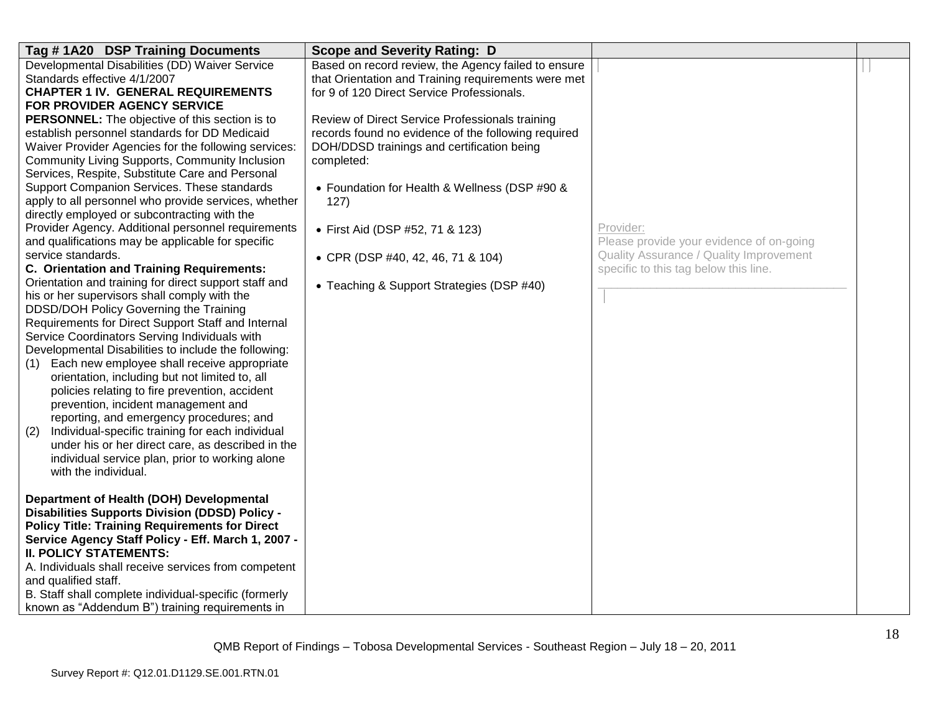| Tag #1A20 DSP Training Documents                        | <b>Scope and Severity Rating: D</b>                 |                                          |  |
|---------------------------------------------------------|-----------------------------------------------------|------------------------------------------|--|
| Developmental Disabilities (DD) Waiver Service          | Based on record review, the Agency failed to ensure |                                          |  |
| Standards effective 4/1/2007                            | that Orientation and Training requirements were met |                                          |  |
| <b>CHAPTER 1 IV. GENERAL REQUIREMENTS</b>               | for 9 of 120 Direct Service Professionals.          |                                          |  |
| FOR PROVIDER AGENCY SERVICE                             |                                                     |                                          |  |
| PERSONNEL: The objective of this section is to          | Review of Direct Service Professionals training     |                                          |  |
| establish personnel standards for DD Medicaid           | records found no evidence of the following required |                                          |  |
| Waiver Provider Agencies for the following services:    | DOH/DDSD trainings and certification being          |                                          |  |
| Community Living Supports, Community Inclusion          | completed:                                          |                                          |  |
| Services, Respite, Substitute Care and Personal         |                                                     |                                          |  |
| Support Companion Services. These standards             | • Foundation for Health & Wellness (DSP #90 &       |                                          |  |
| apply to all personnel who provide services, whether    | 127)                                                |                                          |  |
| directly employed or subcontracting with the            |                                                     |                                          |  |
| Provider Agency. Additional personnel requirements      | • First Aid (DSP #52, 71 & 123)                     | Provider:                                |  |
| and qualifications may be applicable for specific       |                                                     | Please provide your evidence of on-going |  |
| service standards.                                      | • CPR (DSP #40, 42, 46, 71 & 104)                   | Quality Assurance / Quality Improvement  |  |
| C. Orientation and Training Requirements:               |                                                     | specific to this tag below this line.    |  |
| Orientation and training for direct support staff and   | • Teaching & Support Strategies (DSP #40)           |                                          |  |
| his or her supervisors shall comply with the            |                                                     |                                          |  |
| DDSD/DOH Policy Governing the Training                  |                                                     |                                          |  |
| Requirements for Direct Support Staff and Internal      |                                                     |                                          |  |
| Service Coordinators Serving Individuals with           |                                                     |                                          |  |
| Developmental Disabilities to include the following:    |                                                     |                                          |  |
| Each new employee shall receive appropriate<br>(1)      |                                                     |                                          |  |
| orientation, including but not limited to, all          |                                                     |                                          |  |
| policies relating to fire prevention, accident          |                                                     |                                          |  |
| prevention, incident management and                     |                                                     |                                          |  |
| reporting, and emergency procedures; and                |                                                     |                                          |  |
| Individual-specific training for each individual<br>(2) |                                                     |                                          |  |
| under his or her direct care, as described in the       |                                                     |                                          |  |
| individual service plan, prior to working alone         |                                                     |                                          |  |
| with the individual.                                    |                                                     |                                          |  |
| Department of Health (DOH) Developmental                |                                                     |                                          |  |
| <b>Disabilities Supports Division (DDSD) Policy -</b>   |                                                     |                                          |  |
| <b>Policy Title: Training Requirements for Direct</b>   |                                                     |                                          |  |
| Service Agency Staff Policy - Eff. March 1, 2007 -      |                                                     |                                          |  |
| <b>II. POLICY STATEMENTS:</b>                           |                                                     |                                          |  |
| A. Individuals shall receive services from competent    |                                                     |                                          |  |
| and qualified staff.                                    |                                                     |                                          |  |
| B. Staff shall complete individual-specific (formerly   |                                                     |                                          |  |
|                                                         |                                                     |                                          |  |
| known as "Addendum B") training requirements in         |                                                     |                                          |  |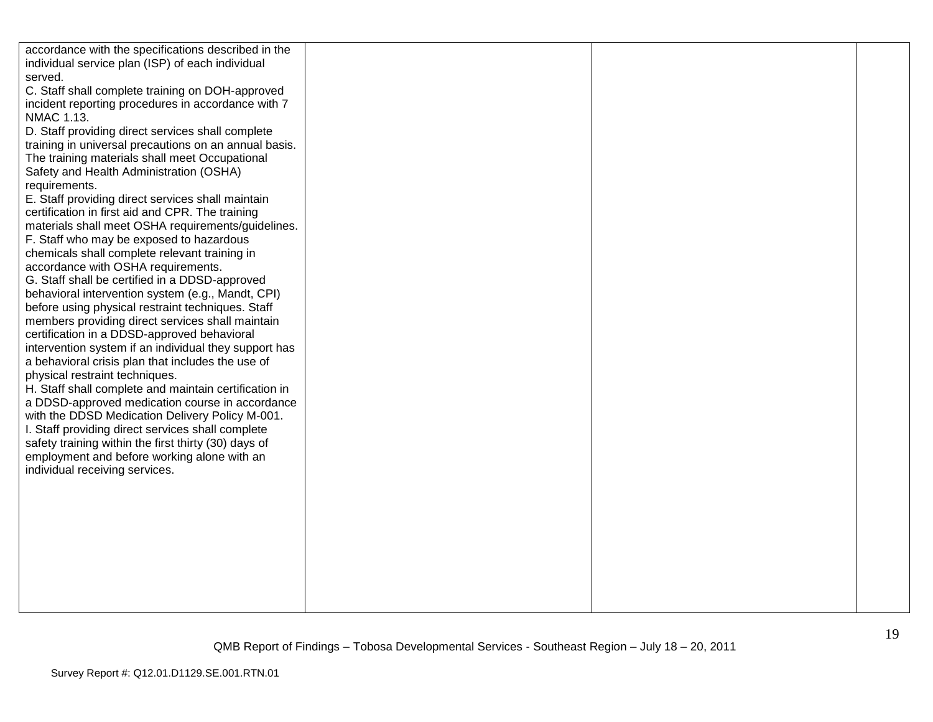| accordance with the specifications described in the   |  |  |
|-------------------------------------------------------|--|--|
| individual service plan (ISP) of each individual      |  |  |
| served.                                               |  |  |
| C. Staff shall complete training on DOH-approved      |  |  |
| incident reporting procedures in accordance with 7    |  |  |
| NMAC 1.13.                                            |  |  |
| D. Staff providing direct services shall complete     |  |  |
| training in universal precautions on an annual basis. |  |  |
| The training materials shall meet Occupational        |  |  |
| Safety and Health Administration (OSHA)               |  |  |
| requirements.                                         |  |  |
| E. Staff providing direct services shall maintain     |  |  |
| certification in first aid and CPR. The training      |  |  |
| materials shall meet OSHA requirements/guidelines.    |  |  |
| F. Staff who may be exposed to hazardous              |  |  |
| chemicals shall complete relevant training in         |  |  |
| accordance with OSHA requirements.                    |  |  |
| G. Staff shall be certified in a DDSD-approved        |  |  |
| behavioral intervention system (e.g., Mandt, CPI)     |  |  |
| before using physical restraint techniques. Staff     |  |  |
| members providing direct services shall maintain      |  |  |
| certification in a DDSD-approved behavioral           |  |  |
| intervention system if an individual they support has |  |  |
| a behavioral crisis plan that includes the use of     |  |  |
| physical restraint techniques.                        |  |  |
| H. Staff shall complete and maintain certification in |  |  |
| a DDSD-approved medication course in accordance       |  |  |
| with the DDSD Medication Delivery Policy M-001.       |  |  |
| I. Staff providing direct services shall complete     |  |  |
| safety training within the first thirty (30) days of  |  |  |
| employment and before working alone with an           |  |  |
| individual receiving services.                        |  |  |
|                                                       |  |  |
|                                                       |  |  |
|                                                       |  |  |
|                                                       |  |  |
|                                                       |  |  |
|                                                       |  |  |
|                                                       |  |  |
|                                                       |  |  |
|                                                       |  |  |
|                                                       |  |  |
|                                                       |  |  |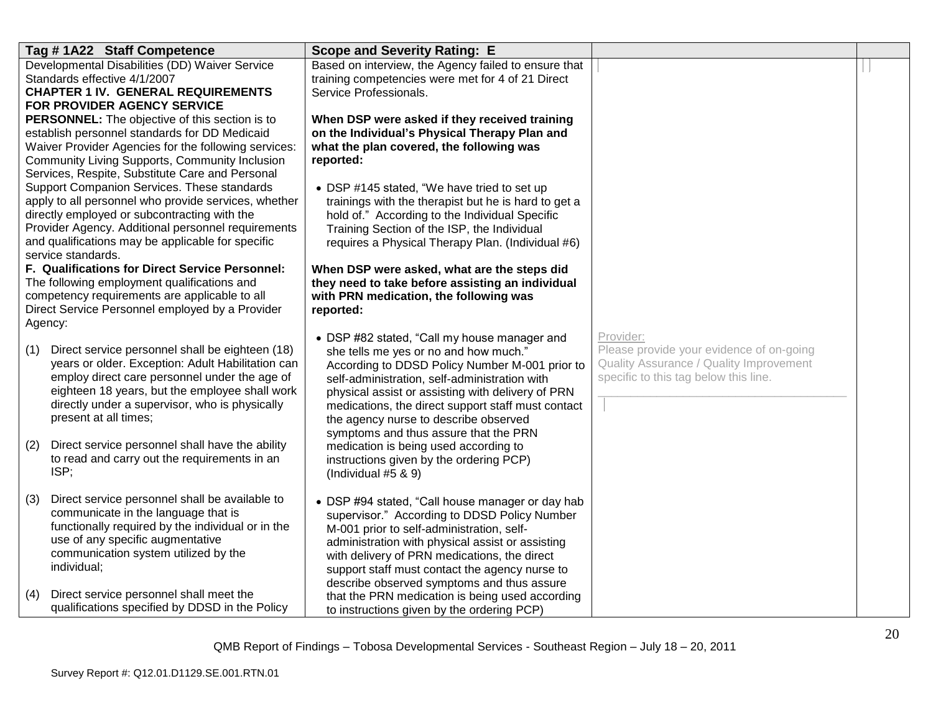| Tag #1A22 Staff Competence                                                                                                                                                                                                                                                                | <b>Scope and Severity Rating: E</b>                                                                                                                                                                                                                                                                                                                                                   |                                                                                                                                           |  |
|-------------------------------------------------------------------------------------------------------------------------------------------------------------------------------------------------------------------------------------------------------------------------------------------|---------------------------------------------------------------------------------------------------------------------------------------------------------------------------------------------------------------------------------------------------------------------------------------------------------------------------------------------------------------------------------------|-------------------------------------------------------------------------------------------------------------------------------------------|--|
| Developmental Disabilities (DD) Waiver Service<br>Standards effective 4/1/2007<br><b>CHAPTER 1 IV. GENERAL REQUIREMENTS</b><br><b>FOR PROVIDER AGENCY SERVICE</b>                                                                                                                         | Based on interview, the Agency failed to ensure that<br>training competencies were met for 4 of 21 Direct<br>Service Professionals.                                                                                                                                                                                                                                                   |                                                                                                                                           |  |
| <b>PERSONNEL:</b> The objective of this section is to<br>establish personnel standards for DD Medicaid<br>Waiver Provider Agencies for the following services:<br>Community Living Supports, Community Inclusion<br>Services, Respite, Substitute Care and Personal                       | When DSP were asked if they received training<br>on the Individual's Physical Therapy Plan and<br>what the plan covered, the following was<br>reported:                                                                                                                                                                                                                               |                                                                                                                                           |  |
| Support Companion Services. These standards<br>apply to all personnel who provide services, whether<br>directly employed or subcontracting with the<br>Provider Agency. Additional personnel requirements<br>and qualifications may be applicable for specific<br>service standards.      | • DSP #145 stated, "We have tried to set up<br>trainings with the therapist but he is hard to get a<br>hold of." According to the Individual Specific<br>Training Section of the ISP, the Individual<br>requires a Physical Therapy Plan. (Individual #6)                                                                                                                             |                                                                                                                                           |  |
| F. Qualifications for Direct Service Personnel:<br>The following employment qualifications and<br>competency requirements are applicable to all<br>Direct Service Personnel employed by a Provider<br>Agency:                                                                             | When DSP were asked, what are the steps did<br>they need to take before assisting an individual<br>with PRN medication, the following was<br>reported:                                                                                                                                                                                                                                |                                                                                                                                           |  |
| Direct service personnel shall be eighteen (18)<br>(1)<br>years or older. Exception: Adult Habilitation can<br>employ direct care personnel under the age of<br>eighteen 18 years, but the employee shall work<br>directly under a supervisor, who is physically<br>present at all times; | • DSP #82 stated, "Call my house manager and<br>she tells me yes or no and how much."<br>According to DDSD Policy Number M-001 prior to<br>self-administration, self-administration with<br>physical assist or assisting with delivery of PRN<br>medications, the direct support staff must contact<br>the agency nurse to describe observed<br>symptoms and thus assure that the PRN | Provider:<br>Please provide your evidence of on-going<br>Quality Assurance / Quality Improvement<br>specific to this tag below this line. |  |
| Direct service personnel shall have the ability<br>(2)<br>to read and carry out the requirements in an<br>ISP;                                                                                                                                                                            | medication is being used according to<br>instructions given by the ordering PCP)<br>(Individual $#5 & 9$ )                                                                                                                                                                                                                                                                            |                                                                                                                                           |  |
| Direct service personnel shall be available to<br>(3)<br>communicate in the language that is<br>functionally required by the individual or in the<br>use of any specific augmentative<br>communication system utilized by the<br>individual;                                              | • DSP #94 stated, "Call house manager or day hab<br>supervisor." According to DDSD Policy Number<br>M-001 prior to self-administration, self-<br>administration with physical assist or assisting<br>with delivery of PRN medications, the direct<br>support staff must contact the agency nurse to<br>describe observed symptoms and thus assure                                     |                                                                                                                                           |  |
| Direct service personnel shall meet the<br>(4)<br>qualifications specified by DDSD in the Policy                                                                                                                                                                                          | that the PRN medication is being used according<br>to instructions given by the ordering PCP)                                                                                                                                                                                                                                                                                         |                                                                                                                                           |  |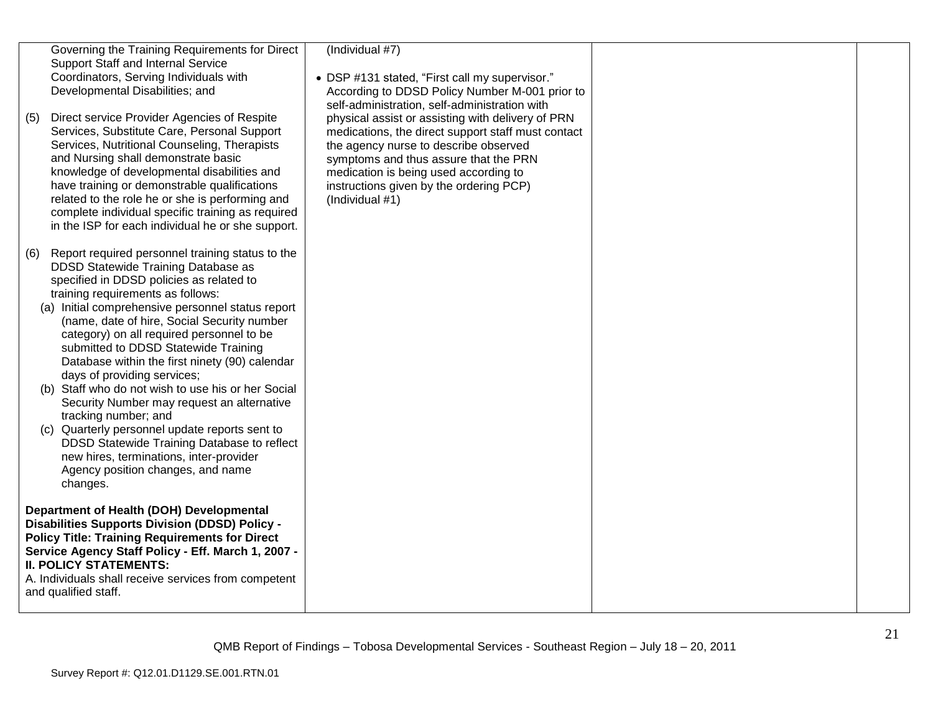| (5) | Governing the Training Requirements for Direct<br>Support Staff and Internal Service<br>Coordinators, Serving Individuals with<br>Developmental Disabilities; and<br>Direct service Provider Agencies of Respite                                                                                                                                                                                                                                   | (Individual #7)<br>• DSP #131 stated, "First call my supervisor."<br>According to DDSD Policy Number M-001 prior to<br>self-administration, self-administration with<br>physical assist or assisting with delivery of PRN                   |  |
|-----|----------------------------------------------------------------------------------------------------------------------------------------------------------------------------------------------------------------------------------------------------------------------------------------------------------------------------------------------------------------------------------------------------------------------------------------------------|---------------------------------------------------------------------------------------------------------------------------------------------------------------------------------------------------------------------------------------------|--|
|     | Services, Substitute Care, Personal Support<br>Services, Nutritional Counseling, Therapists<br>and Nursing shall demonstrate basic<br>knowledge of developmental disabilities and<br>have training or demonstrable qualifications<br>related to the role he or she is performing and<br>complete individual specific training as required<br>in the ISP for each individual he or she support.                                                     | medications, the direct support staff must contact<br>the agency nurse to describe observed<br>symptoms and thus assure that the PRN<br>medication is being used according to<br>instructions given by the ordering PCP)<br>(Individual #1) |  |
| (6) | Report required personnel training status to the<br>DDSD Statewide Training Database as<br>specified in DDSD policies as related to<br>training requirements as follows:<br>(a) Initial comprehensive personnel status report<br>(name, date of hire, Social Security number<br>category) on all required personnel to be<br>submitted to DDSD Statewide Training<br>Database within the first ninety (90) calendar<br>days of providing services; |                                                                                                                                                                                                                                             |  |
|     | (b) Staff who do not wish to use his or her Social<br>Security Number may request an alternative<br>tracking number; and<br>(c) Quarterly personnel update reports sent to<br>DDSD Statewide Training Database to reflect<br>new hires, terminations, inter-provider<br>Agency position changes, and name<br>changes.                                                                                                                              |                                                                                                                                                                                                                                             |  |
|     | Department of Health (DOH) Developmental<br><b>Disabilities Supports Division (DDSD) Policy -</b><br><b>Policy Title: Training Requirements for Direct</b><br>Service Agency Staff Policy - Eff. March 1, 2007 -<br><b>II. POLICY STATEMENTS:</b><br>A. Individuals shall receive services from competent<br>and qualified staff.                                                                                                                  |                                                                                                                                                                                                                                             |  |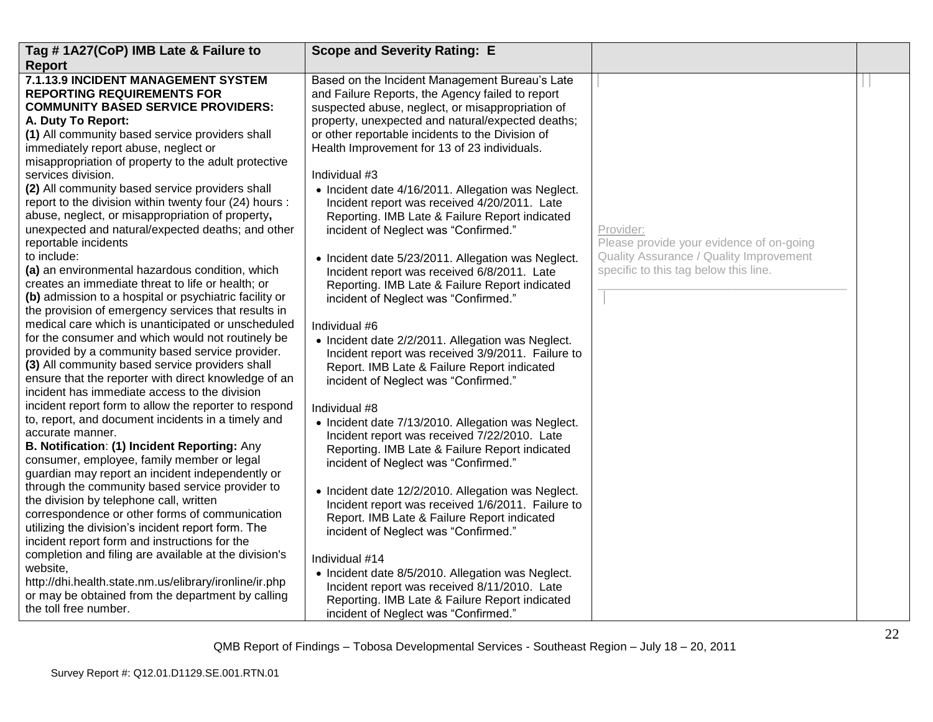| Tag #1A27(CoP) IMB Late & Failure to                                                                                                                                                                                                                                                                                                                                                                                                                                                                                                                                                                                                                                                                                                                  | <b>Scope and Severity Rating: E</b>                                                                                                                                                                                                                                                                                                                                                                                                                                                                                                                                                                                              |                                                                                                  |  |
|-------------------------------------------------------------------------------------------------------------------------------------------------------------------------------------------------------------------------------------------------------------------------------------------------------------------------------------------------------------------------------------------------------------------------------------------------------------------------------------------------------------------------------------------------------------------------------------------------------------------------------------------------------------------------------------------------------------------------------------------------------|----------------------------------------------------------------------------------------------------------------------------------------------------------------------------------------------------------------------------------------------------------------------------------------------------------------------------------------------------------------------------------------------------------------------------------------------------------------------------------------------------------------------------------------------------------------------------------------------------------------------------------|--------------------------------------------------------------------------------------------------|--|
| <b>Report</b>                                                                                                                                                                                                                                                                                                                                                                                                                                                                                                                                                                                                                                                                                                                                         |                                                                                                                                                                                                                                                                                                                                                                                                                                                                                                                                                                                                                                  |                                                                                                  |  |
| 7.1.13.9 INCIDENT MANAGEMENT SYSTEM<br><b>REPORTING REQUIREMENTS FOR</b><br><b>COMMUNITY BASED SERVICE PROVIDERS:</b><br>A. Duty To Report:<br>(1) All community based service providers shall<br>immediately report abuse, neglect or<br>misappropriation of property to the adult protective<br>services division.<br>(2) All community based service providers shall<br>report to the division within twenty four (24) hours :<br>abuse, neglect, or misappropriation of property,<br>unexpected and natural/expected deaths; and other<br>reportable incidents<br>to include:                                                                                                                                                                     | Based on the Incident Management Bureau's Late<br>and Failure Reports, the Agency failed to report<br>suspected abuse, neglect, or misappropriation of<br>property, unexpected and natural/expected deaths;<br>or other reportable incidents to the Division of<br>Health Improvement for 13 of 23 individuals.<br>Individual #3<br>• Incident date 4/16/2011. Allegation was Neglect.<br>Incident report was received 4/20/2011. Late<br>Reporting. IMB Late & Failure Report indicated<br>incident of Neglect was "Confirmed."<br>• Incident date 5/23/2011. Allegation was Neglect.                                           | Provider:<br>Please provide your evidence of on-going<br>Quality Assurance / Quality Improvement |  |
| (a) an environmental hazardous condition, which<br>creates an immediate threat to life or health; or<br>(b) admission to a hospital or psychiatric facility or<br>the provision of emergency services that results in<br>medical care which is unanticipated or unscheduled<br>for the consumer and which would not routinely be<br>provided by a community based service provider.<br>(3) All community based service providers shall<br>ensure that the reporter with direct knowledge of an<br>incident has immediate access to the division                                                                                                                                                                                                       | Incident report was received 6/8/2011. Late<br>Reporting. IMB Late & Failure Report indicated<br>incident of Neglect was "Confirmed."<br>Individual #6<br>• Incident date 2/2/2011. Allegation was Neglect.<br>Incident report was received 3/9/2011. Failure to<br>Report. IMB Late & Failure Report indicated<br>incident of Neglect was "Confirmed."                                                                                                                                                                                                                                                                          | specific to this tag below this line.                                                            |  |
| incident report form to allow the reporter to respond<br>to, report, and document incidents in a timely and<br>accurate manner.<br>B. Notification: (1) Incident Reporting: Any<br>consumer, employee, family member or legal<br>guardian may report an incident independently or<br>through the community based service provider to<br>the division by telephone call, written<br>correspondence or other forms of communication<br>utilizing the division's incident report form. The<br>incident report form and instructions for the<br>completion and filing are available at the division's<br>website,<br>http://dhi.health.state.nm.us/elibrary/ironline/ir.php<br>or may be obtained from the department by calling<br>the toll free number. | Individual #8<br>• Incident date 7/13/2010. Allegation was Neglect.<br>Incident report was received 7/22/2010. Late<br>Reporting. IMB Late & Failure Report indicated<br>incident of Neglect was "Confirmed."<br>• Incident date 12/2/2010. Allegation was Neglect.<br>Incident report was received 1/6/2011. Failure to<br>Report. IMB Late & Failure Report indicated<br>incident of Neglect was "Confirmed."<br>Individual #14<br>• Incident date 8/5/2010. Allegation was Neglect.<br>Incident report was received 8/11/2010. Late<br>Reporting. IMB Late & Failure Report indicated<br>incident of Neglect was "Confirmed." |                                                                                                  |  |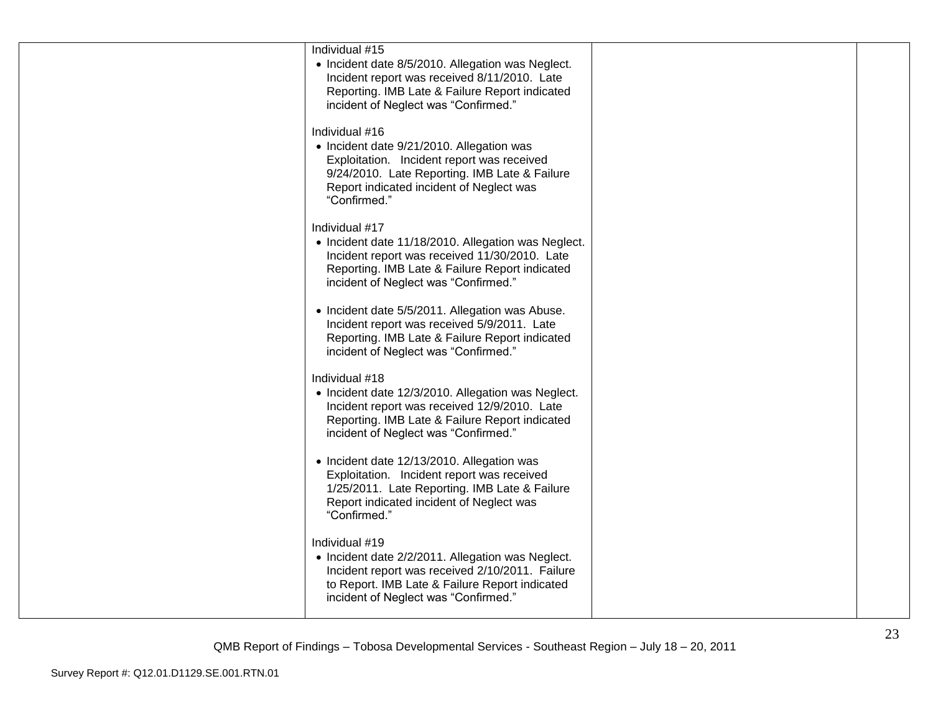| Individual #15<br>• Incident date 8/5/2010. Allegation was Neglect.<br>Incident report was received 8/11/2010. Late<br>Reporting. IMB Late & Failure Report indicated<br>incident of Neglect was "Confirmed."          |  |
|------------------------------------------------------------------------------------------------------------------------------------------------------------------------------------------------------------------------|--|
| Individual #16<br>• Incident date 9/21/2010. Allegation was<br>Exploitation. Incident report was received<br>9/24/2010. Late Reporting. IMB Late & Failure<br>Report indicated incident of Neglect was<br>"Confirmed." |  |
| Individual #17<br>• Incident date 11/18/2010. Allegation was Neglect.<br>Incident report was received 11/30/2010. Late<br>Reporting. IMB Late & Failure Report indicated<br>incident of Neglect was "Confirmed."       |  |
| • Incident date 5/5/2011. Allegation was Abuse.<br>Incident report was received 5/9/2011. Late<br>Reporting. IMB Late & Failure Report indicated<br>incident of Neglect was "Confirmed."                               |  |
| Individual #18<br>• Incident date 12/3/2010. Allegation was Neglect.<br>Incident report was received 12/9/2010. Late<br>Reporting. IMB Late & Failure Report indicated<br>incident of Neglect was "Confirmed."         |  |
| • Incident date 12/13/2010. Allegation was<br>Exploitation. Incident report was received<br>1/25/2011. Late Reporting. IMB Late & Failure<br>Report indicated incident of Neglect was<br>"Confirmed."                  |  |
| Individual #19<br>• Incident date 2/2/2011. Allegation was Neglect.<br>Incident report was received 2/10/2011. Failure<br>to Report. IMB Late & Failure Report indicated<br>incident of Neglect was "Confirmed."       |  |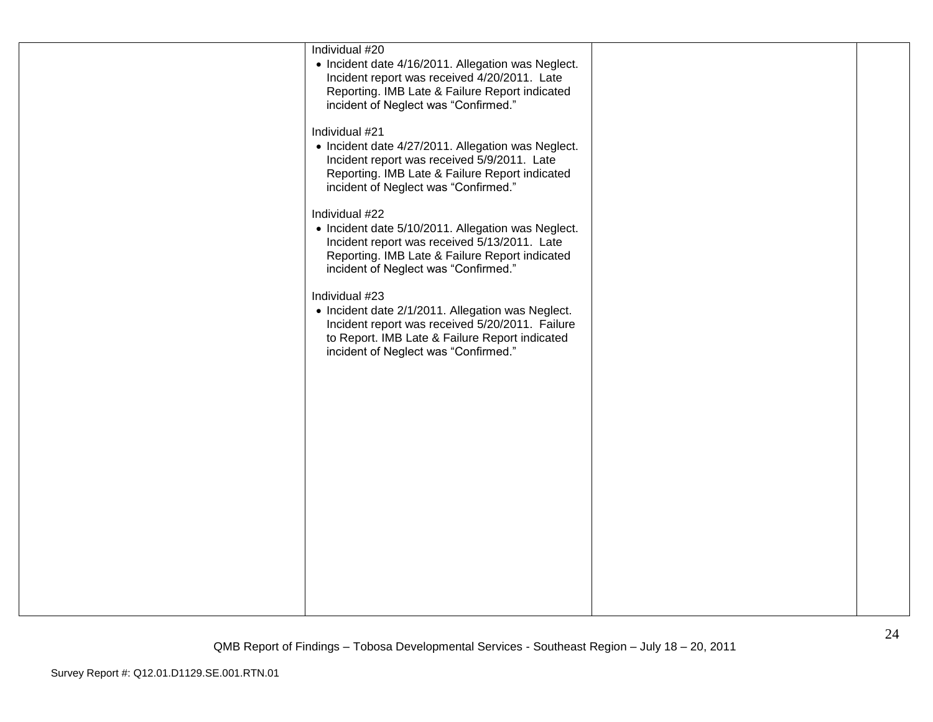| Individual #20<br>• Incident date 4/16/2011. Allegation was Neglect.<br>Incident report was received 4/20/2011. Late<br>Reporting. IMB Late & Failure Report indicated<br>incident of Neglect was "Confirmed."   |  |
|------------------------------------------------------------------------------------------------------------------------------------------------------------------------------------------------------------------|--|
| Individual #21<br>• Incident date 4/27/2011. Allegation was Neglect.<br>Incident report was received 5/9/2011. Late<br>Reporting. IMB Late & Failure Report indicated<br>incident of Neglect was "Confirmed."    |  |
| Individual #22<br>• Incident date 5/10/2011. Allegation was Neglect.<br>Incident report was received 5/13/2011. Late<br>Reporting. IMB Late & Failure Report indicated<br>incident of Neglect was "Confirmed."   |  |
| Individual #23<br>• Incident date 2/1/2011. Allegation was Neglect.<br>Incident report was received 5/20/2011. Failure<br>to Report. IMB Late & Failure Report indicated<br>incident of Neglect was "Confirmed." |  |
|                                                                                                                                                                                                                  |  |
|                                                                                                                                                                                                                  |  |
|                                                                                                                                                                                                                  |  |
|                                                                                                                                                                                                                  |  |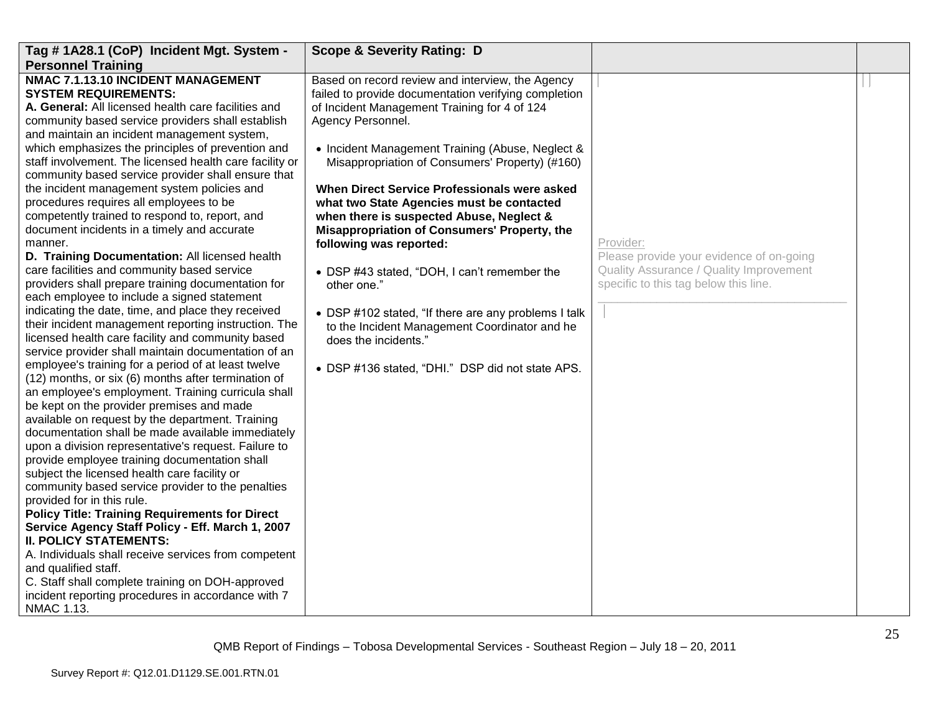| Tag #1A28.1 (CoP) Incident Mgt. System -                                                                                                                                                                                                                                                                                                                                                                                                                                                                                                                                                                                                                                                                                                                                                                                                                                                                                                                                                                                                                                                                                                                                                                                                                                                                                                                                                                                                                                                                                                                                                                                                                                                                                                                                                                                                                                                                                                                             | <b>Scope &amp; Severity Rating: D</b>                                                                                                                                                                                                                                                                                                                                                                                                                                                                                                                                                                                                                                                                                                                        |                                                                                                                                           |  |
|----------------------------------------------------------------------------------------------------------------------------------------------------------------------------------------------------------------------------------------------------------------------------------------------------------------------------------------------------------------------------------------------------------------------------------------------------------------------------------------------------------------------------------------------------------------------------------------------------------------------------------------------------------------------------------------------------------------------------------------------------------------------------------------------------------------------------------------------------------------------------------------------------------------------------------------------------------------------------------------------------------------------------------------------------------------------------------------------------------------------------------------------------------------------------------------------------------------------------------------------------------------------------------------------------------------------------------------------------------------------------------------------------------------------------------------------------------------------------------------------------------------------------------------------------------------------------------------------------------------------------------------------------------------------------------------------------------------------------------------------------------------------------------------------------------------------------------------------------------------------------------------------------------------------------------------------------------------------|--------------------------------------------------------------------------------------------------------------------------------------------------------------------------------------------------------------------------------------------------------------------------------------------------------------------------------------------------------------------------------------------------------------------------------------------------------------------------------------------------------------------------------------------------------------------------------------------------------------------------------------------------------------------------------------------------------------------------------------------------------------|-------------------------------------------------------------------------------------------------------------------------------------------|--|
| <b>Personnel Training</b>                                                                                                                                                                                                                                                                                                                                                                                                                                                                                                                                                                                                                                                                                                                                                                                                                                                                                                                                                                                                                                                                                                                                                                                                                                                                                                                                                                                                                                                                                                                                                                                                                                                                                                                                                                                                                                                                                                                                            |                                                                                                                                                                                                                                                                                                                                                                                                                                                                                                                                                                                                                                                                                                                                                              |                                                                                                                                           |  |
| NMAC 7.1.13.10 INCIDENT MANAGEMENT<br><b>SYSTEM REQUIREMENTS:</b><br>A. General: All licensed health care facilities and<br>community based service providers shall establish<br>and maintain an incident management system,<br>which emphasizes the principles of prevention and<br>staff involvement. The licensed health care facility or<br>community based service provider shall ensure that<br>the incident management system policies and<br>procedures requires all employees to be<br>competently trained to respond to, report, and<br>document incidents in a timely and accurate<br>manner.<br>D. Training Documentation: All licensed health<br>care facilities and community based service<br>providers shall prepare training documentation for<br>each employee to include a signed statement<br>indicating the date, time, and place they received<br>their incident management reporting instruction. The<br>licensed health care facility and community based<br>service provider shall maintain documentation of an<br>employee's training for a period of at least twelve<br>(12) months, or six (6) months after termination of<br>an employee's employment. Training curricula shall<br>be kept on the provider premises and made<br>available on request by the department. Training<br>documentation shall be made available immediately<br>upon a division representative's request. Failure to<br>provide employee training documentation shall<br>subject the licensed health care facility or<br>community based service provider to the penalties<br>provided for in this rule.<br><b>Policy Title: Training Requirements for Direct</b><br>Service Agency Staff Policy - Eff. March 1, 2007<br><b>II. POLICY STATEMENTS:</b><br>A. Individuals shall receive services from competent<br>and qualified staff.<br>C. Staff shall complete training on DOH-approved<br>incident reporting procedures in accordance with 7<br>NMAC 1.13. | Based on record review and interview, the Agency<br>failed to provide documentation verifying completion<br>of Incident Management Training for 4 of 124<br>Agency Personnel.<br>• Incident Management Training (Abuse, Neglect &<br>Misappropriation of Consumers' Property) (#160)<br>When Direct Service Professionals were asked<br>what two State Agencies must be contacted<br>when there is suspected Abuse, Neglect &<br>Misappropriation of Consumers' Property, the<br>following was reported:<br>• DSP #43 stated, "DOH, I can't remember the<br>other one."<br>• DSP #102 stated, "If there are any problems I talk<br>to the Incident Management Coordinator and he<br>does the incidents."<br>• DSP #136 stated, "DHI." DSP did not state APS. | Provider:<br>Please provide your evidence of on-going<br>Quality Assurance / Quality Improvement<br>specific to this tag below this line. |  |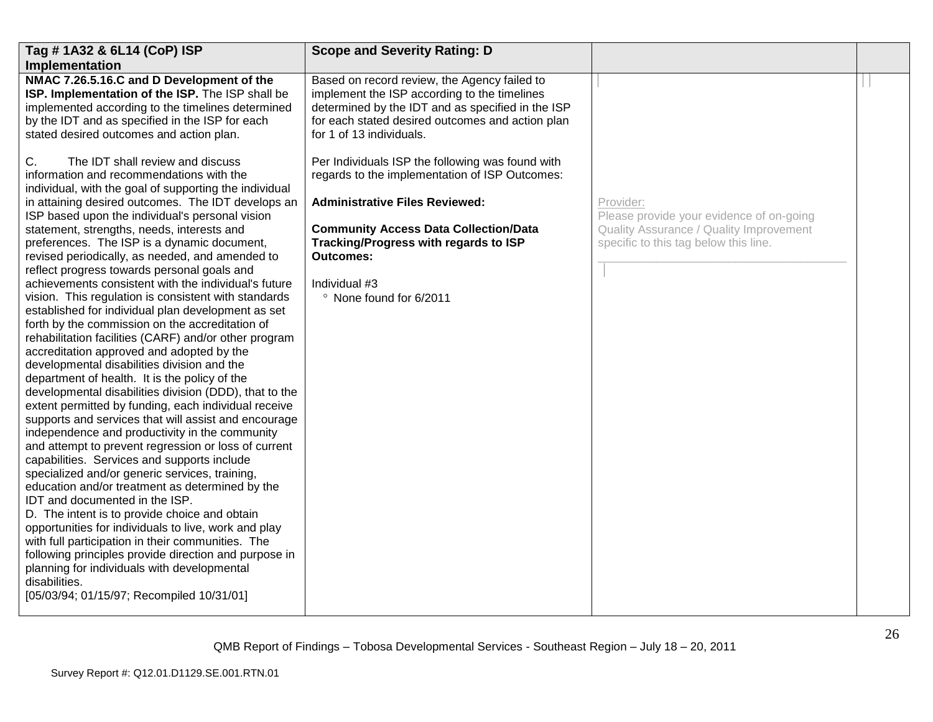| <b>Scope and Severity Rating: D</b>                                                                                                                                                                                               |                                                                                  |  |
|-----------------------------------------------------------------------------------------------------------------------------------------------------------------------------------------------------------------------------------|----------------------------------------------------------------------------------|--|
|                                                                                                                                                                                                                                   |                                                                                  |  |
| Based on record review, the Agency failed to<br>implement the ISP according to the timelines<br>determined by the IDT and as specified in the ISP<br>for each stated desired outcomes and action plan<br>for 1 of 13 individuals. |                                                                                  |  |
| regards to the implementation of ISP Outcomes:                                                                                                                                                                                    |                                                                                  |  |
| <b>Administrative Files Reviewed:</b>                                                                                                                                                                                             | Provider:<br>Please provide your evidence of on-going                            |  |
| <b>Community Access Data Collection/Data</b><br>Tracking/Progress with regards to ISP<br><b>Outcomes:</b><br>Individual #3<br>° None found for 6/2011                                                                             | Quality Assurance / Quality Improvement<br>specific to this tag below this line. |  |
|                                                                                                                                                                                                                                   | Per Individuals ISP the following was found with                                 |  |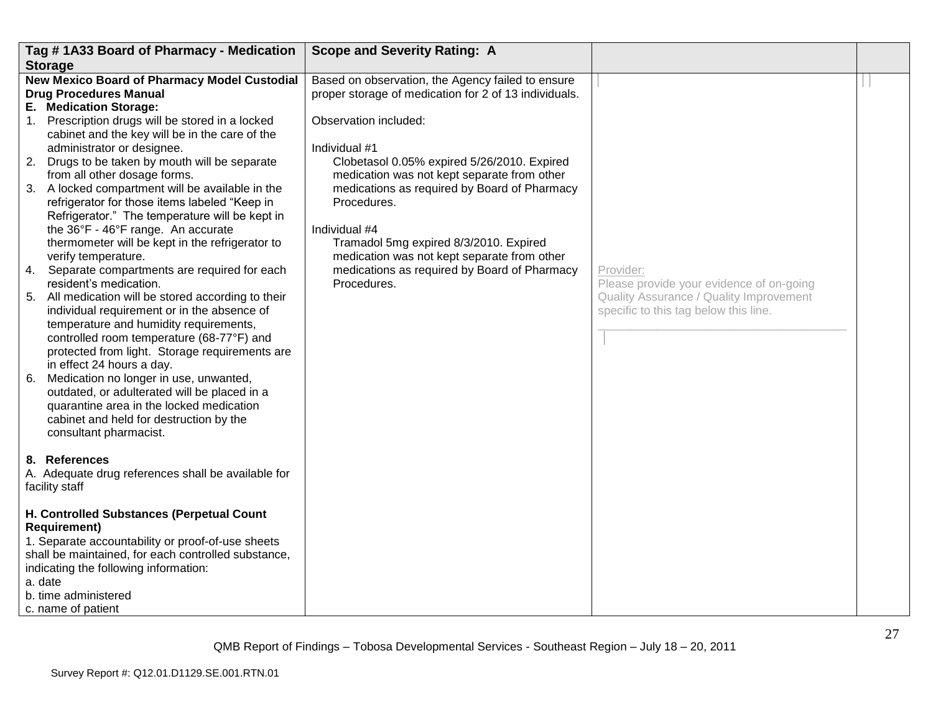|    | Tag #1A33 Board of Pharmacy - Medication                                                                                                                                                                                                                                                                                                                                                                                                                                            | <b>Scope and Severity Rating: A</b>                                                                                                                       |                                                                                  |  |
|----|-------------------------------------------------------------------------------------------------------------------------------------------------------------------------------------------------------------------------------------------------------------------------------------------------------------------------------------------------------------------------------------------------------------------------------------------------------------------------------------|-----------------------------------------------------------------------------------------------------------------------------------------------------------|----------------------------------------------------------------------------------|--|
|    | <b>Storage</b>                                                                                                                                                                                                                                                                                                                                                                                                                                                                      |                                                                                                                                                           |                                                                                  |  |
|    | New Mexico Board of Pharmacy Model Custodial<br><b>Drug Procedures Manual</b>                                                                                                                                                                                                                                                                                                                                                                                                       | Based on observation, the Agency failed to ensure<br>proper storage of medication for 2 of 13 individuals.                                                |                                                                                  |  |
|    | E. Medication Storage:<br>1. Prescription drugs will be stored in a locked<br>cabinet and the key will be in the care of the<br>administrator or designee.                                                                                                                                                                                                                                                                                                                          | Observation included:<br>Individual #1                                                                                                                    |                                                                                  |  |
|    | 2. Drugs to be taken by mouth will be separate<br>from all other dosage forms.<br>3. A locked compartment will be available in the<br>refrigerator for those items labeled "Keep in<br>Refrigerator." The temperature will be kept in                                                                                                                                                                                                                                               | Clobetasol 0.05% expired 5/26/2010. Expired<br>medication was not kept separate from other<br>medications as required by Board of Pharmacy<br>Procedures. |                                                                                  |  |
|    | the 36°F - 46°F range. An accurate<br>thermometer will be kept in the refrigerator to<br>verify temperature.                                                                                                                                                                                                                                                                                                                                                                        | Individual #4<br>Tramadol 5mg expired 8/3/2010. Expired<br>medication was not kept separate from other                                                    |                                                                                  |  |
|    | 4. Separate compartments are required for each<br>resident's medication.                                                                                                                                                                                                                                                                                                                                                                                                            | medications as required by Board of Pharmacy<br>Procedures.                                                                                               | Provider:<br>Please provide your evidence of on-going                            |  |
| 6. | 5. All medication will be stored according to their<br>individual requirement or in the absence of<br>temperature and humidity requirements,<br>controlled room temperature (68-77°F) and<br>protected from light. Storage requirements are<br>in effect 24 hours a day.<br>Medication no longer in use, unwanted,<br>outdated, or adulterated will be placed in a<br>quarantine area in the locked medication<br>cabinet and held for destruction by the<br>consultant pharmacist. |                                                                                                                                                           | Quality Assurance / Quality Improvement<br>specific to this tag below this line. |  |
|    | 8. References<br>A. Adequate drug references shall be available for<br>facility staff                                                                                                                                                                                                                                                                                                                                                                                               |                                                                                                                                                           |                                                                                  |  |
|    | H. Controlled Substances (Perpetual Count<br><b>Requirement)</b><br>1. Separate accountability or proof-of-use sheets<br>shall be maintained, for each controlled substance,<br>indicating the following information:<br>a. date<br>b. time administered<br>c. name of patient                                                                                                                                                                                                      |                                                                                                                                                           |                                                                                  |  |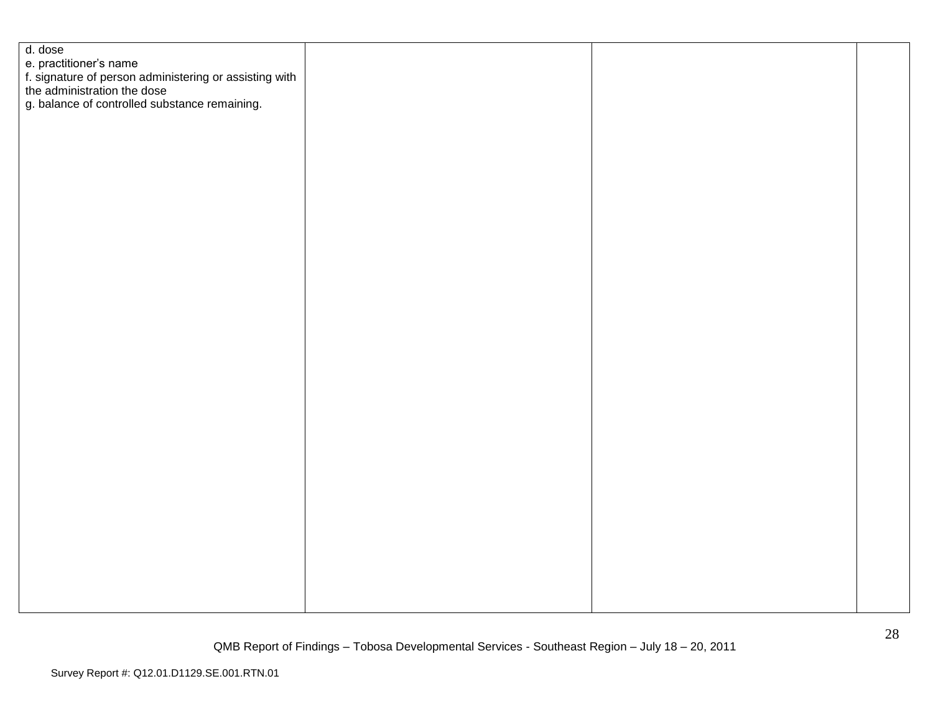| d. dose                                                                                                         |  |  |
|-----------------------------------------------------------------------------------------------------------------|--|--|
| e. practitioner's name<br>f. signature of person administering or assisting with<br>the administration the dose |  |  |
|                                                                                                                 |  |  |
|                                                                                                                 |  |  |
|                                                                                                                 |  |  |
| g. balance of controlled substance remaining.                                                                   |  |  |
|                                                                                                                 |  |  |
|                                                                                                                 |  |  |
|                                                                                                                 |  |  |
|                                                                                                                 |  |  |
|                                                                                                                 |  |  |
|                                                                                                                 |  |  |
|                                                                                                                 |  |  |
|                                                                                                                 |  |  |
|                                                                                                                 |  |  |
|                                                                                                                 |  |  |
|                                                                                                                 |  |  |
|                                                                                                                 |  |  |
|                                                                                                                 |  |  |
|                                                                                                                 |  |  |
|                                                                                                                 |  |  |
|                                                                                                                 |  |  |
|                                                                                                                 |  |  |
|                                                                                                                 |  |  |
|                                                                                                                 |  |  |
|                                                                                                                 |  |  |
|                                                                                                                 |  |  |
|                                                                                                                 |  |  |
|                                                                                                                 |  |  |
|                                                                                                                 |  |  |
|                                                                                                                 |  |  |
|                                                                                                                 |  |  |
|                                                                                                                 |  |  |
|                                                                                                                 |  |  |
|                                                                                                                 |  |  |
|                                                                                                                 |  |  |
|                                                                                                                 |  |  |
|                                                                                                                 |  |  |
|                                                                                                                 |  |  |
|                                                                                                                 |  |  |
|                                                                                                                 |  |  |
|                                                                                                                 |  |  |
|                                                                                                                 |  |  |
|                                                                                                                 |  |  |
|                                                                                                                 |  |  |
|                                                                                                                 |  |  |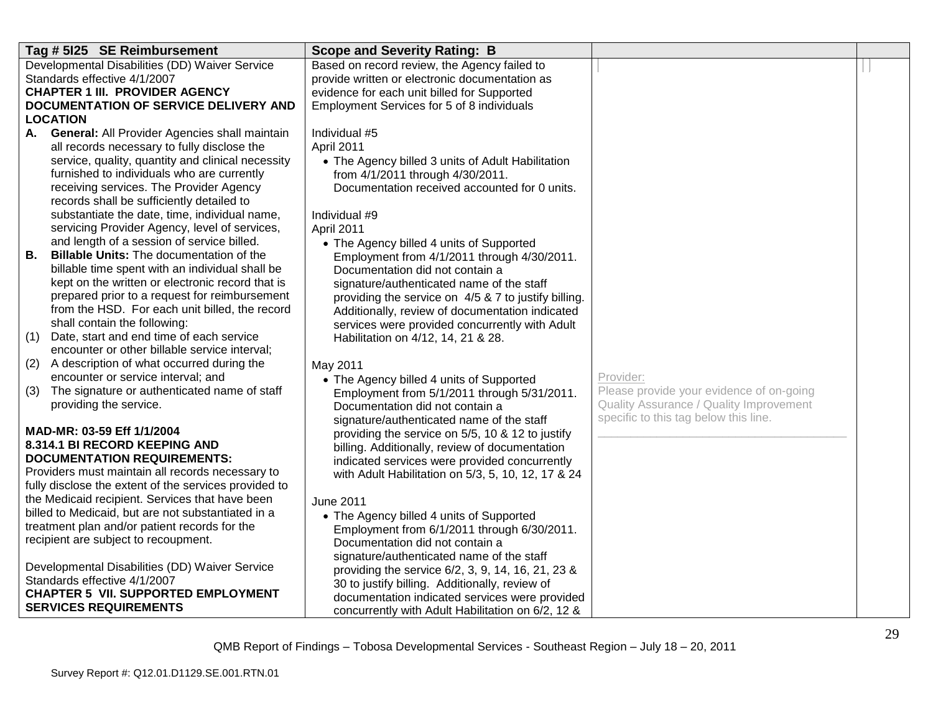| Tag # 5125 SE Reimbursement                                                                               | <b>Scope and Severity Rating: B</b>                                            |                                          |  |
|-----------------------------------------------------------------------------------------------------------|--------------------------------------------------------------------------------|------------------------------------------|--|
| Developmental Disabilities (DD) Waiver Service                                                            | Based on record review, the Agency failed to                                   |                                          |  |
| Standards effective 4/1/2007                                                                              | provide written or electronic documentation as                                 |                                          |  |
| <b>CHAPTER 1 III. PROVIDER AGENCY</b>                                                                     | evidence for each unit billed for Supported                                    |                                          |  |
| DOCUMENTATION OF SERVICE DELIVERY AND                                                                     | Employment Services for 5 of 8 individuals                                     |                                          |  |
| <b>LOCATION</b>                                                                                           | Individual #5                                                                  |                                          |  |
| <b>General:</b> All Provider Agencies shall maintain<br>А.<br>all records necessary to fully disclose the | April 2011                                                                     |                                          |  |
| service, quality, quantity and clinical necessity                                                         | • The Agency billed 3 units of Adult Habilitation                              |                                          |  |
| furnished to individuals who are currently                                                                | from 4/1/2011 through 4/30/2011.                                               |                                          |  |
| receiving services. The Provider Agency                                                                   | Documentation received accounted for 0 units.                                  |                                          |  |
| records shall be sufficiently detailed to                                                                 |                                                                                |                                          |  |
| substantiate the date, time, individual name,                                                             | Individual #9                                                                  |                                          |  |
| servicing Provider Agency, level of services,                                                             | April 2011                                                                     |                                          |  |
| and length of a session of service billed.                                                                | • The Agency billed 4 units of Supported                                       |                                          |  |
| Billable Units: The documentation of the<br>В.                                                            | Employment from 4/1/2011 through 4/30/2011.                                    |                                          |  |
| billable time spent with an individual shall be                                                           | Documentation did not contain a                                                |                                          |  |
| kept on the written or electronic record that is                                                          | signature/authenticated name of the staff                                      |                                          |  |
| prepared prior to a request for reimbursement                                                             | providing the service on 4/5 & 7 to justify billing.                           |                                          |  |
| from the HSD. For each unit billed, the record                                                            | Additionally, review of documentation indicated                                |                                          |  |
| shall contain the following:<br>Date, start and end time of each service<br>(1)                           | services were provided concurrently with Adult                                 |                                          |  |
| encounter or other billable service interval;                                                             | Habilitation on 4/12, 14, 21 & 28.                                             |                                          |  |
| A description of what occurred during the<br>(2)                                                          | May 2011                                                                       |                                          |  |
| encounter or service interval; and                                                                        | • The Agency billed 4 units of Supported                                       | Provider:                                |  |
| The signature or authenticated name of staff<br>(3)                                                       | Employment from 5/1/2011 through 5/31/2011.                                    | Please provide your evidence of on-going |  |
| providing the service.                                                                                    | Documentation did not contain a                                                | Quality Assurance / Quality Improvement  |  |
|                                                                                                           | signature/authenticated name of the staff                                      | specific to this tag below this line.    |  |
| MAD-MR: 03-59 Eff 1/1/2004                                                                                | providing the service on 5/5, 10 & 12 to justify                               |                                          |  |
| 8.314.1 BI RECORD KEEPING AND                                                                             | billing. Additionally, review of documentation                                 |                                          |  |
| <b>DOCUMENTATION REQUIREMENTS:</b>                                                                        | indicated services were provided concurrently                                  |                                          |  |
| Providers must maintain all records necessary to                                                          | with Adult Habilitation on 5/3, 5, 10, 12, 17 & 24                             |                                          |  |
| fully disclose the extent of the services provided to                                                     |                                                                                |                                          |  |
| the Medicaid recipient. Services that have been<br>billed to Medicaid, but are not substantiated in a     | <b>June 2011</b>                                                               |                                          |  |
| treatment plan and/or patient records for the                                                             | • The Agency billed 4 units of Supported                                       |                                          |  |
| recipient are subject to recoupment.                                                                      | Employment from 6/1/2011 through 6/30/2011.<br>Documentation did not contain a |                                          |  |
|                                                                                                           | signature/authenticated name of the staff                                      |                                          |  |
| Developmental Disabilities (DD) Waiver Service                                                            | providing the service 6/2, 3, 9, 14, 16, 21, 23 &                              |                                          |  |
| Standards effective 4/1/2007                                                                              | 30 to justify billing. Additionally, review of                                 |                                          |  |
| <b>CHAPTER 5 VII. SUPPORTED EMPLOYMENT</b>                                                                | documentation indicated services were provided                                 |                                          |  |
| <b>SERVICES REQUIREMENTS</b>                                                                              | concurrently with Adult Habilitation on 6/2, 12 &                              |                                          |  |
|                                                                                                           |                                                                                |                                          |  |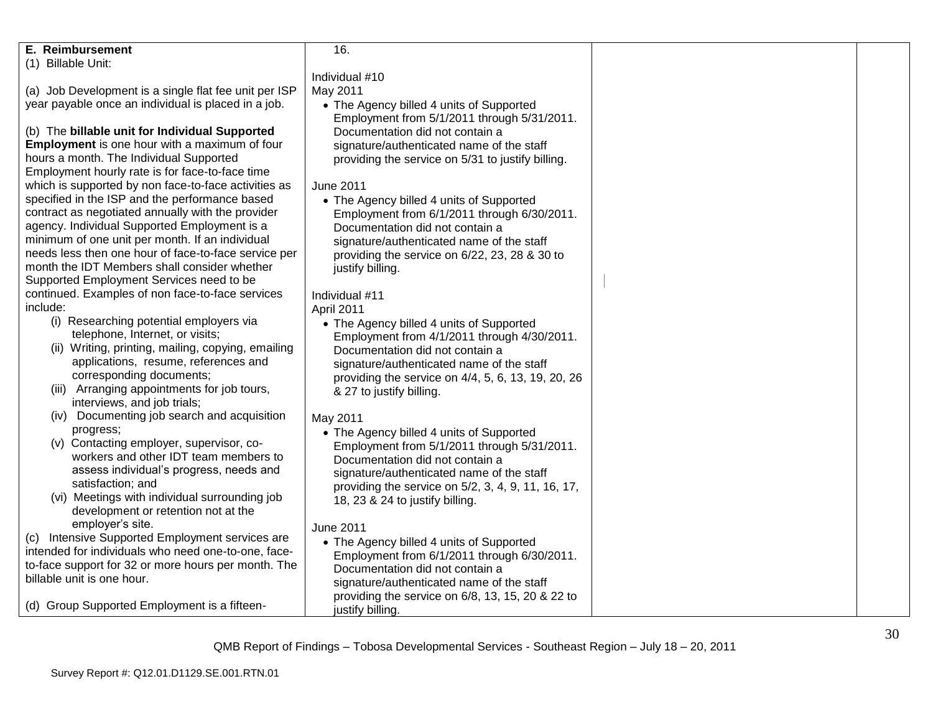| E. Reimbursement                                                                  | 16.                                                                                     |  |
|-----------------------------------------------------------------------------------|-----------------------------------------------------------------------------------------|--|
| (1) Billable Unit:                                                                |                                                                                         |  |
|                                                                                   | Individual #10                                                                          |  |
| (a) Job Development is a single flat fee unit per ISP                             | May 2011                                                                                |  |
| year payable once an individual is placed in a job.                               | • The Agency billed 4 units of Supported                                                |  |
|                                                                                   | Employment from 5/1/2011 through 5/31/2011.                                             |  |
| (b) The billable unit for Individual Supported                                    | Documentation did not contain a                                                         |  |
| <b>Employment</b> is one hour with a maximum of four                              | signature/authenticated name of the staff                                               |  |
| hours a month. The Individual Supported                                           | providing the service on 5/31 to justify billing.                                       |  |
| Employment hourly rate is for face-to-face time                                   |                                                                                         |  |
| which is supported by non face-to-face activities as                              | <b>June 2011</b>                                                                        |  |
| specified in the ISP and the performance based                                    | • The Agency billed 4 units of Supported                                                |  |
| contract as negotiated annually with the provider                                 | Employment from 6/1/2011 through 6/30/2011.                                             |  |
| agency. Individual Supported Employment is a                                      | Documentation did not contain a                                                         |  |
| minimum of one unit per month. If an individual                                   | signature/authenticated name of the staff                                               |  |
| needs less then one hour of face-to-face service per                              | providing the service on 6/22, 23, 28 & 30 to                                           |  |
| month the IDT Members shall consider whether                                      | justify billing.                                                                        |  |
| Supported Employment Services need to be                                          |                                                                                         |  |
| continued. Examples of non face-to-face services                                  | Individual #11                                                                          |  |
| include:                                                                          | April 2011                                                                              |  |
| (i) Researching potential employers via                                           |                                                                                         |  |
| telephone, Internet, or visits;                                                   | • The Agency billed 4 units of Supported<br>Employment from 4/1/2011 through 4/30/2011. |  |
| (ii) Writing, printing, mailing, copying, emailing                                | Documentation did not contain a                                                         |  |
| applications, resume, references and                                              |                                                                                         |  |
| corresponding documents;                                                          | signature/authenticated name of the staff                                               |  |
| (iii) Arranging appointments for job tours,                                       | providing the service on 4/4, 5, 6, 13, 19, 20, 26                                      |  |
| interviews, and job trials;                                                       | & 27 to justify billing.                                                                |  |
| (iv) Documenting job search and acquisition                                       |                                                                                         |  |
| progress;                                                                         | May 2011                                                                                |  |
| (v) Contacting employer, supervisor, co-                                          | • The Agency billed 4 units of Supported                                                |  |
| workers and other IDT team members to                                             | Employment from 5/1/2011 through 5/31/2011.                                             |  |
| assess individual's progress, needs and                                           | Documentation did not contain a                                                         |  |
| satisfaction; and                                                                 | signature/authenticated name of the staff                                               |  |
| (vi) Meetings with individual surrounding job                                     | providing the service on 5/2, 3, 4, 9, 11, 16, 17,                                      |  |
| development or retention not at the                                               | 18, 23 & 24 to justify billing.                                                         |  |
| employer's site.                                                                  |                                                                                         |  |
| Intensive Supported Employment services are                                       | June 2011                                                                               |  |
| (C)<br>intended for individuals who need one-to-one, face-                        | • The Agency billed 4 units of Supported                                                |  |
|                                                                                   | Employment from 6/1/2011 through 6/30/2011.                                             |  |
| to-face support for 32 or more hours per month. The<br>billable unit is one hour. | Documentation did not contain a                                                         |  |
|                                                                                   | signature/authenticated name of the staff                                               |  |
|                                                                                   | providing the service on 6/8, 13, 15, 20 & 22 to                                        |  |
| (d) Group Supported Employment is a fifteen-                                      | justify billing.                                                                        |  |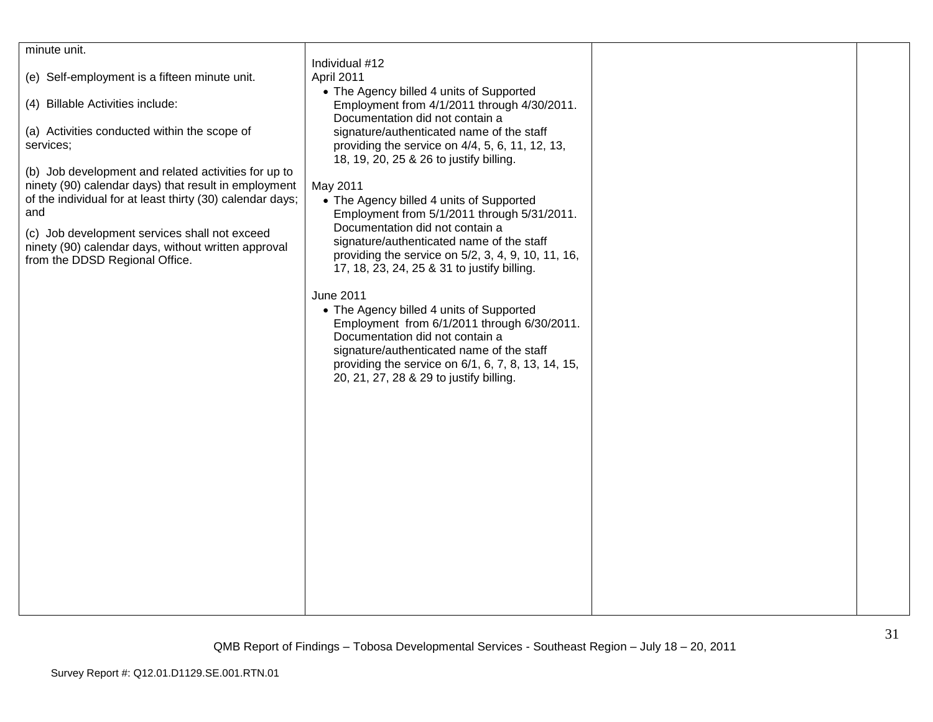| minute unit.                                              | Individual #12                                                                                    |  |
|-----------------------------------------------------------|---------------------------------------------------------------------------------------------------|--|
| (e) Self-employment is a fifteen minute unit.             | April 2011                                                                                        |  |
|                                                           | • The Agency billed 4 units of Supported                                                          |  |
| (4) Billable Activities include:                          | Employment from 4/1/2011 through 4/30/2011.                                                       |  |
|                                                           | Documentation did not contain a                                                                   |  |
| (a) Activities conducted within the scope of              | signature/authenticated name of the staff                                                         |  |
| services;                                                 | providing the service on 4/4, 5, 6, 11, 12, 13,                                                   |  |
|                                                           | 18, 19, 20, 25 & 26 to justify billing.                                                           |  |
| (b) Job development and related activities for up to      |                                                                                                   |  |
| ninety (90) calendar days) that result in employment      | May 2011                                                                                          |  |
| of the individual for at least thirty (30) calendar days; | • The Agency billed 4 units of Supported                                                          |  |
| and                                                       | Employment from 5/1/2011 through 5/31/2011.                                                       |  |
| (c) Job development services shall not exceed             | Documentation did not contain a                                                                   |  |
| ninety (90) calendar days, without written approval       | signature/authenticated name of the staff                                                         |  |
| from the DDSD Regional Office.                            | providing the service on 5/2, 3, 4, 9, 10, 11, 16,<br>17, 18, 23, 24, 25 & 31 to justify billing. |  |
|                                                           |                                                                                                   |  |
|                                                           | <b>June 2011</b>                                                                                  |  |
|                                                           | • The Agency billed 4 units of Supported                                                          |  |
|                                                           | Employment from 6/1/2011 through 6/30/2011.                                                       |  |
|                                                           | Documentation did not contain a                                                                   |  |
|                                                           | signature/authenticated name of the staff                                                         |  |
|                                                           | providing the service on 6/1, 6, 7, 8, 13, 14, 15,                                                |  |
|                                                           | 20, 21, 27, 28 & 29 to justify billing.                                                           |  |
|                                                           |                                                                                                   |  |
|                                                           |                                                                                                   |  |
|                                                           |                                                                                                   |  |
|                                                           |                                                                                                   |  |
|                                                           |                                                                                                   |  |
|                                                           |                                                                                                   |  |
|                                                           |                                                                                                   |  |
|                                                           |                                                                                                   |  |
|                                                           |                                                                                                   |  |
|                                                           |                                                                                                   |  |
|                                                           |                                                                                                   |  |
|                                                           |                                                                                                   |  |
|                                                           |                                                                                                   |  |
|                                                           |                                                                                                   |  |
|                                                           |                                                                                                   |  |
|                                                           |                                                                                                   |  |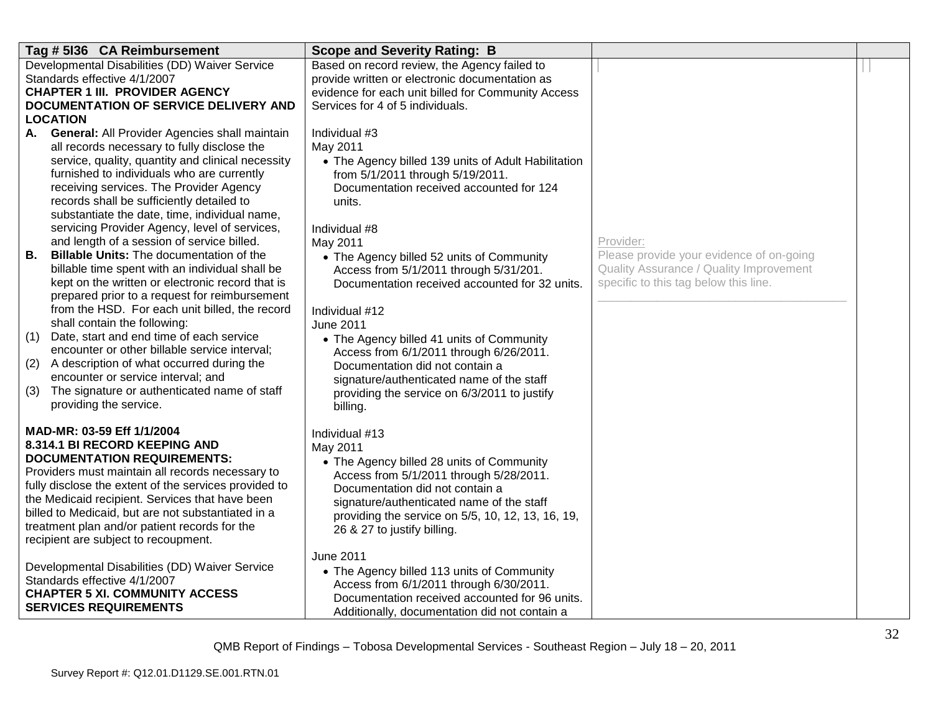| Tag # 5136 CA Reimbursement                                                                               | <b>Scope and Severity Rating: B</b>                                                            |                                                                                     |  |
|-----------------------------------------------------------------------------------------------------------|------------------------------------------------------------------------------------------------|-------------------------------------------------------------------------------------|--|
| Developmental Disabilities (DD) Waiver Service<br>Standards effective 4/1/2007                            | Based on record review, the Agency failed to<br>provide written or electronic documentation as |                                                                                     |  |
| <b>CHAPTER 1 III. PROVIDER AGENCY</b>                                                                     | evidence for each unit billed for Community Access                                             |                                                                                     |  |
| <b>DOCUMENTATION OF SERVICE DELIVERY AND</b>                                                              | Services for 4 of 5 individuals.                                                               |                                                                                     |  |
| <b>LOCATION</b>                                                                                           |                                                                                                |                                                                                     |  |
| <b>General: All Provider Agencies shall maintain</b><br>А.<br>all records necessary to fully disclose the | Individual #3<br>May 2011                                                                      |                                                                                     |  |
| service, quality, quantity and clinical necessity                                                         | • The Agency billed 139 units of Adult Habilitation                                            |                                                                                     |  |
| furnished to individuals who are currently                                                                | from 5/1/2011 through 5/19/2011.                                                               |                                                                                     |  |
| receiving services. The Provider Agency                                                                   | Documentation received accounted for 124                                                       |                                                                                     |  |
| records shall be sufficiently detailed to                                                                 | units.                                                                                         |                                                                                     |  |
| substantiate the date, time, individual name,                                                             |                                                                                                |                                                                                     |  |
| servicing Provider Agency, level of services,                                                             | Individual #8                                                                                  |                                                                                     |  |
| and length of a session of service billed.<br>В.<br><b>Billable Units: The documentation of the</b>       | May 2011                                                                                       | Provider:                                                                           |  |
| billable time spent with an individual shall be                                                           | • The Agency billed 52 units of Community                                                      | Please provide your evidence of on-going<br>Quality Assurance / Quality Improvement |  |
| kept on the written or electronic record that is                                                          | Access from 5/1/2011 through 5/31/201.<br>Documentation received accounted for 32 units.       | specific to this tag below this line.                                               |  |
| prepared prior to a request for reimbursement                                                             |                                                                                                |                                                                                     |  |
| from the HSD. For each unit billed, the record                                                            | Individual #12                                                                                 |                                                                                     |  |
| shall contain the following:                                                                              | <b>June 2011</b>                                                                               |                                                                                     |  |
| Date, start and end time of each service<br>(1)                                                           | • The Agency billed 41 units of Community                                                      |                                                                                     |  |
| encounter or other billable service interval;                                                             | Access from 6/1/2011 through 6/26/2011.                                                        |                                                                                     |  |
| A description of what occurred during the<br>(2)                                                          | Documentation did not contain a                                                                |                                                                                     |  |
| encounter or service interval; and<br>The signature or authenticated name of staff<br>(3)                 | signature/authenticated name of the staff                                                      |                                                                                     |  |
| providing the service.                                                                                    | providing the service on 6/3/2011 to justify<br>billing.                                       |                                                                                     |  |
|                                                                                                           |                                                                                                |                                                                                     |  |
| MAD-MR: 03-59 Eff 1/1/2004                                                                                | Individual #13                                                                                 |                                                                                     |  |
| 8.314.1 BI RECORD KEEPING AND                                                                             | May 2011                                                                                       |                                                                                     |  |
| <b>DOCUMENTATION REQUIREMENTS:</b>                                                                        | • The Agency billed 28 units of Community                                                      |                                                                                     |  |
| Providers must maintain all records necessary to                                                          | Access from 5/1/2011 through 5/28/2011.                                                        |                                                                                     |  |
| fully disclose the extent of the services provided to<br>the Medicaid recipient. Services that have been  | Documentation did not contain a                                                                |                                                                                     |  |
| billed to Medicaid, but are not substantiated in a                                                        | signature/authenticated name of the staff                                                      |                                                                                     |  |
| treatment plan and/or patient records for the                                                             | providing the service on 5/5, 10, 12, 13, 16, 19,<br>26 & 27 to justify billing.               |                                                                                     |  |
| recipient are subject to recoupment.                                                                      |                                                                                                |                                                                                     |  |
|                                                                                                           | June 2011                                                                                      |                                                                                     |  |
| Developmental Disabilities (DD) Waiver Service                                                            | • The Agency billed 113 units of Community                                                     |                                                                                     |  |
| Standards effective 4/1/2007                                                                              | Access from 6/1/2011 through 6/30/2011.                                                        |                                                                                     |  |
| <b>CHAPTER 5 XI. COMMUNITY ACCESS</b>                                                                     | Documentation received accounted for 96 units.                                                 |                                                                                     |  |
| <b>SERVICES REQUIREMENTS</b>                                                                              | Additionally, documentation did not contain a                                                  |                                                                                     |  |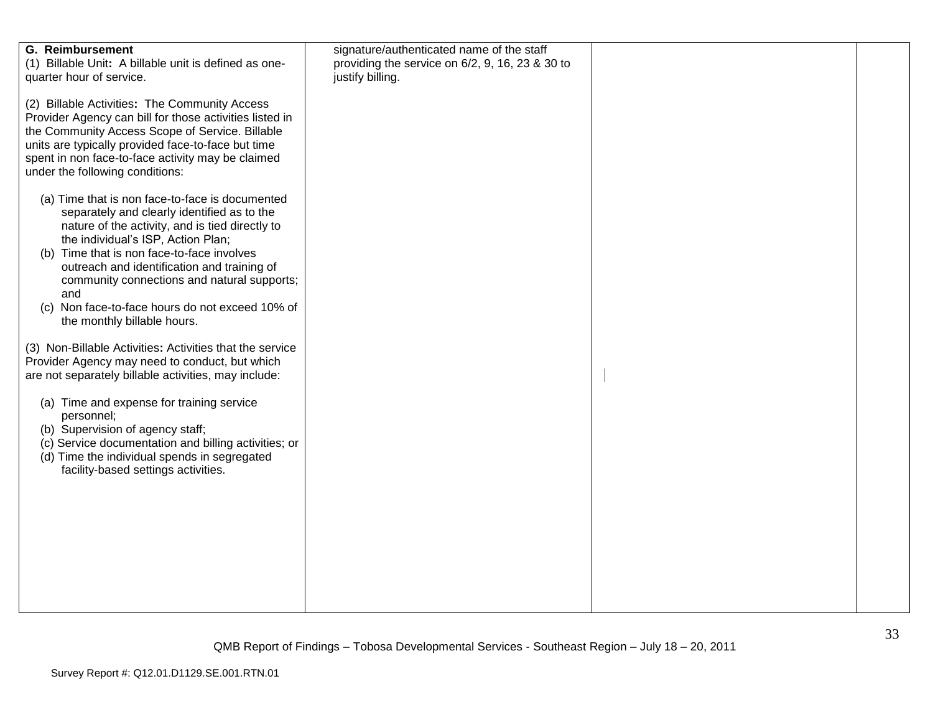| <b>G.</b> Reimbursement                                  | signature/authenticated name of the staff       |  |
|----------------------------------------------------------|-------------------------------------------------|--|
| (1) Billable Unit: A billable unit is defined as one-    | providing the service on 6/2, 9, 16, 23 & 30 to |  |
| quarter hour of service.                                 | justify billing.                                |  |
|                                                          |                                                 |  |
|                                                          |                                                 |  |
| (2) Billable Activities: The Community Access            |                                                 |  |
| Provider Agency can bill for those activities listed in  |                                                 |  |
|                                                          |                                                 |  |
| the Community Access Scope of Service. Billable          |                                                 |  |
| units are typically provided face-to-face but time       |                                                 |  |
| spent in non face-to-face activity may be claimed        |                                                 |  |
|                                                          |                                                 |  |
| under the following conditions:                          |                                                 |  |
|                                                          |                                                 |  |
| (a) Time that is non face-to-face is documented          |                                                 |  |
|                                                          |                                                 |  |
| separately and clearly identified as to the              |                                                 |  |
| nature of the activity, and is tied directly to          |                                                 |  |
| the individual's ISP, Action Plan;                       |                                                 |  |
|                                                          |                                                 |  |
| (b) Time that is non face-to-face involves               |                                                 |  |
| outreach and identification and training of              |                                                 |  |
| community connections and natural supports;              |                                                 |  |
|                                                          |                                                 |  |
| and                                                      |                                                 |  |
| (c) Non face-to-face hours do not exceed 10% of          |                                                 |  |
| the monthly billable hours.                              |                                                 |  |
|                                                          |                                                 |  |
|                                                          |                                                 |  |
| (3) Non-Billable Activities: Activities that the service |                                                 |  |
| Provider Agency may need to conduct, but which           |                                                 |  |
| are not separately billable activities, may include:     |                                                 |  |
|                                                          |                                                 |  |
|                                                          |                                                 |  |
| (a) Time and expense for training service                |                                                 |  |
| personnel;                                               |                                                 |  |
| (b) Supervision of agency staff;                         |                                                 |  |
|                                                          |                                                 |  |
| (c) Service documentation and billing activities; or     |                                                 |  |
| (d) Time the individual spends in segregated             |                                                 |  |
| facility-based settings activities.                      |                                                 |  |
|                                                          |                                                 |  |
|                                                          |                                                 |  |
|                                                          |                                                 |  |
|                                                          |                                                 |  |
|                                                          |                                                 |  |
|                                                          |                                                 |  |
|                                                          |                                                 |  |
|                                                          |                                                 |  |
|                                                          |                                                 |  |
|                                                          |                                                 |  |
|                                                          |                                                 |  |
|                                                          |                                                 |  |
|                                                          |                                                 |  |
|                                                          |                                                 |  |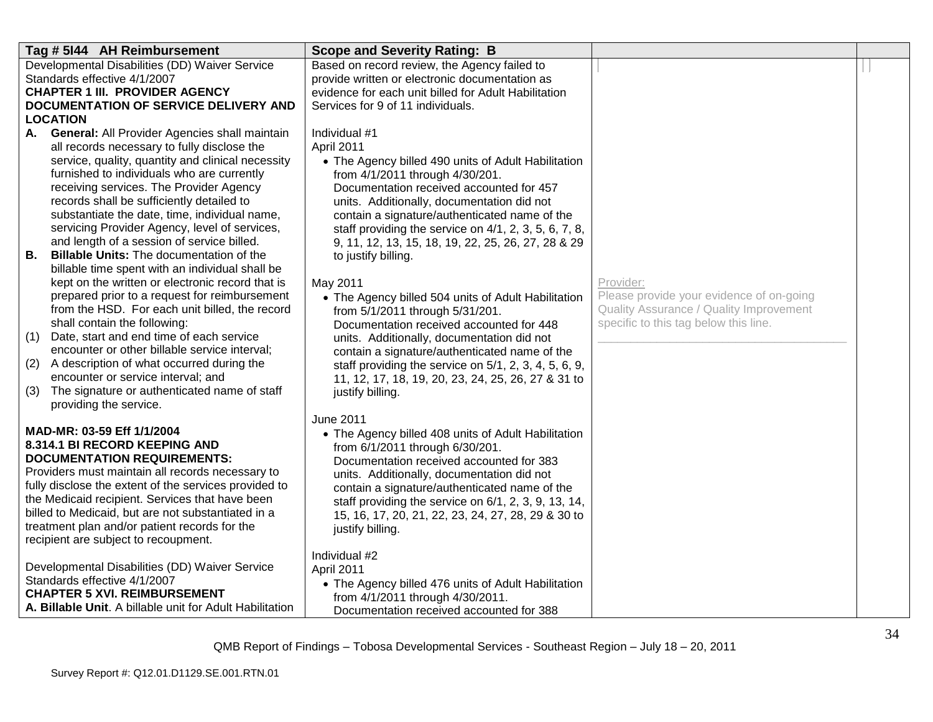| Tag # 5144 AH Reimbursement                                                                                                                                                                                                                                                                                                                                                                                                                                                                                                                                                                                                                                                                                                                                                                                | <b>Scope and Severity Rating: B</b>                                                                                                                                                                                                                                                                                                                                                                                                                                                                                                                                                                       |                                                                                                                                           |  |
|------------------------------------------------------------------------------------------------------------------------------------------------------------------------------------------------------------------------------------------------------------------------------------------------------------------------------------------------------------------------------------------------------------------------------------------------------------------------------------------------------------------------------------------------------------------------------------------------------------------------------------------------------------------------------------------------------------------------------------------------------------------------------------------------------------|-----------------------------------------------------------------------------------------------------------------------------------------------------------------------------------------------------------------------------------------------------------------------------------------------------------------------------------------------------------------------------------------------------------------------------------------------------------------------------------------------------------------------------------------------------------------------------------------------------------|-------------------------------------------------------------------------------------------------------------------------------------------|--|
| Developmental Disabilities (DD) Waiver Service<br>Standards effective 4/1/2007<br><b>CHAPTER 1 III. PROVIDER AGENCY</b><br>DOCUMENTATION OF SERVICE DELIVERY AND<br><b>LOCATION</b>                                                                                                                                                                                                                                                                                                                                                                                                                                                                                                                                                                                                                        | Based on record review, the Agency failed to<br>provide written or electronic documentation as<br>evidence for each unit billed for Adult Habilitation<br>Services for 9 of 11 individuals.                                                                                                                                                                                                                                                                                                                                                                                                               |                                                                                                                                           |  |
| <b>General: All Provider Agencies shall maintain</b><br>А.<br>all records necessary to fully disclose the<br>service, quality, quantity and clinical necessity<br>furnished to individuals who are currently<br>receiving services. The Provider Agency<br>records shall be sufficiently detailed to<br>substantiate the date, time, individual name,<br>servicing Provider Agency, level of services,<br>and length of a session of service billed.<br>В.<br><b>Billable Units:</b> The documentation of the<br>billable time spent with an individual shall be<br>kept on the written or electronic record that is<br>prepared prior to a request for reimbursement<br>from the HSD. For each unit billed, the record<br>shall contain the following:<br>Date, start and end time of each service<br>(1) | Individual #1<br>April 2011<br>• The Agency billed 490 units of Adult Habilitation<br>from 4/1/2011 through 4/30/201.<br>Documentation received accounted for 457<br>units. Additionally, documentation did not<br>contain a signature/authenticated name of the<br>staff providing the service on $4/1$ , 2, 3, 5, 6, 7, 8,<br>9, 11, 12, 13, 15, 18, 19, 22, 25, 26, 27, 28 & 29<br>to justify billing.<br>May 2011<br>• The Agency billed 504 units of Adult Habilitation<br>from 5/1/2011 through 5/31/201.<br>Documentation received accounted for 448<br>units. Additionally, documentation did not | Provider:<br>Please provide your evidence of on-going<br>Quality Assurance / Quality Improvement<br>specific to this tag below this line. |  |
| encounter or other billable service interval;<br>A description of what occurred during the<br>(2)<br>encounter or service interval; and<br>The signature or authenticated name of staff<br>(3)<br>providing the service.                                                                                                                                                                                                                                                                                                                                                                                                                                                                                                                                                                                   | contain a signature/authenticated name of the<br>staff providing the service on 5/1, 2, 3, 4, 5, 6, 9,<br>11, 12, 17, 18, 19, 20, 23, 24, 25, 26, 27 & 31 to<br>justify billing.                                                                                                                                                                                                                                                                                                                                                                                                                          |                                                                                                                                           |  |
| MAD-MR: 03-59 Eff 1/1/2004<br>8.314.1 BI RECORD KEEPING AND<br><b>DOCUMENTATION REQUIREMENTS:</b><br>Providers must maintain all records necessary to<br>fully disclose the extent of the services provided to<br>the Medicaid recipient. Services that have been<br>billed to Medicaid, but are not substantiated in a<br>treatment plan and/or patient records for the<br>recipient are subject to recoupment.                                                                                                                                                                                                                                                                                                                                                                                           | June 2011<br>• The Agency billed 408 units of Adult Habilitation<br>from 6/1/2011 through 6/30/201.<br>Documentation received accounted for 383<br>units. Additionally, documentation did not<br>contain a signature/authenticated name of the<br>staff providing the service on 6/1, 2, 3, 9, 13, 14,<br>15, 16, 17, 20, 21, 22, 23, 24, 27, 28, 29 & 30 to<br>justify billing.                                                                                                                                                                                                                          |                                                                                                                                           |  |
| Developmental Disabilities (DD) Waiver Service<br>Standards effective 4/1/2007<br><b>CHAPTER 5 XVI. REIMBURSEMENT</b><br>A. Billable Unit. A billable unit for Adult Habilitation                                                                                                                                                                                                                                                                                                                                                                                                                                                                                                                                                                                                                          | Individual #2<br>April 2011<br>• The Agency billed 476 units of Adult Habilitation<br>from 4/1/2011 through 4/30/2011.<br>Documentation received accounted for 388                                                                                                                                                                                                                                                                                                                                                                                                                                        |                                                                                                                                           |  |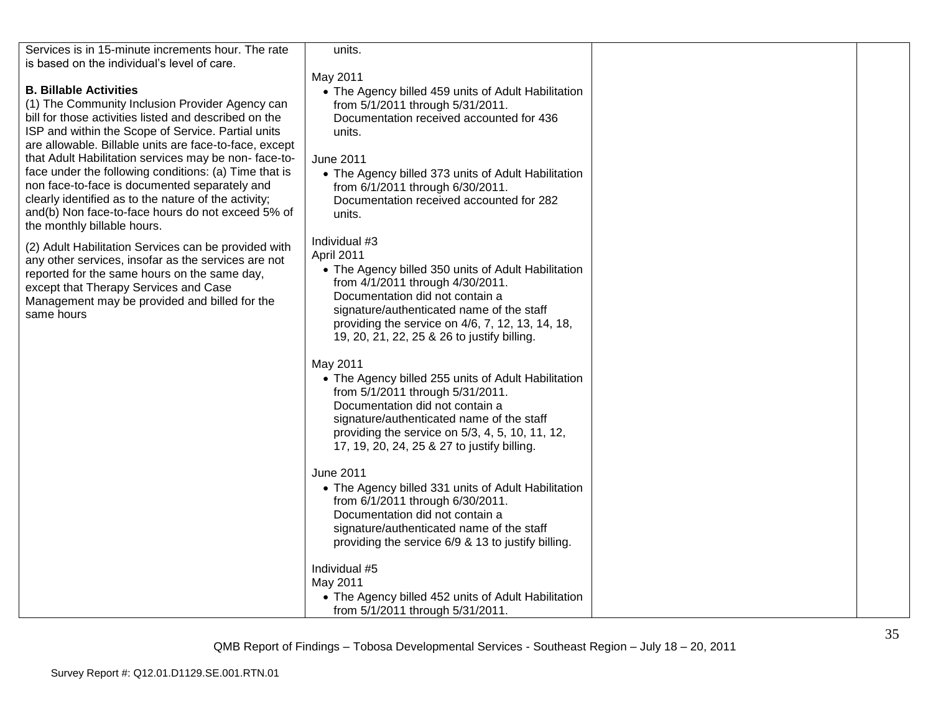| Services is in 15-minute increments hour. The rate<br>is based on the individual's level of care. | units.                                              |  |
|---------------------------------------------------------------------------------------------------|-----------------------------------------------------|--|
|                                                                                                   | May 2011                                            |  |
| <b>B. Billable Activities</b>                                                                     | • The Agency billed 459 units of Adult Habilitation |  |
| (1) The Community Inclusion Provider Agency can                                                   | from 5/1/2011 through 5/31/2011.                    |  |
| bill for those activities listed and described on the                                             | Documentation received accounted for 436            |  |
| ISP and within the Scope of Service. Partial units                                                | units.                                              |  |
| are allowable. Billable units are face-to-face, except                                            |                                                     |  |
| that Adult Habilitation services may be non-face-to-                                              | June 2011                                           |  |
| face under the following conditions: (a) Time that is                                             | • The Agency billed 373 units of Adult Habilitation |  |
| non face-to-face is documented separately and                                                     | from 6/1/2011 through 6/30/2011.                    |  |
| clearly identified as to the nature of the activity;                                              | Documentation received accounted for 282            |  |
| and(b) Non face-to-face hours do not exceed 5% of                                                 | units.                                              |  |
| the monthly billable hours.                                                                       |                                                     |  |
| (2) Adult Habilitation Services can be provided with                                              | Individual #3                                       |  |
| any other services, insofar as the services are not                                               | April 2011                                          |  |
| reported for the same hours on the same day,                                                      | • The Agency billed 350 units of Adult Habilitation |  |
| except that Therapy Services and Case                                                             | from 4/1/2011 through 4/30/2011.                    |  |
| Management may be provided and billed for the                                                     | Documentation did not contain a                     |  |
| same hours                                                                                        | signature/authenticated name of the staff           |  |
|                                                                                                   | providing the service on 4/6, 7, 12, 13, 14, 18,    |  |
|                                                                                                   | 19, 20, 21, 22, 25 & 26 to justify billing.         |  |
|                                                                                                   |                                                     |  |
|                                                                                                   | May 2011                                            |  |
|                                                                                                   | • The Agency billed 255 units of Adult Habilitation |  |
|                                                                                                   | from 5/1/2011 through 5/31/2011.                    |  |
|                                                                                                   | Documentation did not contain a                     |  |
|                                                                                                   | signature/authenticated name of the staff           |  |
|                                                                                                   | providing the service on 5/3, 4, 5, 10, 11, 12,     |  |
|                                                                                                   | 17, 19, 20, 24, 25 & 27 to justify billing.         |  |
|                                                                                                   | June 2011                                           |  |
|                                                                                                   | • The Agency billed 331 units of Adult Habilitation |  |
|                                                                                                   | from 6/1/2011 through 6/30/2011.                    |  |
|                                                                                                   | Documentation did not contain a                     |  |
|                                                                                                   | signature/authenticated name of the staff           |  |
|                                                                                                   | providing the service 6/9 & 13 to justify billing.  |  |
|                                                                                                   |                                                     |  |
|                                                                                                   | Individual #5                                       |  |
|                                                                                                   | May 2011                                            |  |
|                                                                                                   | • The Agency billed 452 units of Adult Habilitation |  |
|                                                                                                   | from 5/1/2011 through 5/31/2011.                    |  |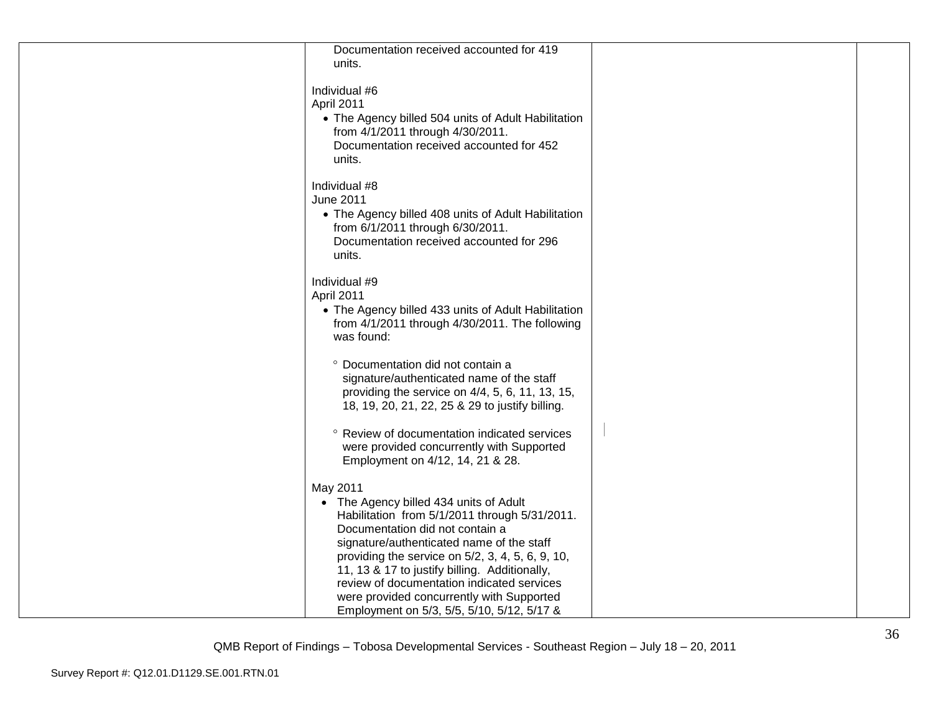| Documentation received accounted for 419<br>units.                                                                                                                                                                                                                                                                                                                                                                                |  |
|-----------------------------------------------------------------------------------------------------------------------------------------------------------------------------------------------------------------------------------------------------------------------------------------------------------------------------------------------------------------------------------------------------------------------------------|--|
| Individual #6<br>April 2011<br>• The Agency billed 504 units of Adult Habilitation<br>from 4/1/2011 through 4/30/2011.<br>Documentation received accounted for 452<br>units.                                                                                                                                                                                                                                                      |  |
| Individual #8<br><b>June 2011</b><br>• The Agency billed 408 units of Adult Habilitation<br>from 6/1/2011 through 6/30/2011.<br>Documentation received accounted for 296<br>units.                                                                                                                                                                                                                                                |  |
| Individual #9<br>April 2011<br>• The Agency billed 433 units of Adult Habilitation<br>from 4/1/2011 through 4/30/2011. The following<br>was found:                                                                                                                                                                                                                                                                                |  |
| ° Documentation did not contain a<br>signature/authenticated name of the staff<br>providing the service on 4/4, 5, 6, 11, 13, 15,<br>18, 19, 20, 21, 22, 25 & 29 to justify billing.                                                                                                                                                                                                                                              |  |
| ° Review of documentation indicated services<br>were provided concurrently with Supported<br>Employment on 4/12, 14, 21 & 28.                                                                                                                                                                                                                                                                                                     |  |
| May 2011<br>• The Agency billed 434 units of Adult<br>Habilitation from 5/1/2011 through 5/31/2011.<br>Documentation did not contain a<br>signature/authenticated name of the staff<br>providing the service on 5/2, 3, 4, 5, 6, 9, 10,<br>11, 13 & 17 to justify billing. Additionally,<br>review of documentation indicated services<br>were provided concurrently with Supported<br>Employment on 5/3, 5/5, 5/10, 5/12, 5/17 & |  |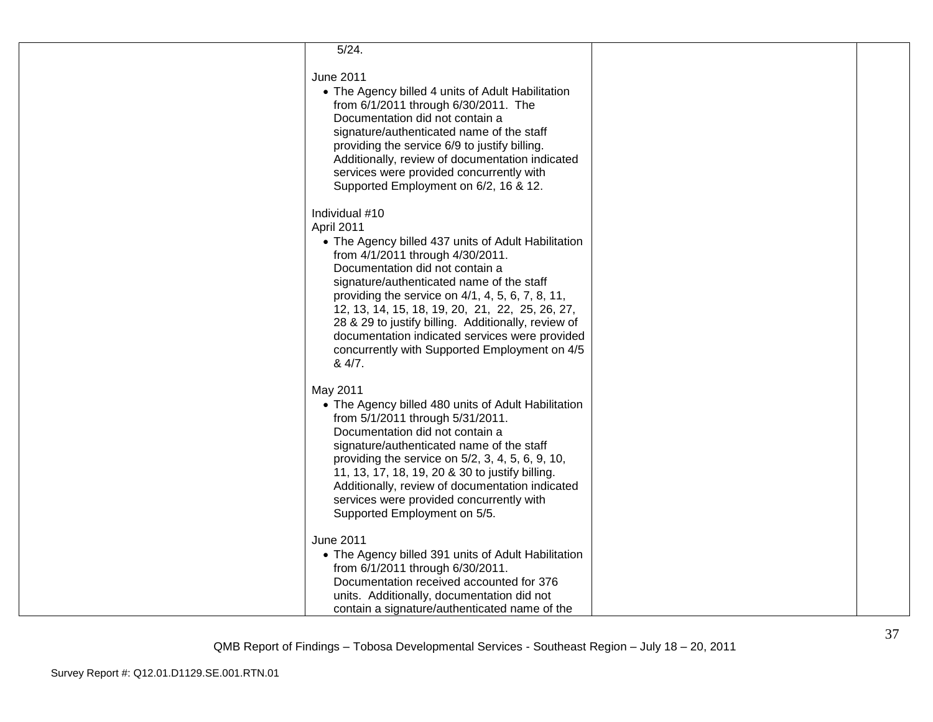| 5/24.                                                                                                                                                                                                                                                                                                                                                                                                                                                                              |  |
|------------------------------------------------------------------------------------------------------------------------------------------------------------------------------------------------------------------------------------------------------------------------------------------------------------------------------------------------------------------------------------------------------------------------------------------------------------------------------------|--|
| <b>June 2011</b><br>• The Agency billed 4 units of Adult Habilitation<br>from 6/1/2011 through 6/30/2011. The<br>Documentation did not contain a<br>signature/authenticated name of the staff<br>providing the service 6/9 to justify billing.<br>Additionally, review of documentation indicated<br>services were provided concurrently with<br>Supported Employment on 6/2, 16 & 12.                                                                                             |  |
| Individual #10<br>April 2011<br>• The Agency billed 437 units of Adult Habilitation<br>from 4/1/2011 through 4/30/2011.<br>Documentation did not contain a<br>signature/authenticated name of the staff<br>providing the service on 4/1, 4, 5, 6, 7, 8, 11,<br>12, 13, 14, 15, 18, 19, 20, 21, 22, 25, 26, 27,<br>28 & 29 to justify billing. Additionally, review of<br>documentation indicated services were provided<br>concurrently with Supported Employment on 4/5<br>& 4/7. |  |
| May 2011<br>• The Agency billed 480 units of Adult Habilitation<br>from 5/1/2011 through 5/31/2011.<br>Documentation did not contain a<br>signature/authenticated name of the staff<br>providing the service on 5/2, 3, 4, 5, 6, 9, 10,<br>11, 13, 17, 18, 19, 20 & 30 to justify billing.<br>Additionally, review of documentation indicated<br>services were provided concurrently with<br>Supported Employment on 5/5.                                                          |  |
| June 2011<br>• The Agency billed 391 units of Adult Habilitation<br>from 6/1/2011 through 6/30/2011.<br>Documentation received accounted for 376<br>units. Additionally, documentation did not<br>contain a signature/authenticated name of the                                                                                                                                                                                                                                    |  |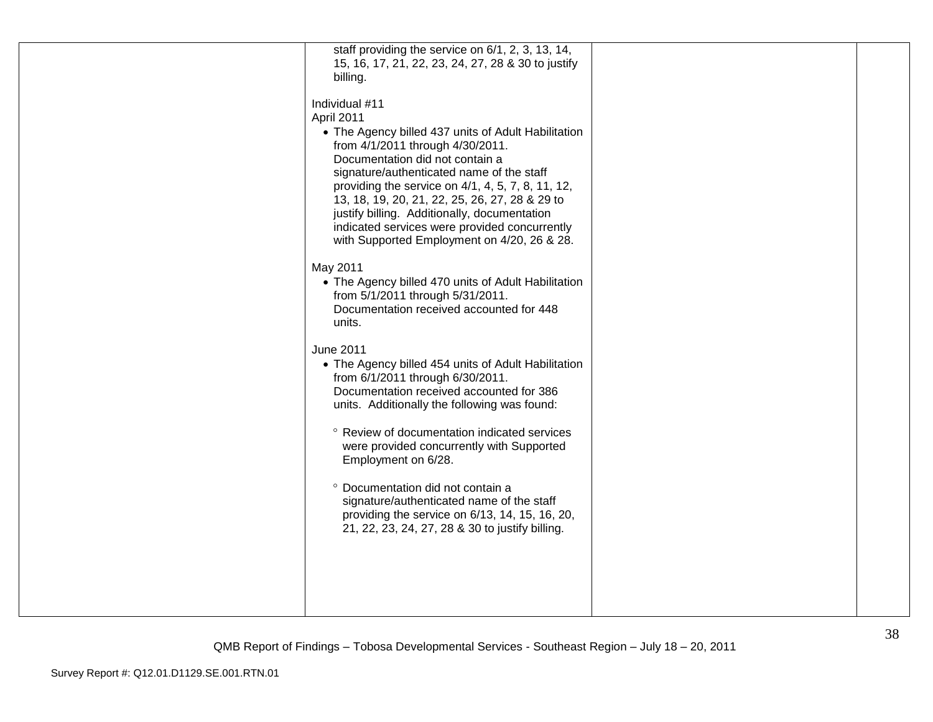| 15, 16, 17, 21, 22, 23, 24, 27, 28 & 30 to justify<br>billing.<br>Individual #11<br>April 2011<br>• The Agency billed 437 units of Adult Habilitation<br>from 4/1/2011 through 4/30/2011.<br>Documentation did not contain a<br>signature/authenticated name of the staff<br>providing the service on 4/1, 4, 5, 7, 8, 11, 12,<br>13, 18, 19, 20, 21, 22, 25, 26, 27, 28 & 29 to<br>justify billing. Additionally, documentation<br>indicated services were provided concurrently<br>with Supported Employment on 4/20, 26 & 28.<br>May 2011<br>• The Agency billed 470 units of Adult Habilitation<br>from 5/1/2011 through 5/31/2011.<br>Documentation received accounted for 448<br>units.<br><b>June 2011</b><br>• The Agency billed 454 units of Adult Habilitation<br>from 6/1/2011 through 6/30/2011.<br>Documentation received accounted for 386<br>units. Additionally the following was found:<br>° Review of documentation indicated services<br>were provided concurrently with Supported<br>Employment on 6/28.<br>° Documentation did not contain a<br>signature/authenticated name of the staff<br>providing the service on 6/13, 14, 15, 16, 20,<br>21, 22, 23, 24, 27, 28 & 30 to justify billing. |                                                   |  |
|---------------------------------------------------------------------------------------------------------------------------------------------------------------------------------------------------------------------------------------------------------------------------------------------------------------------------------------------------------------------------------------------------------------------------------------------------------------------------------------------------------------------------------------------------------------------------------------------------------------------------------------------------------------------------------------------------------------------------------------------------------------------------------------------------------------------------------------------------------------------------------------------------------------------------------------------------------------------------------------------------------------------------------------------------------------------------------------------------------------------------------------------------------------------------------------------------------------------|---------------------------------------------------|--|
|                                                                                                                                                                                                                                                                                                                                                                                                                                                                                                                                                                                                                                                                                                                                                                                                                                                                                                                                                                                                                                                                                                                                                                                                                     | staff providing the service on 6/1, 2, 3, 13, 14, |  |
|                                                                                                                                                                                                                                                                                                                                                                                                                                                                                                                                                                                                                                                                                                                                                                                                                                                                                                                                                                                                                                                                                                                                                                                                                     |                                                   |  |
|                                                                                                                                                                                                                                                                                                                                                                                                                                                                                                                                                                                                                                                                                                                                                                                                                                                                                                                                                                                                                                                                                                                                                                                                                     |                                                   |  |
|                                                                                                                                                                                                                                                                                                                                                                                                                                                                                                                                                                                                                                                                                                                                                                                                                                                                                                                                                                                                                                                                                                                                                                                                                     |                                                   |  |
|                                                                                                                                                                                                                                                                                                                                                                                                                                                                                                                                                                                                                                                                                                                                                                                                                                                                                                                                                                                                                                                                                                                                                                                                                     |                                                   |  |
|                                                                                                                                                                                                                                                                                                                                                                                                                                                                                                                                                                                                                                                                                                                                                                                                                                                                                                                                                                                                                                                                                                                                                                                                                     |                                                   |  |
|                                                                                                                                                                                                                                                                                                                                                                                                                                                                                                                                                                                                                                                                                                                                                                                                                                                                                                                                                                                                                                                                                                                                                                                                                     |                                                   |  |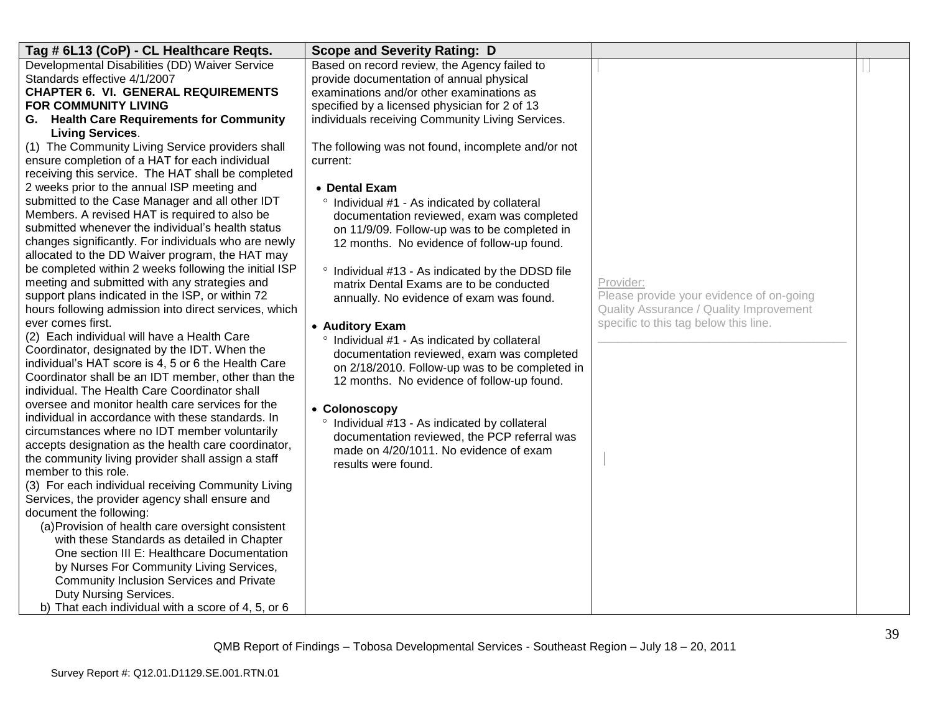| Tag # 6L13 (CoP) - CL Healthcare Reqts.                                     | <b>Scope and Severity Rating: D</b>                |                                          |  |
|-----------------------------------------------------------------------------|----------------------------------------------------|------------------------------------------|--|
| Developmental Disabilities (DD) Waiver Service                              | Based on record review, the Agency failed to       |                                          |  |
| Standards effective 4/1/2007                                                | provide documentation of annual physical           |                                          |  |
| <b>CHAPTER 6. VI. GENERAL REQUIREMENTS</b>                                  | examinations and/or other examinations as          |                                          |  |
| <b>FOR COMMUNITY LIVING</b>                                                 | specified by a licensed physician for 2 of 13      |                                          |  |
| G. Health Care Requirements for Community                                   | individuals receiving Community Living Services.   |                                          |  |
| <b>Living Services.</b><br>(1) The Community Living Service providers shall | The following was not found, incomplete and/or not |                                          |  |
| ensure completion of a HAT for each individual                              | current:                                           |                                          |  |
| receiving this service. The HAT shall be completed                          |                                                    |                                          |  |
| 2 weeks prior to the annual ISP meeting and                                 | • Dental Exam                                      |                                          |  |
| submitted to the Case Manager and all other IDT                             | ° Individual #1 - As indicated by collateral       |                                          |  |
| Members. A revised HAT is required to also be                               | documentation reviewed, exam was completed         |                                          |  |
| submitted whenever the individual's health status                           | on 11/9/09. Follow-up was to be completed in       |                                          |  |
| changes significantly. For individuals who are newly                        | 12 months. No evidence of follow-up found.         |                                          |  |
| allocated to the DD Waiver program, the HAT may                             |                                                    |                                          |  |
| be completed within 2 weeks following the initial ISP                       | ° Individual #13 - As indicated by the DDSD file   |                                          |  |
| meeting and submitted with any strategies and                               | matrix Dental Exams are to be conducted            | Provider:                                |  |
| support plans indicated in the ISP, or within 72                            | annually. No evidence of exam was found.           | Please provide your evidence of on-going |  |
| hours following admission into direct services, which                       |                                                    | Quality Assurance / Quality Improvement  |  |
| ever comes first.<br>(2) Each individual will have a Health Care            | • Auditory Exam                                    | specific to this tag below this line.    |  |
| Coordinator, designated by the IDT. When the                                | ° Individual #1 - As indicated by collateral       |                                          |  |
| individual's HAT score is 4, 5 or 6 the Health Care                         | documentation reviewed, exam was completed         |                                          |  |
| Coordinator shall be an IDT member, other than the                          | on 2/18/2010. Follow-up was to be completed in     |                                          |  |
| individual. The Health Care Coordinator shall                               | 12 months. No evidence of follow-up found.         |                                          |  |
| oversee and monitor health care services for the                            | • Colonoscopy                                      |                                          |  |
| individual in accordance with these standards. In                           | ° Individual #13 - As indicated by collateral      |                                          |  |
| circumstances where no IDT member voluntarily                               | documentation reviewed, the PCP referral was       |                                          |  |
| accepts designation as the health care coordinator,                         | made on 4/20/1011. No evidence of exam             |                                          |  |
| the community living provider shall assign a staff                          | results were found.                                |                                          |  |
| member to this role.                                                        |                                                    |                                          |  |
| (3) For each individual receiving Community Living                          |                                                    |                                          |  |
| Services, the provider agency shall ensure and<br>document the following:   |                                                    |                                          |  |
| (a) Provision of health care oversight consistent                           |                                                    |                                          |  |
| with these Standards as detailed in Chapter                                 |                                                    |                                          |  |
| One section III E: Healthcare Documentation                                 |                                                    |                                          |  |
| by Nurses For Community Living Services,                                    |                                                    |                                          |  |
| Community Inclusion Services and Private                                    |                                                    |                                          |  |
| Duty Nursing Services.                                                      |                                                    |                                          |  |
| b) That each individual with a score of 4, 5, or 6                          |                                                    |                                          |  |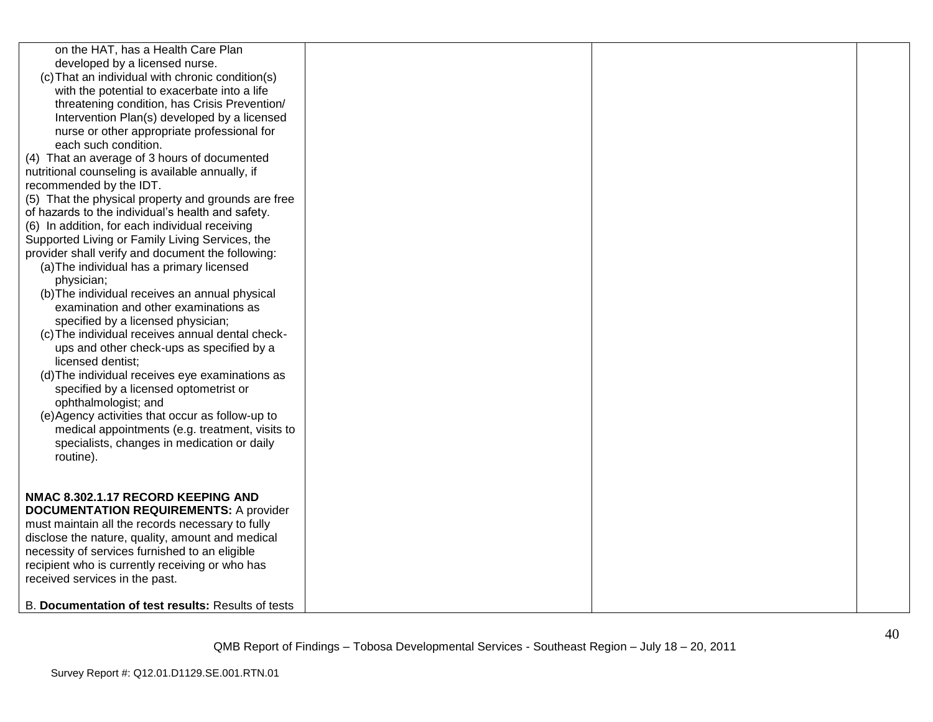| on the HAT, has a Health Care Plan<br>developed by a licensed nurse.<br>(c) That an individual with chronic condition(s)<br>with the potential to exacerbate into a life<br>threatening condition, has Crisis Prevention/<br>Intervention Plan(s) developed by a licensed<br>nurse or other appropriate professional for<br>each such condition.<br>(4) That an average of 3 hours of documented<br>nutritional counseling is available annually, if<br>recommended by the IDT.<br>(5) That the physical property and grounds are free<br>of hazards to the individual's health and safety.<br>(6) In addition, for each individual receiving<br>Supported Living or Family Living Services, the<br>provider shall verify and document the following:<br>(a) The individual has a primary licensed<br>physician;<br>(b) The individual receives an annual physical<br>examination and other examinations as<br>specified by a licensed physician;<br>(c) The individual receives annual dental check-<br>ups and other check-ups as specified by a<br>licensed dentist;<br>(d) The individual receives eye examinations as<br>specified by a licensed optometrist or<br>ophthalmologist; and |  |  |
|----------------------------------------------------------------------------------------------------------------------------------------------------------------------------------------------------------------------------------------------------------------------------------------------------------------------------------------------------------------------------------------------------------------------------------------------------------------------------------------------------------------------------------------------------------------------------------------------------------------------------------------------------------------------------------------------------------------------------------------------------------------------------------------------------------------------------------------------------------------------------------------------------------------------------------------------------------------------------------------------------------------------------------------------------------------------------------------------------------------------------------------------------------------------------------------------|--|--|
| (e) Agency activities that occur as follow-up to<br>medical appointments (e.g. treatment, visits to<br>specialists, changes in medication or daily<br>routine).                                                                                                                                                                                                                                                                                                                                                                                                                                                                                                                                                                                                                                                                                                                                                                                                                                                                                                                                                                                                                              |  |  |
| NMAC 8.302.1.17 RECORD KEEPING AND<br><b>DOCUMENTATION REQUIREMENTS: A provider</b><br>must maintain all the records necessary to fully<br>disclose the nature, quality, amount and medical<br>necessity of services furnished to an eligible<br>recipient who is currently receiving or who has<br>received services in the past.                                                                                                                                                                                                                                                                                                                                                                                                                                                                                                                                                                                                                                                                                                                                                                                                                                                           |  |  |
| B. Documentation of test results: Results of tests                                                                                                                                                                                                                                                                                                                                                                                                                                                                                                                                                                                                                                                                                                                                                                                                                                                                                                                                                                                                                                                                                                                                           |  |  |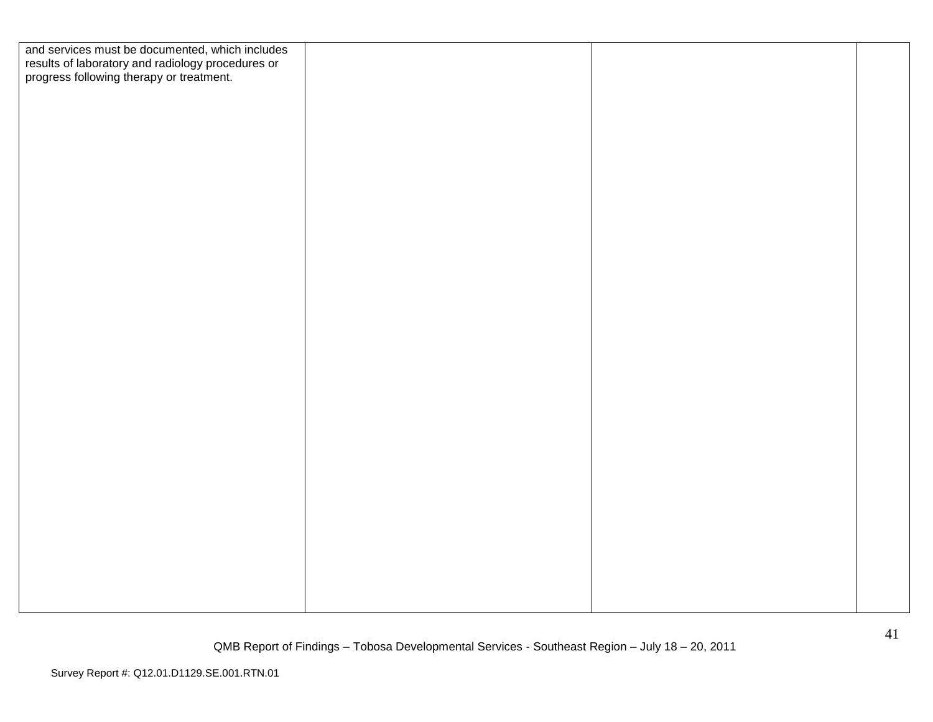| and services must be documented, which includes<br>results of laboratory and radiology procedures or<br>progress following therapy or treatment. |  |  |
|--------------------------------------------------------------------------------------------------------------------------------------------------|--|--|
|                                                                                                                                                  |  |  |
|                                                                                                                                                  |  |  |
|                                                                                                                                                  |  |  |
|                                                                                                                                                  |  |  |
|                                                                                                                                                  |  |  |
|                                                                                                                                                  |  |  |
|                                                                                                                                                  |  |  |
|                                                                                                                                                  |  |  |
|                                                                                                                                                  |  |  |
|                                                                                                                                                  |  |  |
|                                                                                                                                                  |  |  |
|                                                                                                                                                  |  |  |
|                                                                                                                                                  |  |  |
|                                                                                                                                                  |  |  |
|                                                                                                                                                  |  |  |
|                                                                                                                                                  |  |  |
|                                                                                                                                                  |  |  |
|                                                                                                                                                  |  |  |
|                                                                                                                                                  |  |  |
|                                                                                                                                                  |  |  |
|                                                                                                                                                  |  |  |
|                                                                                                                                                  |  |  |
|                                                                                                                                                  |  |  |
|                                                                                                                                                  |  |  |
|                                                                                                                                                  |  |  |
|                                                                                                                                                  |  |  |
|                                                                                                                                                  |  |  |
|                                                                                                                                                  |  |  |
|                                                                                                                                                  |  |  |
|                                                                                                                                                  |  |  |
|                                                                                                                                                  |  |  |
|                                                                                                                                                  |  |  |
|                                                                                                                                                  |  |  |
|                                                                                                                                                  |  |  |
|                                                                                                                                                  |  |  |
|                                                                                                                                                  |  |  |
|                                                                                                                                                  |  |  |
|                                                                                                                                                  |  |  |
|                                                                                                                                                  |  |  |
|                                                                                                                                                  |  |  |
|                                                                                                                                                  |  |  |
|                                                                                                                                                  |  |  |
|                                                                                                                                                  |  |  |
|                                                                                                                                                  |  |  |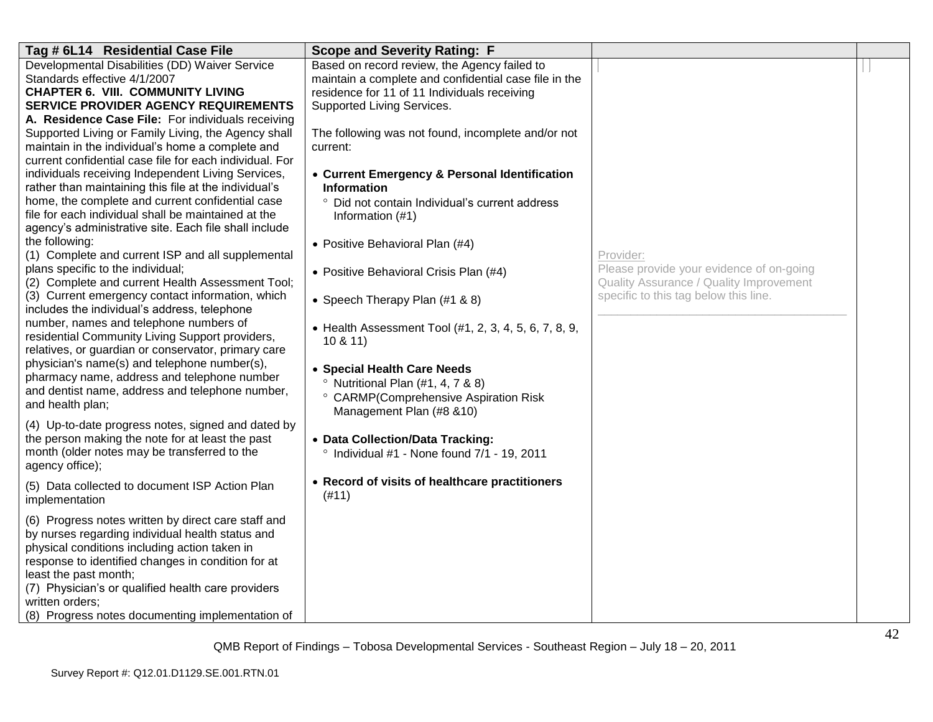| Tag # 6L14 Residential Case File                                                                            | <b>Scope and Severity Rating: F</b>                                 |                                          |  |
|-------------------------------------------------------------------------------------------------------------|---------------------------------------------------------------------|------------------------------------------|--|
| Developmental Disabilities (DD) Waiver Service                                                              | Based on record review, the Agency failed to                        |                                          |  |
| Standards effective 4/1/2007                                                                                | maintain a complete and confidential case file in the               |                                          |  |
| <b>CHAPTER 6. VIII. COMMUNITY LIVING</b>                                                                    | residence for 11 of 11 Individuals receiving                        |                                          |  |
| SERVICE PROVIDER AGENCY REQUIREMENTS                                                                        | Supported Living Services.                                          |                                          |  |
| A. Residence Case File: For individuals receiving                                                           |                                                                     |                                          |  |
| Supported Living or Family Living, the Agency shall                                                         | The following was not found, incomplete and/or not                  |                                          |  |
| maintain in the individual's home a complete and                                                            | current:                                                            |                                          |  |
| current confidential case file for each individual. For                                                     |                                                                     |                                          |  |
| individuals receiving Independent Living Services,<br>rather than maintaining this file at the individual's | • Current Emergency & Personal Identification<br><b>Information</b> |                                          |  |
| home, the complete and current confidential case                                                            | ° Did not contain Individual's current address                      |                                          |  |
| file for each individual shall be maintained at the                                                         |                                                                     |                                          |  |
| agency's administrative site. Each file shall include                                                       | Information (#1)                                                    |                                          |  |
| the following:                                                                                              | • Positive Behavioral Plan (#4)                                     |                                          |  |
| (1) Complete and current ISP and all supplemental                                                           |                                                                     | Provider:                                |  |
| plans specific to the individual;                                                                           | • Positive Behavioral Crisis Plan (#4)                              | Please provide your evidence of on-going |  |
| (2) Complete and current Health Assessment Tool;                                                            |                                                                     | Quality Assurance / Quality Improvement  |  |
| (3) Current emergency contact information, which                                                            | • Speech Therapy Plan (#1 & 8)                                      | specific to this tag below this line.    |  |
| includes the individual's address, telephone                                                                |                                                                     |                                          |  |
| number, names and telephone numbers of                                                                      | • Health Assessment Tool (#1, 2, 3, 4, 5, 6, 7, 8, 9,               |                                          |  |
| residential Community Living Support providers,                                                             | 10 & 11                                                             |                                          |  |
| relatives, or guardian or conservator, primary care                                                         |                                                                     |                                          |  |
| physician's name(s) and telephone number(s),                                                                | • Special Health Care Needs                                         |                                          |  |
| pharmacy name, address and telephone number                                                                 | $\degree$ Nutritional Plan (#1, 4, 7 & 8)                           |                                          |  |
| and dentist name, address and telephone number,<br>and health plan;                                         | ° CARMP(Comprehensive Aspiration Risk                               |                                          |  |
|                                                                                                             | Management Plan (#8 &10)                                            |                                          |  |
| (4) Up-to-date progress notes, signed and dated by                                                          |                                                                     |                                          |  |
| the person making the note for at least the past                                                            | • Data Collection/Data Tracking:                                    |                                          |  |
| month (older notes may be transferred to the                                                                | Individual #1 - None found 7/1 - 19, 2011                           |                                          |  |
| agency office);                                                                                             |                                                                     |                                          |  |
| (5) Data collected to document ISP Action Plan                                                              | • Record of visits of healthcare practitioners                      |                                          |  |
| implementation                                                                                              | (#11)                                                               |                                          |  |
| (6) Progress notes written by direct care staff and                                                         |                                                                     |                                          |  |
| by nurses regarding individual health status and                                                            |                                                                     |                                          |  |
| physical conditions including action taken in                                                               |                                                                     |                                          |  |
| response to identified changes in condition for at                                                          |                                                                     |                                          |  |
| least the past month;                                                                                       |                                                                     |                                          |  |
| (7) Physician's or qualified health care providers                                                          |                                                                     |                                          |  |
| written orders;                                                                                             |                                                                     |                                          |  |
| (8) Progress notes documenting implementation of                                                            |                                                                     |                                          |  |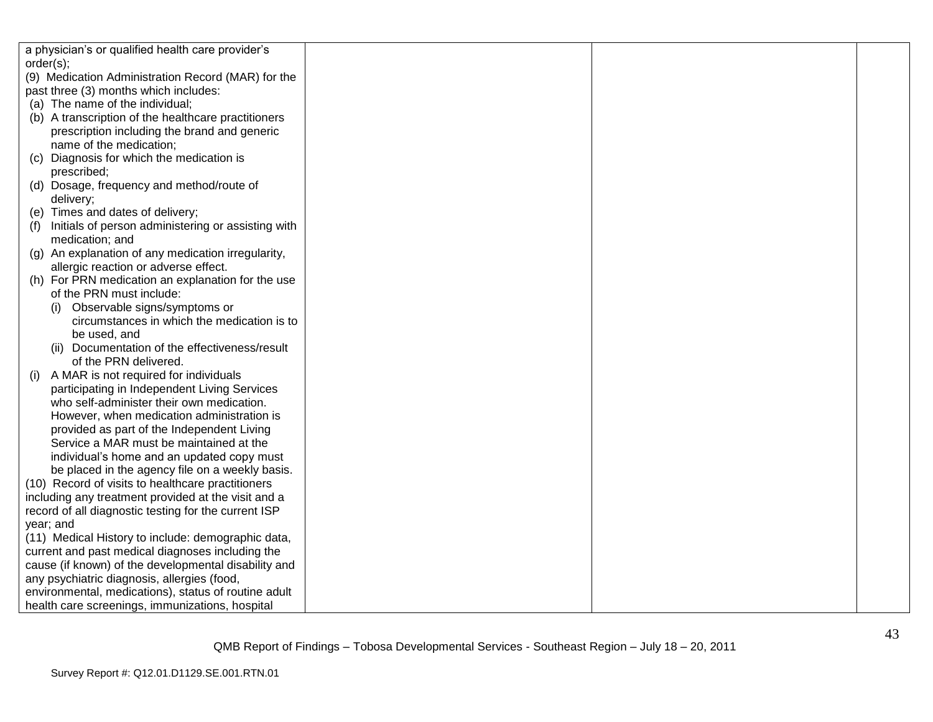| a physician's or qualified health care provider's    |  |  |
|------------------------------------------------------|--|--|
| order(s);                                            |  |  |
| (9) Medication Administration Record (MAR) for the   |  |  |
| past three (3) months which includes:                |  |  |
| (a) The name of the individual;                      |  |  |
| (b) A transcription of the healthcare practitioners  |  |  |
| prescription including the brand and generic         |  |  |
| name of the medication;                              |  |  |
| Diagnosis for which the medication is<br>(C)         |  |  |
| prescribed;                                          |  |  |
| (d) Dosage, frequency and method/route of            |  |  |
| delivery;                                            |  |  |
| (e) Times and dates of delivery;                     |  |  |
| Initials of person administering or assisting with   |  |  |
| medication; and                                      |  |  |
| (g) An explanation of any medication irregularity,   |  |  |
| allergic reaction or adverse effect.                 |  |  |
| (h) For PRN medication an explanation for the use    |  |  |
| of the PRN must include:                             |  |  |
| Observable signs/symptoms or                         |  |  |
| circumstances in which the medication is to          |  |  |
| be used, and                                         |  |  |
| (ii) Documentation of the effectiveness/result       |  |  |
| of the PRN delivered.                                |  |  |
| A MAR is not required for individuals<br>(1)         |  |  |
| participating in Independent Living Services         |  |  |
| who self-administer their own medication.            |  |  |
| However, when medication administration is           |  |  |
| provided as part of the Independent Living           |  |  |
| Service a MAR must be maintained at the              |  |  |
| individual's home and an updated copy must           |  |  |
| be placed in the agency file on a weekly basis.      |  |  |
| (10) Record of visits to healthcare practitioners    |  |  |
| including any treatment provided at the visit and a  |  |  |
| record of all diagnostic testing for the current ISP |  |  |
| year; and                                            |  |  |
| (11) Medical History to include: demographic data,   |  |  |
| current and past medical diagnoses including the     |  |  |
| cause (if known) of the developmental disability and |  |  |
| any psychiatric diagnosis, allergies (food,          |  |  |
| environmental, medications), status of routine adult |  |  |
| health care screenings, immunizations, hospital      |  |  |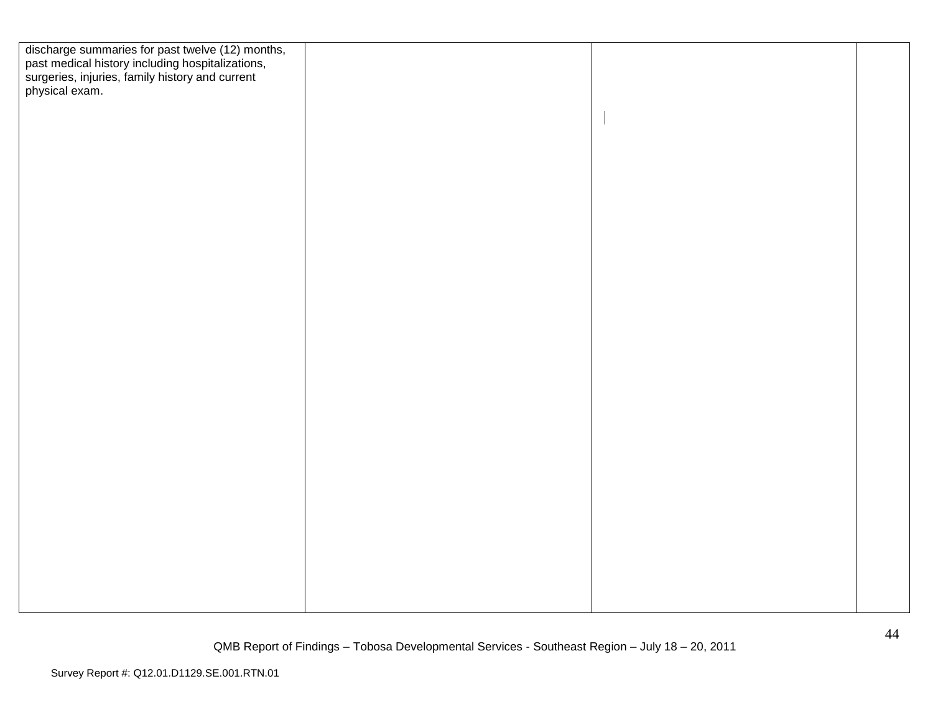| discharge summaries for past twelve (12) months,<br>past medical history including hospitalizations,<br>surgeries, injuries, family history and current<br>physical exam. |  |  |
|---------------------------------------------------------------------------------------------------------------------------------------------------------------------------|--|--|
|                                                                                                                                                                           |  |  |
|                                                                                                                                                                           |  |  |
|                                                                                                                                                                           |  |  |
|                                                                                                                                                                           |  |  |
|                                                                                                                                                                           |  |  |
|                                                                                                                                                                           |  |  |
|                                                                                                                                                                           |  |  |
|                                                                                                                                                                           |  |  |
|                                                                                                                                                                           |  |  |
|                                                                                                                                                                           |  |  |
|                                                                                                                                                                           |  |  |
|                                                                                                                                                                           |  |  |
|                                                                                                                                                                           |  |  |
|                                                                                                                                                                           |  |  |
|                                                                                                                                                                           |  |  |
|                                                                                                                                                                           |  |  |
|                                                                                                                                                                           |  |  |
|                                                                                                                                                                           |  |  |
|                                                                                                                                                                           |  |  |
|                                                                                                                                                                           |  |  |
|                                                                                                                                                                           |  |  |
|                                                                                                                                                                           |  |  |
|                                                                                                                                                                           |  |  |
|                                                                                                                                                                           |  |  |
|                                                                                                                                                                           |  |  |
|                                                                                                                                                                           |  |  |
|                                                                                                                                                                           |  |  |
|                                                                                                                                                                           |  |  |
|                                                                                                                                                                           |  |  |
|                                                                                                                                                                           |  |  |
|                                                                                                                                                                           |  |  |
|                                                                                                                                                                           |  |  |
|                                                                                                                                                                           |  |  |
|                                                                                                                                                                           |  |  |
|                                                                                                                                                                           |  |  |
|                                                                                                                                                                           |  |  |
|                                                                                                                                                                           |  |  |
|                                                                                                                                                                           |  |  |
|                                                                                                                                                                           |  |  |
|                                                                                                                                                                           |  |  |
|                                                                                                                                                                           |  |  |
|                                                                                                                                                                           |  |  |
|                                                                                                                                                                           |  |  |
|                                                                                                                                                                           |  |  |
|                                                                                                                                                                           |  |  |
|                                                                                                                                                                           |  |  |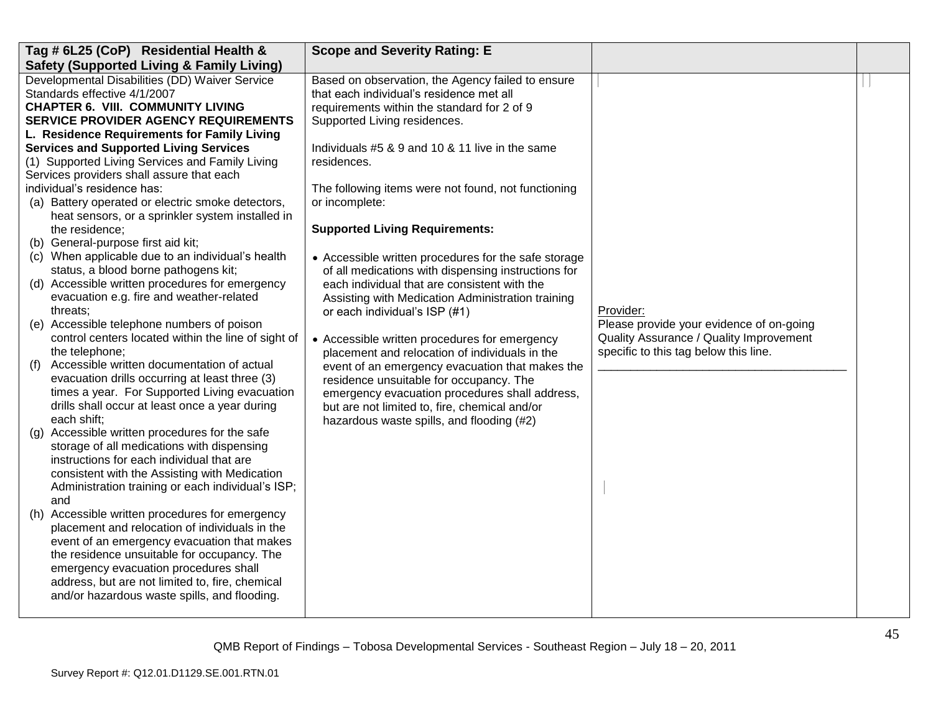| Tag # 6L25 (CoP) Residential Health &                                                   | <b>Scope and Severity Rating: E</b>                                                                         |                                          |  |
|-----------------------------------------------------------------------------------------|-------------------------------------------------------------------------------------------------------------|------------------------------------------|--|
| <b>Safety (Supported Living &amp; Family Living)</b>                                    |                                                                                                             |                                          |  |
| Developmental Disabilities (DD) Waiver Service                                          | Based on observation, the Agency failed to ensure                                                           |                                          |  |
| Standards effective 4/1/2007                                                            | that each individual's residence met all                                                                    |                                          |  |
| <b>CHAPTER 6. VIII. COMMUNITY LIVING</b>                                                | requirements within the standard for 2 of 9                                                                 |                                          |  |
| <b>SERVICE PROVIDER AGENCY REQUIREMENTS</b>                                             | Supported Living residences.                                                                                |                                          |  |
| L. Residence Requirements for Family Living                                             |                                                                                                             |                                          |  |
| <b>Services and Supported Living Services</b>                                           | Individuals #5 & 9 and 10 & 11 live in the same                                                             |                                          |  |
| (1) Supported Living Services and Family Living                                         | residences.                                                                                                 |                                          |  |
| Services providers shall assure that each                                               |                                                                                                             |                                          |  |
| individual's residence has:                                                             | The following items were not found, not functioning                                                         |                                          |  |
| (a) Battery operated or electric smoke detectors,                                       | or incomplete:                                                                                              |                                          |  |
| heat sensors, or a sprinkler system installed in                                        |                                                                                                             |                                          |  |
| the residence;                                                                          | <b>Supported Living Requirements:</b>                                                                       |                                          |  |
| (b) General-purpose first aid kit;<br>(c) When applicable due to an individual's health |                                                                                                             |                                          |  |
| status, a blood borne pathogens kit;                                                    | • Accessible written procedures for the safe storage<br>of all medications with dispensing instructions for |                                          |  |
| (d) Accessible written procedures for emergency                                         | each individual that are consistent with the                                                                |                                          |  |
| evacuation e.g. fire and weather-related                                                | Assisting with Medication Administration training                                                           |                                          |  |
| threats;                                                                                | or each individual's ISP (#1)                                                                               | Provider:                                |  |
| (e) Accessible telephone numbers of poison                                              |                                                                                                             | Please provide your evidence of on-going |  |
| control centers located within the line of sight of                                     | • Accessible written procedures for emergency                                                               | Quality Assurance / Quality Improvement  |  |
| the telephone;                                                                          | placement and relocation of individuals in the                                                              | specific to this tag below this line.    |  |
| Accessible written documentation of actual<br>(f)                                       | event of an emergency evacuation that makes the                                                             |                                          |  |
| evacuation drills occurring at least three (3)                                          | residence unsuitable for occupancy. The                                                                     |                                          |  |
| times a year. For Supported Living evacuation                                           | emergency evacuation procedures shall address,                                                              |                                          |  |
| drills shall occur at least once a year during                                          | but are not limited to, fire, chemical and/or                                                               |                                          |  |
| each shift;                                                                             | hazardous waste spills, and flooding (#2)                                                                   |                                          |  |
| Accessible written procedures for the safe<br>(g)                                       |                                                                                                             |                                          |  |
| storage of all medications with dispensing                                              |                                                                                                             |                                          |  |
| instructions for each individual that are                                               |                                                                                                             |                                          |  |
| consistent with the Assisting with Medication                                           |                                                                                                             |                                          |  |
| Administration training or each individual's ISP;                                       |                                                                                                             |                                          |  |
| and<br>(h) Accessible written procedures for emergency                                  |                                                                                                             |                                          |  |
| placement and relocation of individuals in the                                          |                                                                                                             |                                          |  |
| event of an emergency evacuation that makes                                             |                                                                                                             |                                          |  |
| the residence unsuitable for occupancy. The                                             |                                                                                                             |                                          |  |
| emergency evacuation procedures shall                                                   |                                                                                                             |                                          |  |
| address, but are not limited to, fire, chemical                                         |                                                                                                             |                                          |  |
| and/or hazardous waste spills, and flooding.                                            |                                                                                                             |                                          |  |
|                                                                                         |                                                                                                             |                                          |  |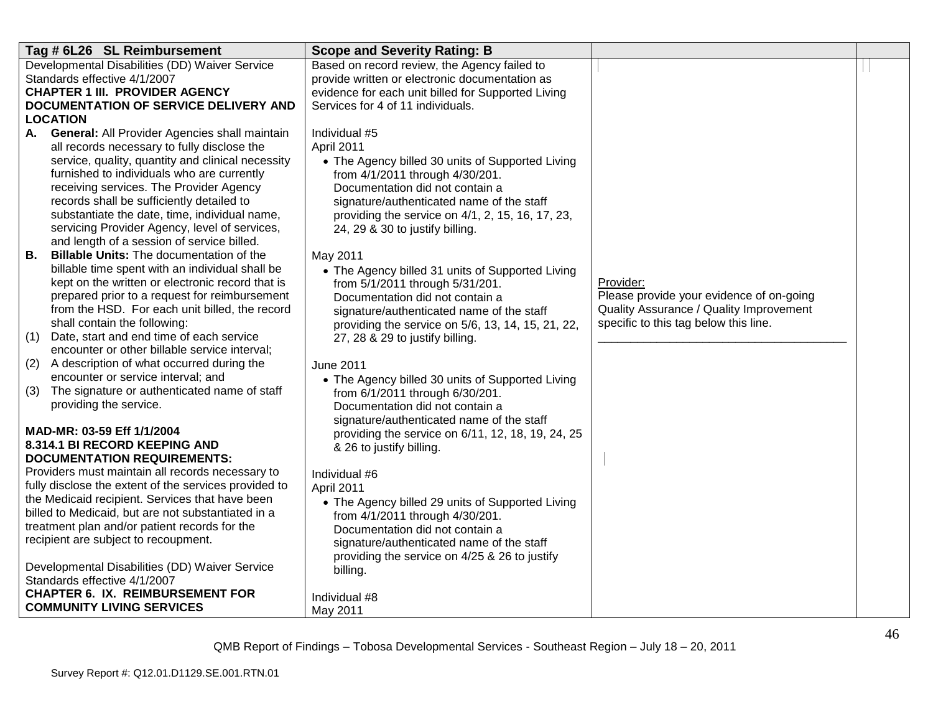| Tag # 6L26 SL Reimbursement                                | <b>Scope and Severity Rating: B</b>                |                                          |  |
|------------------------------------------------------------|----------------------------------------------------|------------------------------------------|--|
| Developmental Disabilities (DD) Waiver Service             | Based on record review, the Agency failed to       |                                          |  |
| Standards effective 4/1/2007                               | provide written or electronic documentation as     |                                          |  |
| <b>CHAPTER 1 III. PROVIDER AGENCY</b>                      | evidence for each unit billed for Supported Living |                                          |  |
| DOCUMENTATION OF SERVICE DELIVERY AND                      | Services for 4 of 11 individuals.                  |                                          |  |
| <b>LOCATION</b>                                            |                                                    |                                          |  |
| <b>General:</b> All Provider Agencies shall maintain<br>А. | Individual #5                                      |                                          |  |
| all records necessary to fully disclose the                | April 2011                                         |                                          |  |
| service, quality, quantity and clinical necessity          | • The Agency billed 30 units of Supported Living   |                                          |  |
| furnished to individuals who are currently                 | from 4/1/2011 through 4/30/201.                    |                                          |  |
| receiving services. The Provider Agency                    | Documentation did not contain a                    |                                          |  |
| records shall be sufficiently detailed to                  | signature/authenticated name of the staff          |                                          |  |
| substantiate the date, time, individual name,              | providing the service on 4/1, 2, 15, 16, 17, 23,   |                                          |  |
| servicing Provider Agency, level of services,              | 24, 29 & 30 to justify billing.                    |                                          |  |
| and length of a session of service billed.                 |                                                    |                                          |  |
| В.<br><b>Billable Units: The documentation of the</b>      | May 2011                                           |                                          |  |
| billable time spent with an individual shall be            | • The Agency billed 31 units of Supported Living   |                                          |  |
| kept on the written or electronic record that is           | from 5/1/2011 through 5/31/201.                    | Provider:                                |  |
| prepared prior to a request for reimbursement              | Documentation did not contain a                    | Please provide your evidence of on-going |  |
| from the HSD. For each unit billed, the record             | signature/authenticated name of the staff          | Quality Assurance / Quality Improvement  |  |
| shall contain the following:                               | providing the service on 5/6, 13, 14, 15, 21, 22,  | specific to this tag below this line.    |  |
| Date, start and end time of each service<br>(1)            | 27, 28 & 29 to justify billing.                    |                                          |  |
| encounter or other billable service interval;              |                                                    |                                          |  |
| A description of what occurred during the<br>(2)           | <b>June 2011</b>                                   |                                          |  |
| encounter or service interval; and                         | • The Agency billed 30 units of Supported Living   |                                          |  |
| The signature or authenticated name of staff<br>(3)        | from 6/1/2011 through 6/30/201.                    |                                          |  |
| providing the service.                                     | Documentation did not contain a                    |                                          |  |
| MAD-MR: 03-59 Eff 1/1/2004                                 | signature/authenticated name of the staff          |                                          |  |
| 8.314.1 BI RECORD KEEPING AND                              | providing the service on 6/11, 12, 18, 19, 24, 25  |                                          |  |
| <b>DOCUMENTATION REQUIREMENTS:</b>                         | & 26 to justify billing.                           |                                          |  |
| Providers must maintain all records necessary to           | Individual #6                                      |                                          |  |
| fully disclose the extent of the services provided to      | April 2011                                         |                                          |  |
| the Medicaid recipient. Services that have been            | • The Agency billed 29 units of Supported Living   |                                          |  |
| billed to Medicaid, but are not substantiated in a         | from 4/1/2011 through 4/30/201.                    |                                          |  |
| treatment plan and/or patient records for the              | Documentation did not contain a                    |                                          |  |
| recipient are subject to recoupment.                       | signature/authenticated name of the staff          |                                          |  |
|                                                            | providing the service on 4/25 & 26 to justify      |                                          |  |
| Developmental Disabilities (DD) Waiver Service             | billing.                                           |                                          |  |
| Standards effective 4/1/2007                               |                                                    |                                          |  |
| <b>CHAPTER 6. IX. REIMBURSEMENT FOR</b>                    | Individual #8                                      |                                          |  |
| <b>COMMUNITY LIVING SERVICES</b>                           | May 2011                                           |                                          |  |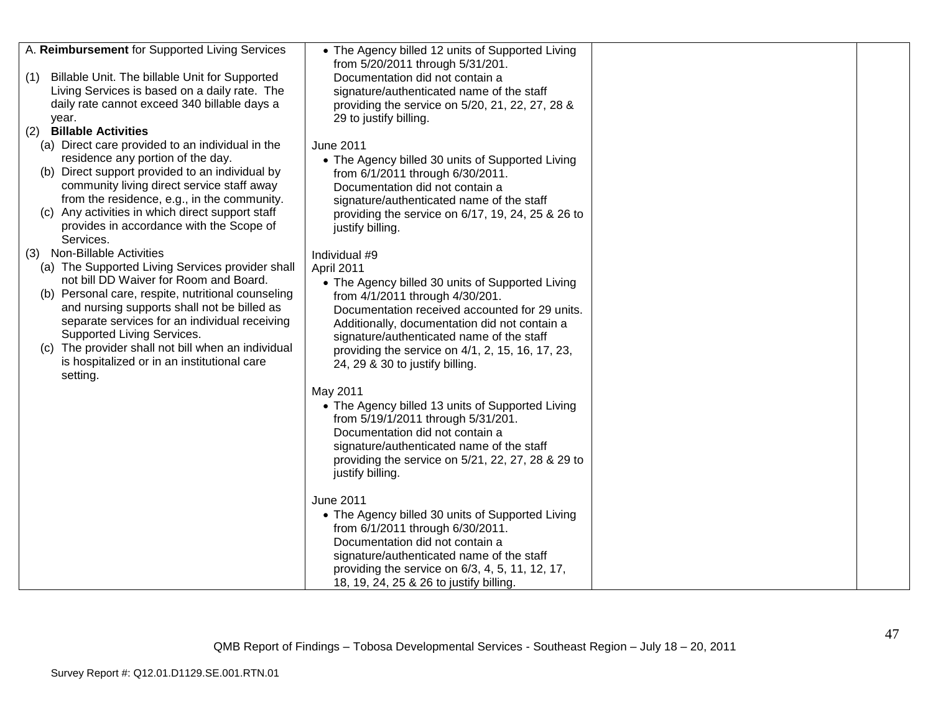| A. Reimbursement for Supported Living Services     | • The Agency billed 12 units of Supported Living  |  |
|----------------------------------------------------|---------------------------------------------------|--|
|                                                    |                                                   |  |
| Billable Unit. The billable Unit for Supported     | from 5/20/2011 through 5/31/201.                  |  |
| (1)                                                | Documentation did not contain a                   |  |
| Living Services is based on a daily rate. The      | signature/authenticated name of the staff         |  |
| daily rate cannot exceed 340 billable days a       | providing the service on 5/20, 21, 22, 27, 28 &   |  |
| year.                                              | 29 to justify billing.                            |  |
| <b>Billable Activities</b><br>(2)                  |                                                   |  |
| (a) Direct care provided to an individual in the   | June 2011                                         |  |
| residence any portion of the day.                  | • The Agency billed 30 units of Supported Living  |  |
| (b) Direct support provided to an individual by    | from 6/1/2011 through 6/30/2011.                  |  |
| community living direct service staff away         | Documentation did not contain a                   |  |
| from the residence, e.g., in the community.        | signature/authenticated name of the staff         |  |
| (c) Any activities in which direct support staff   | providing the service on 6/17, 19, 24, 25 & 26 to |  |
| provides in accordance with the Scope of           | justify billing.                                  |  |
| Services.                                          |                                                   |  |
| (3) Non-Billable Activities                        | Individual #9                                     |  |
| (a) The Supported Living Services provider shall   | April 2011                                        |  |
| not bill DD Waiver for Room and Board.             | • The Agency billed 30 units of Supported Living  |  |
| (b) Personal care, respite, nutritional counseling | from 4/1/2011 through 4/30/201.                   |  |
| and nursing supports shall not be billed as        | Documentation received accounted for 29 units.    |  |
| separate services for an individual receiving      | Additionally, documentation did not contain a     |  |
| Supported Living Services.                         |                                                   |  |
| (c) The provider shall not bill when an individual | signature/authenticated name of the staff         |  |
| is hospitalized or in an institutional care        | providing the service on 4/1, 2, 15, 16, 17, 23,  |  |
| setting.                                           | 24, 29 & 30 to justify billing.                   |  |
|                                                    |                                                   |  |
|                                                    | May 2011                                          |  |
|                                                    | • The Agency billed 13 units of Supported Living  |  |
|                                                    | from 5/19/1/2011 through 5/31/201.                |  |
|                                                    | Documentation did not contain a                   |  |
|                                                    | signature/authenticated name of the staff         |  |
|                                                    | providing the service on 5/21, 22, 27, 28 & 29 to |  |
|                                                    | justify billing.                                  |  |
|                                                    |                                                   |  |
|                                                    | June 2011                                         |  |
|                                                    | • The Agency billed 30 units of Supported Living  |  |
|                                                    | from 6/1/2011 through 6/30/2011.                  |  |
|                                                    | Documentation did not contain a                   |  |
|                                                    | signature/authenticated name of the staff         |  |
|                                                    | providing the service on 6/3, 4, 5, 11, 12, 17,   |  |
|                                                    | 18, 19, 24, 25 & 26 to justify billing.           |  |
|                                                    |                                                   |  |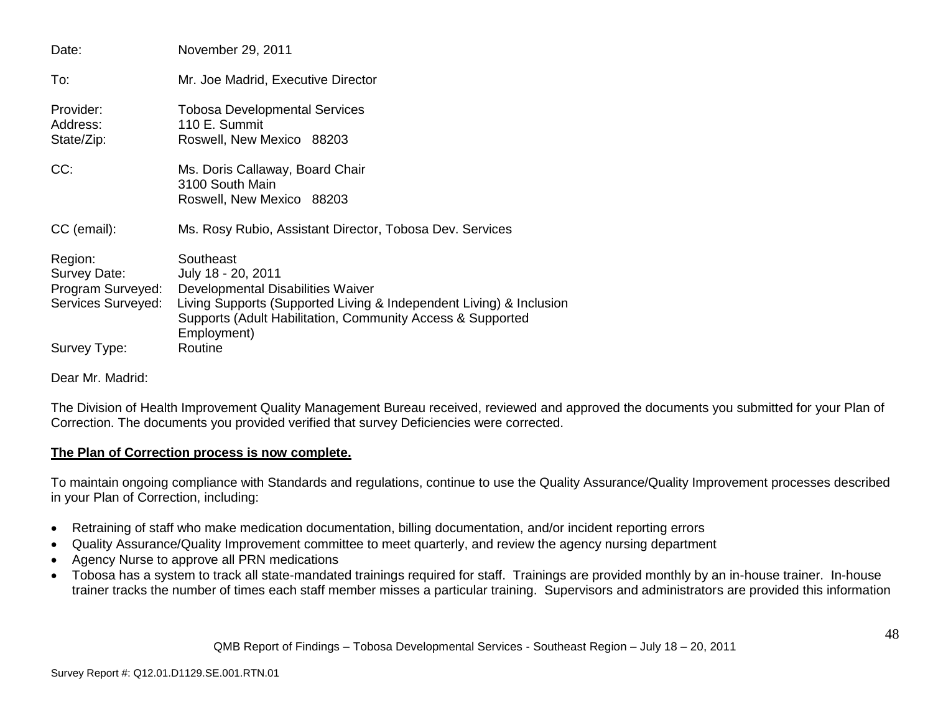| Date:                                                              | November 29, 2011                                                                                                                                                                                                        |
|--------------------------------------------------------------------|--------------------------------------------------------------------------------------------------------------------------------------------------------------------------------------------------------------------------|
| To:                                                                | Mr. Joe Madrid, Executive Director                                                                                                                                                                                       |
| Provider:<br>Address:<br>State/Zip:                                | <b>Tobosa Developmental Services</b><br>110 E. Summit<br>Roswell, New Mexico 88203                                                                                                                                       |
| CC:                                                                | Ms. Doris Callaway, Board Chair<br>3100 South Main<br>Roswell, New Mexico 88203                                                                                                                                          |
| CC (email):                                                        | Ms. Rosy Rubio, Assistant Director, Tobosa Dev. Services                                                                                                                                                                 |
| Region:<br>Survey Date:<br>Program Surveyed:<br>Services Surveyed: | Southeast<br>July 18 - 20, 2011<br>Developmental Disabilities Waiver<br>Living Supports (Supported Living & Independent Living) & Inclusion<br>Supports (Adult Habilitation, Community Access & Supported<br>Employment) |
| Survey Type:                                                       | Routine                                                                                                                                                                                                                  |

Dear Mr. Madrid:

The Division of Health Improvement Quality Management Bureau received, reviewed and approved the documents you submitted for your Plan of Correction. The documents you provided verified that survey Deficiencies were corrected.

# **The Plan of Correction process is now complete.**

To maintain ongoing compliance with Standards and regulations, continue to use the Quality Assurance/Quality Improvement processes described in your Plan of Correction, including:

- Retraining of staff who make medication documentation, billing documentation, and/or incident reporting errors
- Quality Assurance/Quality Improvement committee to meet quarterly, and review the agency nursing department
- Agency Nurse to approve all PRN medications
- Tobosa has a system to track all state-mandated trainings required for staff. Trainings are provided monthly by an in-house trainer. In-house trainer tracks the number of times each staff member misses a particular training. Supervisors and administrators are provided this information